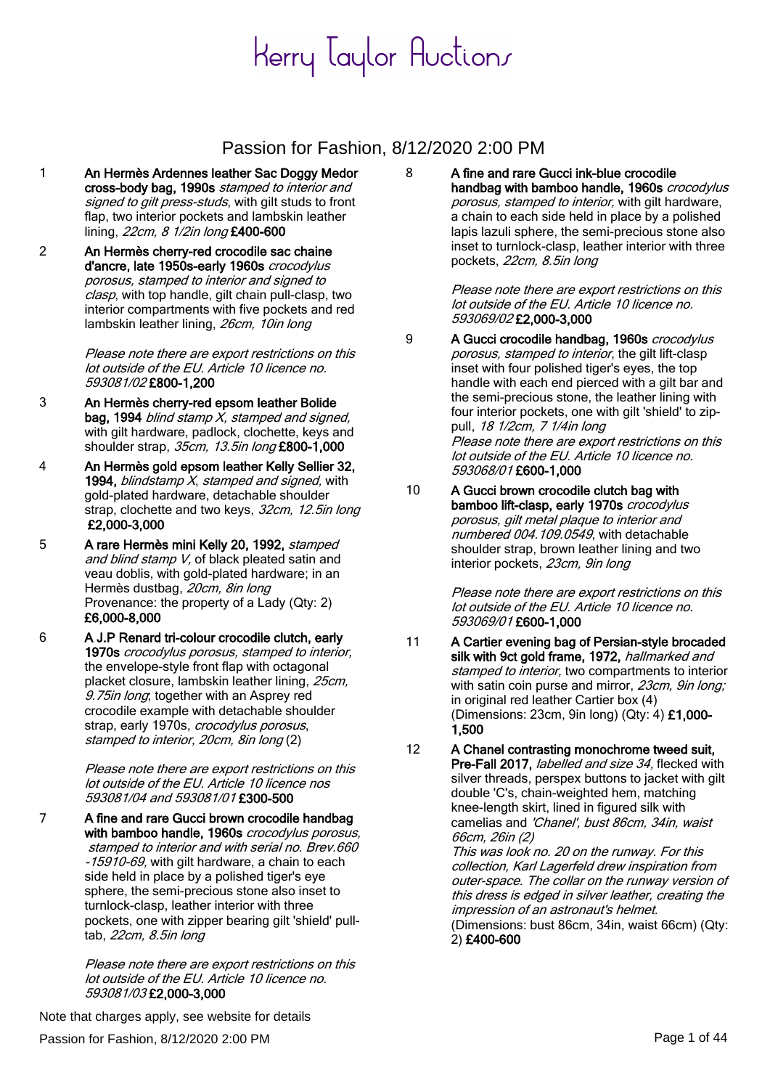#### Passion for Fashion, 8/12/2020 2:00 PM

- 1 An Hermès Ardennes leather Sac Doggy Medor cross-body bag, 1990s stamped to interior and signed to gilt press-studs, with gilt studs to front flap, two interior pockets and lambskin leather lining, 22cm, 8 1/2in long £400-600
- 2 An Hermès cherry-red crocodile sac chaine d'ancre, late 1950s-early 1960s crocodylus porosus, stamped to interior and signed to clasp, with top handle, gilt chain pull-clasp, two interior compartments with five pockets and red lambskin leather lining, 26cm, 10in long

Please note there are export restrictions on this lot outside of the EU. Article 10 licence no. 593081/02 £800-1,200

- 3 An Hermès cherry-red epsom leather Bolide bag, 1994 blind stamp X, stamped and signed, with gilt hardware, padlock, clochette, keys and shoulder strap, 35cm, 13.5in long £800-1,000
- 4 An Hermès gold epsom leather Kelly Sellier 32, 1994, blindstamp  $X$ , stamped and signed, with gold-plated hardware, detachable shoulder strap, clochette and two keys, 32cm, 12.5in long £2,000-3,000
- 5 A rare Hermès mini Kelly 20, 1992, stamped and blind stamp V, of black pleated satin and veau doblis, with gold-plated hardware; in an Hermès dustbag, 20cm, 8in long Provenance: the property of a Lady (Qty: 2) £6,000-8,000
- 6 A J.P Renard tri-colour crocodile clutch, early 1970s crocodylus porosus, stamped to interior, the envelope-style front flap with octagonal placket closure, lambskin leather lining, 25cm, 9.75in long; together with an Asprey red crocodile example with detachable shoulder strap, early 1970s, *crocodylus porosus*, stamped to interior, 20cm, 8in long (2)

Please note there are export restrictions on this lot outside of the EU. Article 10 licence nos 593081/04 and 593081/01 £300-500

7 A fine and rare Gucci brown crocodile handbag with bamboo handle, 1960s crocodylus porosus, stamped to interior and with serial no. Brev.660 -15910-69, with gilt hardware, a chain to each side held in place by a polished tiger's eye sphere, the semi-precious stone also inset to turnlock-clasp, leather interior with three pockets, one with zipper bearing gilt 'shield' pulltab, 22cm, 8.5in long

> Please note there are export restrictions on this lot outside of the EU. Article 10 licence no. 593081/03 £2,000-3,000

8 A fine and rare Gucci ink-blue crocodile handbag with bamboo handle, 1960s crocodylus porosus, stamped to interior, with gilt hardware, a chain to each side held in place by a polished lapis lazuli sphere, the semi-precious stone also inset to turnlock-clasp, leather interior with three pockets, 22cm, 8.5in long

> Please note there are export restrictions on this lot outside of the EU. Article 10 licence no. 593069/02 £2,000-3,000

- 9 A Gucci crocodile handbag, 1960s crocodylus porosus, stamped to interior, the gilt lift-clasp inset with four polished tiger's eyes, the top handle with each end pierced with a gilt bar and the semi-precious stone, the leather lining with four interior pockets, one with gilt 'shield' to zippull, 18 1/2cm, 7 1/4in long Please note there are export restrictions on this lot outside of the EU. Article 10 licence no. 593068/01 £600-1,000
- 10 A Gucci brown crocodile clutch bag with bamboo lift-clasp, early 1970s crocodylus porosus, gilt metal plaque to interior and numbered 004.109.0549, with detachable shoulder strap, brown leather lining and two interior pockets, 23cm, 9in long

Please note there are export restrictions on this lot outside of the EU. Article 10 licence no. 593069/01 £600-1,000

11 A Cartier evening bag of Persian-style brocaded silk with 9ct gold frame, 1972, hallmarked and stamped to interior, two compartments to interior with satin coin purse and mirror, 23cm, 9in long; in original red leather Cartier box (4) (Dimensions: 23cm, 9in long) (Qty: 4) £1,000- 1,500

12 A Chanel contrasting monochrome tweed suit, Pre-Fall 2017, labelled and size 34, flecked with silver threads, perspex buttons to jacket with gilt double 'C's, chain-weighted hem, matching knee-length skirt, lined in figured silk with camelias and 'Chanel', bust 86cm, 34in, waist 66cm, 26in (2)

This was look no. 20 on the runway. For this collection, Karl Lagerfeld drew inspiration from outer-space. The collar on the runway version of this dress is edged in silver leather, creating the impression of an astronaut's helmet. (Dimensions: bust 86cm, 34in, waist 66cm) (Qty: 2) £400-600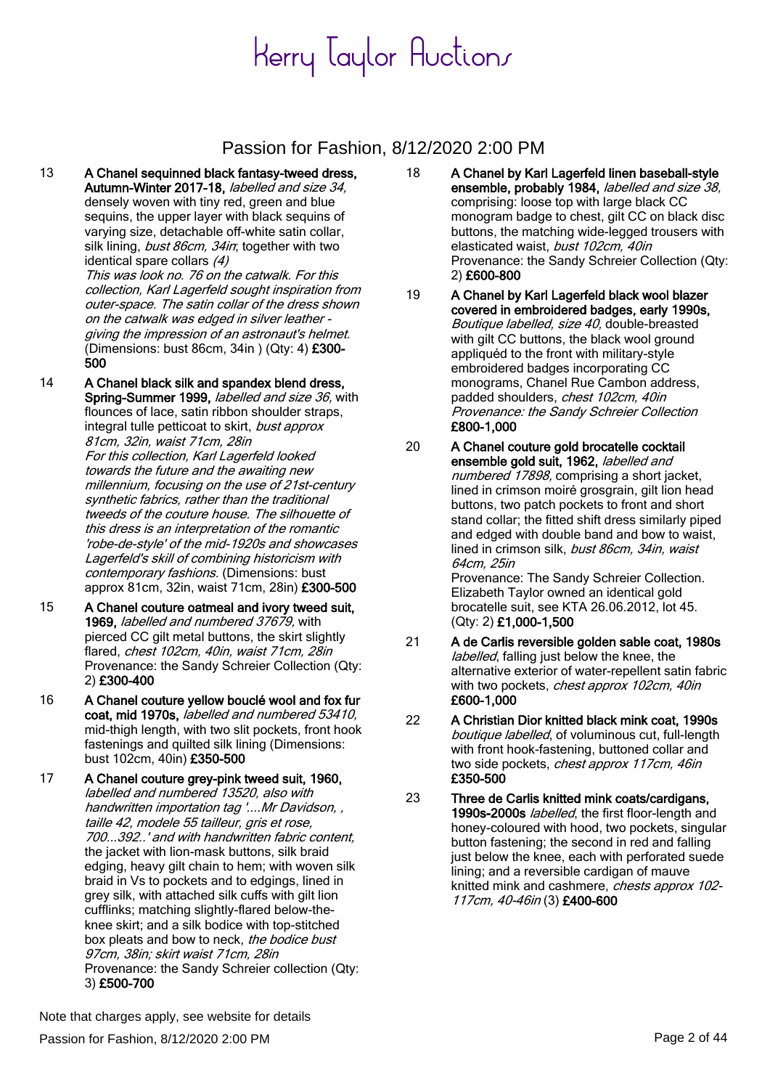### Passion for Fashion, 8/12/2020 2:00 PM

13 A Chanel sequinned black fantasy-tweed dress, Autumn-Winter 2017-18, labelled and size 34, densely woven with tiny red, green and blue sequins, the upper layer with black sequins of varying size, detachable off-white satin collar, silk lining, bust 86cm, 34in; together with two identical spare collars (4)

This was look no. 76 on the catwalk. For this collection, Karl Lagerfeld sought inspiration from outer-space. The satin collar of the dress shown on the catwalk was edged in silver leather giving the impression of an astronaut's helmet. (Dimensions: bust 86cm, 34in ) (Qty: 4) £300- 500

14 A Chanel black silk and spandex blend dress, Spring-Summer 1999, *labelled and size 36*, with flounces of lace, satin ribbon shoulder straps, integral tulle petticoat to skirt, bust approx 81cm, 32in, waist 71cm, 28in

For this collection, Karl Lagerfeld looked towards the future and the awaiting new millennium, focusing on the use of 21st-century synthetic fabrics, rather than the traditional tweeds of the couture house. The silhouette of this dress is an interpretation of the romantic 'robe-de-style' of the mid-1920s and showcases Lagerfeld's skill of combining historicism with contemporary fashions. (Dimensions: bust approx 81cm, 32in, waist 71cm, 28in) £300-500

- 15 A Chanel couture oatmeal and ivory tweed suit, 1969, labelled and numbered 37679, with pierced CC gilt metal buttons, the skirt slightly flared, chest 102cm, 40in, waist 71cm, 28in Provenance: the Sandy Schreier Collection (Qty: 2) £300-400
- 16 A Chanel couture yellow bouclé wool and fox fur coat, mid 1970s, labelled and numbered 53410, mid-thigh length, with two slit pockets, front hook fastenings and quilted silk lining (Dimensions: bust 102cm, 40in) £350-500
- 17 A Chanel couture grey-pink tweed suit, 1960, labelled and numbered 13520, also with handwritten importation tag '....Mr Davidson, , taille 42, modele 55 tailleur, gris et rose, 700...392..' and with handwritten fabric content, the jacket with lion-mask buttons, silk braid edging, heavy gilt chain to hem; with woven silk braid in Vs to pockets and to edgings, lined in grey silk, with attached silk cuffs with gilt lion cufflinks; matching slightly-flared below-theknee skirt; and a silk bodice with top-stitched box pleats and bow to neck, the bodice bust 97cm, 38in; skirt waist 71cm, 28in Provenance: the Sandy Schreier collection (Qty: 3) £500-700
- 18 A Chanel by Karl Lagerfeld linen baseball-style ensemble, probably 1984, labelled and size 38, comprising: loose top with large black CC monogram badge to chest, gilt CC on black disc buttons, the matching wide-legged trousers with elasticated waist, bust 102cm, 40in Provenance: the Sandy Schreier Collection (Qty: 2) £600-800
- 19 A Chanel by Karl Lagerfeld black wool blazer covered in embroidered badges, early 1990s, Boutique labelled, size 40, double-breasted with gilt CC buttons, the black wool ground appliquéd to the front with military-style embroidered badges incorporating CC monograms, Chanel Rue Cambon address, padded shoulders, chest 102cm, 40in Provenance: the Sandy Schreier Collection £800-1,000
- 20 A Chanel couture gold brocatelle cocktail ensemble gold suit, 1962, labelled and numbered 17898, comprising a short jacket. lined in crimson moiré grosgrain, gilt lion head buttons, two patch pockets to front and short stand collar; the fitted shift dress similarly piped and edged with double band and bow to waist, lined in crimson silk, bust 86cm, 34in, waist 64cm, 25in Provenance: The Sandy Schreier Collection. Elizabeth Taylor owned an identical gold brocatelle suit, see KTA 26.06.2012, lot 45. (Qty: 2) £1,000-1,500
- 21 A de Carlis reversible golden sable coat, 1980s labelled, falling just below the knee, the alternative exterior of water-repellent satin fabric with two pockets, chest approx 102cm, 40in £600-1,000
- 22 A Christian Dior knitted black mink coat, 1990s boutique labelled, of voluminous cut, full-length with front hook-fastening, buttoned collar and two side pockets, chest approx 117cm, 46in £350-500
- 23 Three de Carlis knitted mink coats/cardigans, 1990s-2000s labelled, the first floor-length and honey-coloured with hood, two pockets, singular button fastening; the second in red and falling just below the knee, each with perforated suede lining; and a reversible cardigan of mauve knitted mink and cashmere, chests approx 102- 117cm, 40-46in (3) £400-600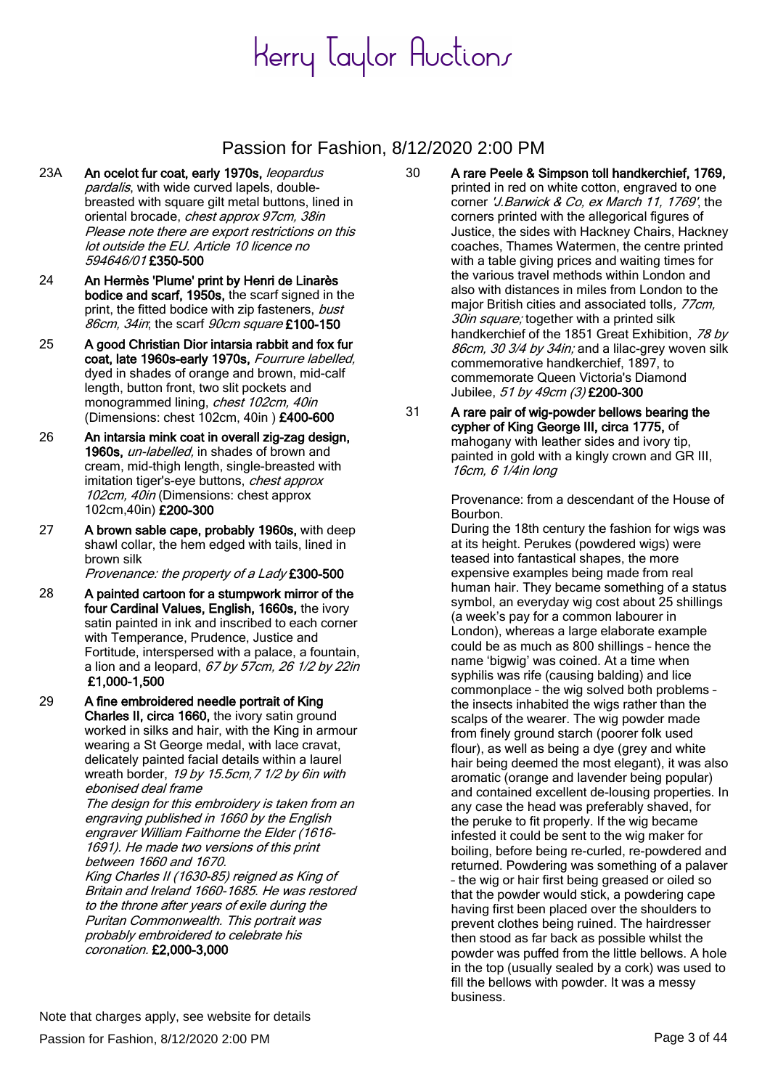### Passion for Fashion, 8/12/2020 2:00 PM

- 23A An ocelot fur coat, early 1970s, leopardus pardalis, with wide curved lapels, doublebreasted with square gilt metal buttons, lined in oriental brocade, chest approx 97cm, 38in Please note there are export restrictions on this lot outside the EU. Article 10 licence no 594646/01 £350-500
- 24 An Hermès 'Plume' print by Henri de Linarès bodice and scarf, 1950s, the scarf signed in the print, the fitted bodice with zip fasteners, bust 86cm, 34in; the scarf 90cm square £100-150
- 25 A good Christian Dior intarsia rabbit and fox fur coat, late 1960s-early 1970s, Fourrure labelled, dyed in shades of orange and brown, mid-calf length, button front, two slit pockets and monogrammed lining, chest 102cm, 40in (Dimensions: chest 102cm, 40in ) £400-600
- 26 An intarsia mink coat in overall zig-zag design, 1960s, un-labelled, in shades of brown and cream, mid-thigh length, single-breasted with imitation tiger's-eye buttons, chest approx 102cm, 40in (Dimensions: chest approx 102cm,40in) £200-300
- 27 A brown sable cape, probably 1960s, with deep shawl collar, the hem edged with tails, lined in brown silk

Provenance: the property of a Lady £300-500

- 28 A painted cartoon for a stumpwork mirror of the four Cardinal Values, English, 1660s, the ivory satin painted in ink and inscribed to each corner with Temperance, Prudence, Justice and Fortitude, interspersed with a palace, a fountain, a lion and a leopard,  $67$  by  $57$ cm,  $26$  1/2 by  $22$ in £1,000-1,500
- 29 A fine embroidered needle portrait of King Charles II, circa 1660, the ivory satin ground worked in silks and hair, with the King in armour wearing a St George medal, with lace cravat, delicately painted facial details within a laurel wreath border, 19 by 15.5cm, 7 1/2 by 6in with ebonised deal frame

The design for this embroidery is taken from an engraving published in 1660 by the English engraver William Faithorne the Elder (1616- 1691). He made two versions of this print between 1660 and 1670.

King Charles II (1630-85) reigned as King of Britain and Ireland 1660-1685. He was restored to the throne after years of exile during the Puritan Commonwealth. This portrait was probably embroidered to celebrate his coronation. £2,000-3,000

- 30 A rare Peele & Simpson toll handkerchief, 1769, printed in red on white cotton, engraved to one corner 'J.Barwick & Co, ex March 11, 1769', the corners printed with the allegorical figures of Justice, the sides with Hackney Chairs, Hackney coaches, Thames Watermen, the centre printed with a table giving prices and waiting times for the various travel methods within London and also with distances in miles from London to the major British cities and associated tolls, 77cm, 30in square; together with a printed silk handkerchief of the 1851 Great Exhibition, 78 by 86cm, 30 3/4 by 34in; and a lilac-grey woven silk commemorative handkerchief, 1897, to commemorate Queen Victoria's Diamond Jubilee, 51 by 49cm (3) £200-300
- 31 A rare pair of wig-powder bellows bearing the cypher of King George III, circa 1775, of mahogany with leather sides and ivory tip, painted in gold with a kingly crown and GR III, 16cm, 6 1/4in long

Provenance: from a descendant of the House of Bourbon.

During the 18th century the fashion for wigs was at its height. Perukes (powdered wigs) were teased into fantastical shapes, the more expensive examples being made from real human hair. They became something of a status symbol, an everyday wig cost about 25 shillings (a week's pay for a common labourer in London), whereas a large elaborate example could be as much as 800 shillings – hence the name 'bigwig' was coined. At a time when syphilis was rife (causing balding) and lice commonplace – the wig solved both problems – the insects inhabited the wigs rather than the scalps of the wearer. The wig powder made from finely ground starch (poorer folk used flour), as well as being a dye (grey and white hair being deemed the most elegant), it was also aromatic (orange and lavender being popular) and contained excellent de-lousing properties. In any case the head was preferably shaved, for the peruke to fit properly. If the wig became infested it could be sent to the wig maker for boiling, before being re-curled, re-powdered and returned. Powdering was something of a palaver – the wig or hair first being greased or oiled so that the powder would stick, a powdering cape having first been placed over the shoulders to prevent clothes being ruined. The hairdresser then stood as far back as possible whilst the powder was puffed from the little bellows. A hole in the top (usually sealed by a cork) was used to fill the bellows with powder. It was a messy business.

Passion for Fashion, 8/12/2020 2:00 PM Page 3 of 44 Note that charges apply, see website for details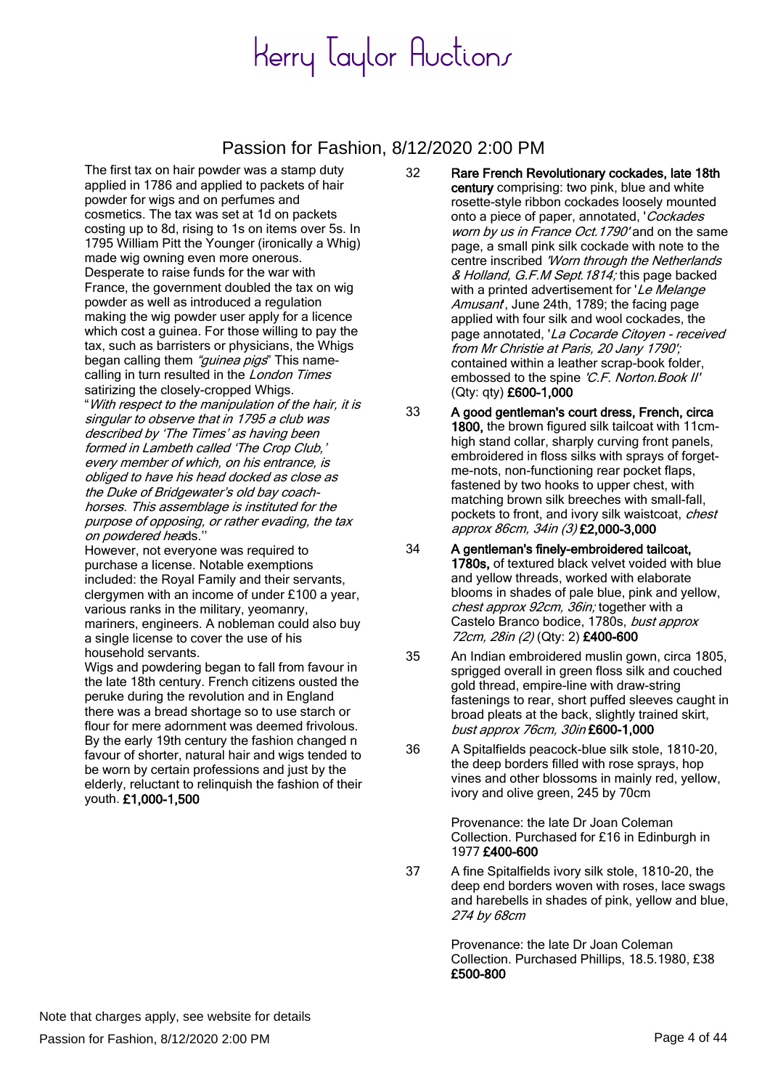### Passion for Fashion, 8/12/2020 2:00 PM

The first tax on hair powder was a stamp duty applied in 1786 and applied to packets of hair powder for wigs and on perfumes and cosmetics. The tax was set at 1d on packets costing up to 8d, rising to 1s on items over 5s. In 1795 William Pitt the Younger (ironically a Whig) made wig owning even more onerous. Desperate to raise funds for the war with France, the government doubled the tax on wig powder as well as introduced a regulation making the wig powder user apply for a licence which cost a guinea. For those willing to pay the tax, such as barristers or physicians, the Whigs began calling them "guinea pigs" This namecalling in turn resulted in the London Times satirizing the closely-cropped Whigs.

"With respect to the manipulation of the hair, it is singular to observe that in 1795 a club was described by 'The Times' as having been formed in Lambeth called 'The Crop Club,' every member of which, on his entrance, is obliged to have his head docked as close as the Duke of Bridgewater's old bay coachhorses. This assemblage is instituted for the purpose of opposing, or rather evading, the tax on powdered heads.''

However, not everyone was required to purchase a license. Notable exemptions included: the Royal Family and their servants, clergymen with an income of under £100 a year, various ranks in the military, yeomanry, mariners, engineers. A nobleman could also buy a single license to cover the use of his household servants.

Wigs and powdering began to fall from favour in the late 18th century. French citizens ousted the peruke during the revolution and in England there was a bread shortage so to use starch or flour for mere adornment was deemed frivolous. By the early 19th century the fashion changed n favour of shorter, natural hair and wigs tended to be worn by certain professions and just by the elderly, reluctant to relinquish the fashion of their youth. £1,000-1,500

- 32 Rare French Revolutionary cockades, late 18th century comprising: two pink, blue and white rosette-style ribbon cockades loosely mounted onto a piece of paper, annotated, 'Cockades worn by us in France Oct. 1790' and on the same page, a small pink silk cockade with note to the centre inscribed 'Worn through the Netherlands & Holland, G.F.M Sept. 1814; this page backed with a printed advertisement for 'Le Melange Amusant, June 24th, 1789; the facing page applied with four silk and wool cockades, the page annotated, 'La Cocarde Citoyen - received from Mr Christie at Paris, 20 Jany 1790'; contained within a leather scrap-book folder, embossed to the spine 'C.F. Norton. Book II' (Qty: qty) £600-1,000
- 33 A good gentleman's court dress, French, circa 1800, the brown figured silk tailcoat with 11cmhigh stand collar, sharply curving front panels, embroidered in floss silks with sprays of forgetme-nots, non-functioning rear pocket flaps, fastened by two hooks to upper chest, with matching brown silk breeches with small-fall, pockets to front, and ivory silk waistcoat, chest approx 86cm, 34in (3) £2,000-3,000
- 34 A gentleman's finely-embroidered tailcoat, 1780s, of textured black velvet voided with blue and yellow threads, worked with elaborate blooms in shades of pale blue, pink and yellow, chest approx 92cm, 36in; together with a Castelo Branco bodice, 1780s, bust approx 72cm, 28in (2) (Qty: 2) £400-600
- 35 An Indian embroidered muslin gown, circa 1805, sprigged overall in green floss silk and couched gold thread, empire-line with draw-string fastenings to rear, short puffed sleeves caught in broad pleats at the back, slightly trained skirt, bust approx 76cm, 30in £600-1,000
- 36 A Spitalfields peacock-blue silk stole, 1810-20, the deep borders filled with rose sprays, hop vines and other blossoms in mainly red, yellow, ivory and olive green, 245 by 70cm

Provenance: the late Dr Joan Coleman Collection. Purchased for £16 in Edinburgh in 1977 £400-600

37 A fine Spitalfields ivory silk stole, 1810-20, the deep end borders woven with roses, lace swags and harebells in shades of pink, yellow and blue, 274 by 68cm

> Provenance: the late Dr Joan Coleman Collection. Purchased Phillips, 18.5.1980, £38 £500-800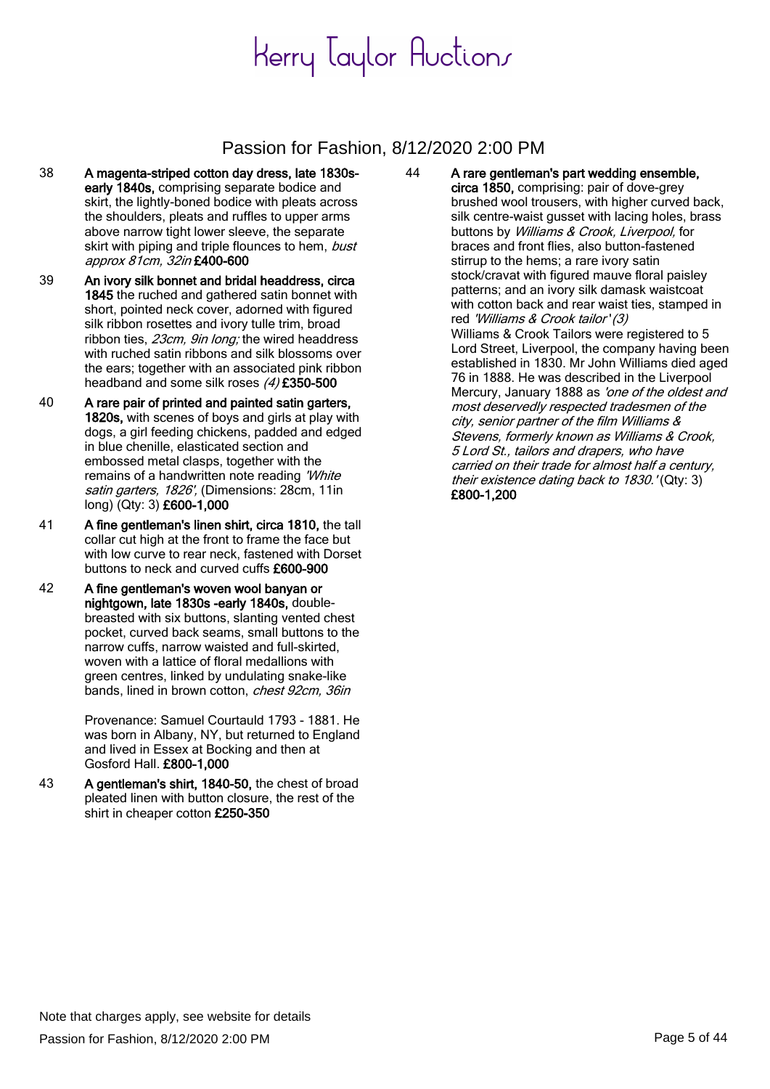### Passion for Fashion, 8/12/2020 2:00 PM

- 38 A magenta-striped cotton day dress, late 1830searly 1840s, comprising separate bodice and skirt, the lightly-boned bodice with pleats across the shoulders, pleats and ruffles to upper arms above narrow tight lower sleeve, the separate skirt with piping and triple flounces to hem, bust approx 81cm, 32in £400-600
- 39 An ivory silk bonnet and bridal headdress, circa 1845 the ruched and gathered satin bonnet with short, pointed neck cover, adorned with figured silk ribbon rosettes and ivory tulle trim, broad ribbon ties, 23cm, 9in long; the wired headdress with ruched satin ribbons and silk blossoms over the ears; together with an associated pink ribbon headband and some silk roses (4) £350-500
- 40 A rare pair of printed and painted satin garters, 1820s, with scenes of boys and girls at play with dogs, a girl feeding chickens, padded and edged in blue chenille, elasticated section and embossed metal clasps, together with the remains of a handwritten note reading 'White satin garters, 1826', (Dimensions: 28cm, 11in long) (Qty: 3) £600-1,000
- 41 A fine gentleman's linen shirt, circa 1810, the tall collar cut high at the front to frame the face but with low curve to rear neck, fastened with Dorset buttons to neck and curved cuffs £600-900
- 42 A fine gentleman's woven wool banyan or nightgown, late 1830s -early 1840s, doublebreasted with six buttons, slanting vented chest pocket, curved back seams, small buttons to the narrow cuffs, narrow waisted and full-skirted, woven with a lattice of floral medallions with green centres, linked by undulating snake-like bands, lined in brown cotton, chest 92cm, 36in

Provenance: Samuel Courtauld 1793 - 1881. He was born in Albany, NY, but returned to England and lived in Essex at Bocking and then at Gosford Hall. £800-1,000

43 A gentleman's shirt, 1840-50, the chest of broad pleated linen with button closure, the rest of the shirt in cheaper cotton £250-350

44 A rare gentleman's part wedding ensemble, circa 1850, comprising: pair of dove-grey brushed wool trousers, with higher curved back, silk centre-waist gusset with lacing holes, brass buttons by Williams & Crook, Liverpool, for braces and front flies, also button-fastened stirrup to the hems; a rare ivory satin stock/cravat with figured mauve floral paisley patterns; and an ivory silk damask waistcoat with cotton back and rear waist ties, stamped in red 'Williams & Crook tailor' (3) Williams & Crook Tailors were registered to 5 Lord Street, Liverpool, the company having been established in 1830. Mr John Williams died aged 76 in 1888. He was described in the Liverpool Mercury, January 1888 as 'one of the oldest and most deservedly respected tradesmen of the city, senior partner of the film Williams & Stevens, formerly known as Williams & Crook, 5 Lord St., tailors and drapers, who have carried on their trade for almost half a century, their existence dating back to 1830.'(Qty: 3) £800-1,200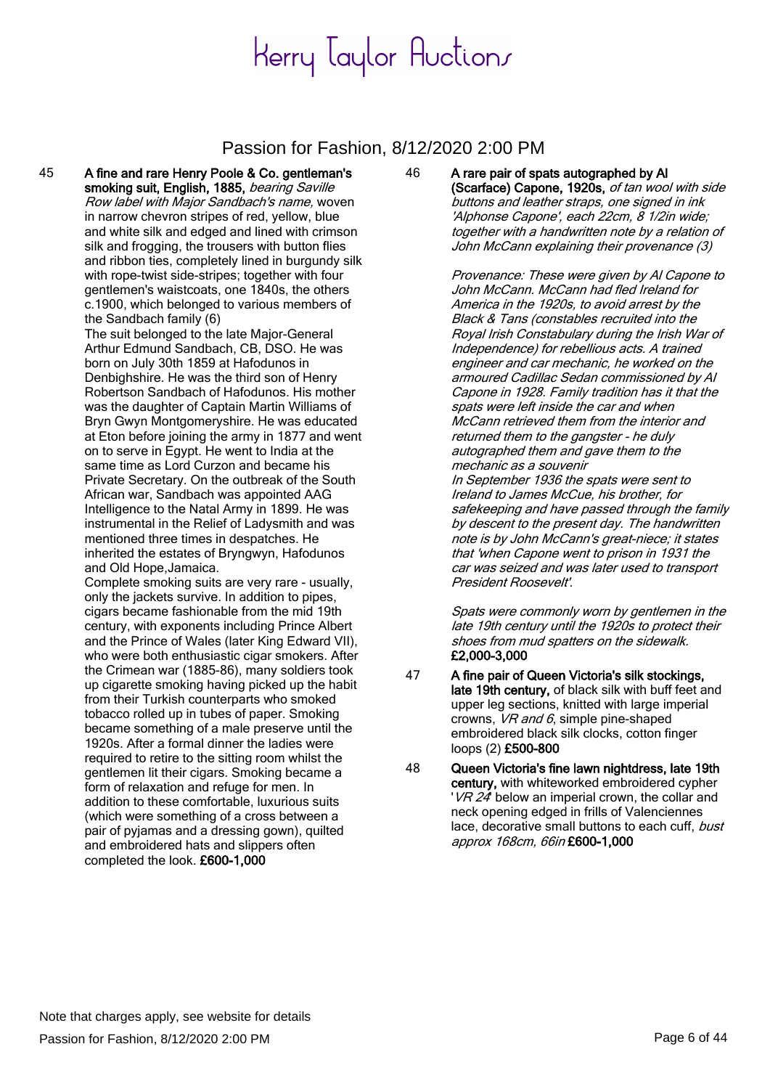#### Passion for Fashion, 8/12/2020 2:00 PM

45 A fine and rare Henry Poole & Co. gentleman's smoking suit, English, 1885, bearing Saville Row label with Major Sandbach's name, woven in narrow chevron stripes of red, yellow, blue and white silk and edged and lined with crimson silk and frogging, the trousers with button flies and ribbon ties, completely lined in burgundy silk with rope-twist side-stripes; together with four gentlemen's waistcoats, one 1840s, the others c.1900, which belonged to various members of the Sandbach family (6)

> The suit belonged to the late Major-General Arthur Edmund Sandbach, CB, DSO. He was born on July 30th 1859 at Hafodunos in Denbighshire. He was the third son of Henry Robertson Sandbach of Hafodunos. His mother was the daughter of Captain Martin Williams of Bryn Gwyn Montgomeryshire. He was educated at Eton before joining the army in 1877 and went on to serve in Egypt. He went to India at the same time as Lord Curzon and became his Private Secretary. On the outbreak of the South African war, Sandbach was appointed AAG Intelligence to the Natal Army in 1899. He was instrumental in the Relief of Ladysmith and was mentioned three times in despatches. He inherited the estates of Bryngwyn, Hafodunos and Old Hope,Jamaica.

Complete smoking suits are very rare - usually, only the jackets survive. In addition to pipes, cigars became fashionable from the mid 19th century, with exponents including Prince Albert and the Prince of Wales (later King Edward VII), who were both enthusiastic cigar smokers. After the Crimean war (1885-86), many soldiers took up cigarette smoking having picked up the habit from their Turkish counterparts who smoked tobacco rolled up in tubes of paper. Smoking became something of a male preserve until the 1920s. After a formal dinner the ladies were required to retire to the sitting room whilst the gentlemen lit their cigars. Smoking became a form of relaxation and refuge for men. In addition to these comfortable, luxurious suits (which were something of a cross between a pair of pyjamas and a dressing gown), quilted and embroidered hats and slippers often completed the look. £600-1,000

#### 46 A rare pair of spats autographed by Al (Scarface) Capone, 1920s, of tan wool with side buttons and leather straps, one signed in ink 'Alphonse Capone', each 22cm, 8 1/2in wide; together with a handwritten note by a relation of John McCann explaining their provenance (3)

Provenance: These were given by Al Capone to John McCann. McCann had fled Ireland for America in the 1920s, to avoid arrest by the Black & Tans (constables recruited into the Royal Irish Constabulary during the Irish War of Independence) for rebellious acts. A trained engineer and car mechanic, he worked on the armoured Cadillac Sedan commissioned by Al Capone in 1928. Family tradition has it that the spats were left inside the car and when McCann retrieved them from the interior and returned them to the gangster - he duly autographed them and gave them to the mechanic as a souvenir In September 1936 the spats were sent to Ireland to James McCue, his brother, for safekeeping and have passed through the family by descent to the present day. The handwritten note is by John McCann's great-niece; it states that 'when Capone went to prison in 1931 the car was seized and was later used to transport President Roosevelt'.

Spats were commonly worn by gentlemen in the late 19th century until the 1920s to protect their shoes from mud spatters on the sidewalk. £2,000-3,000

- 47 A fine pair of Queen Victoria's silk stockings, late 19th century, of black silk with buff feet and upper leg sections, knitted with large imperial crowns, VR and 6, simple pine-shaped embroidered black silk clocks, cotton finger loops (2) £500-800
- 48 Queen Victoria's fine lawn nightdress, late 19th century, with whiteworked embroidered cypher 'VR 24' below an imperial crown, the collar and neck opening edged in frills of Valenciennes lace, decorative small buttons to each cuff, bust approx 168cm, 66in £600-1,000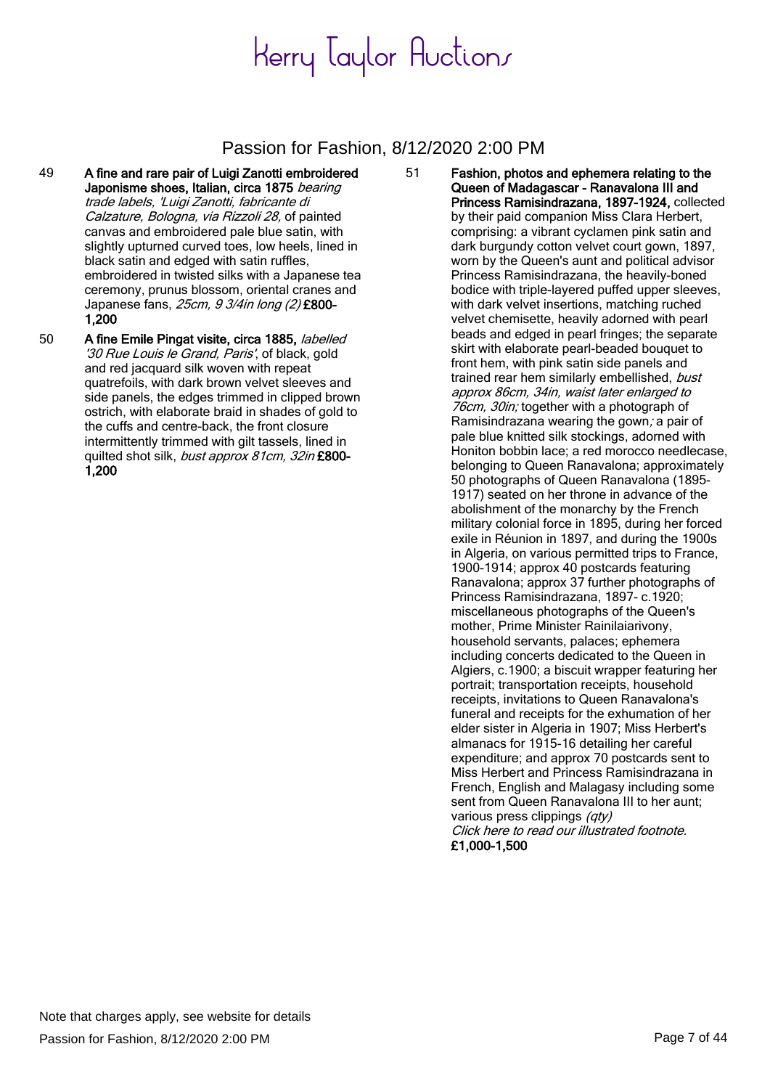#### Passion for Fashion, 8/12/2020 2:00 PM

- 49 A fine and rare pair of Luigi Zanotti embroidered Japonisme shoes, Italian, circa 1875 bearing trade labels, 'Luigi Zanotti, fabricante di Calzature, Bologna, via Rizzoli 28, of painted canvas and embroidered pale blue satin, with slightly upturned curved toes, low heels, lined in black satin and edged with satin ruffles, embroidered in twisted silks with a Japanese tea ceremony, prunus blossom, oriental cranes and Japanese fans, 25cm, 9 3/4in long (2) £800-1,200
- 50 A fine Emile Pingat visite, circa 1885, labelled '30 Rue Louis le Grand, Paris', of black, gold and red jacquard silk woven with repeat quatrefoils, with dark brown velvet sleeves and side panels, the edges trimmed in clipped brown ostrich, with elaborate braid in shades of gold to the cuffs and centre-back, the front closure intermittently trimmed with gilt tassels, lined in quilted shot silk, bust approx 81cm, 32in £800-1,200

51 Fashion, photos and ephemera relating to the Queen of Madagascar - Ranavalona III and Princess Ramisindrazana, 1897-1924, collected by their paid companion Miss Clara Herbert, comprising: a vibrant cyclamen pink satin and dark burgundy cotton velvet court gown, 1897, worn by the Queen's aunt and political advisor Princess Ramisindrazana, the heavily-boned bodice with triple-layered puffed upper sleeves, with dark velvet insertions, matching ruched velvet chemisette, heavily adorned with pearl beads and edged in pearl fringes; the separate skirt with elaborate pearl-beaded bouquet to front hem, with pink satin side panels and trained rear hem similarly embellished, bust approx 86cm, 34in, waist later enlarged to 76cm, 30in; together with a photograph of Ramisindrazana wearing the gown; a pair of pale blue knitted silk stockings, adorned with Honiton bobbin lace; a red morocco needlecase, belonging to Queen Ranavalona; approximately 50 photographs of Queen Ranavalona (1895- 1917) seated on her throne in advance of the abolishment of the monarchy by the French military colonial force in 1895, during her forced exile in Réunion in 1897, and during the 1900s in Algeria, on various permitted trips to France, 1900-1914; approx 40 postcards featuring Ranavalona; approx 37 further photographs of Princess Ramisindrazana, 1897- c.1920; miscellaneous photographs of the Queen's mother, Prime Minister Rainilaiarivony, household servants, palaces; ephemera including concerts dedicated to the Queen in Algiers, c.1900; a biscuit wrapper featuring her portrait; transportation receipts, household receipts, invitations to Queen Ranavalona's funeral and receipts for the exhumation of her elder sister in Algeria in 1907; Miss Herbert's almanacs for 1915-16 detailing her careful expenditure; and approx 70 postcards sent to Miss Herbert and Princess Ramisindrazana in French, English and Malagasy including some sent from Queen Ranavalona III to her aunt; various press clippings (qty) Click here to read our illustrated footnote. £1,000-1,500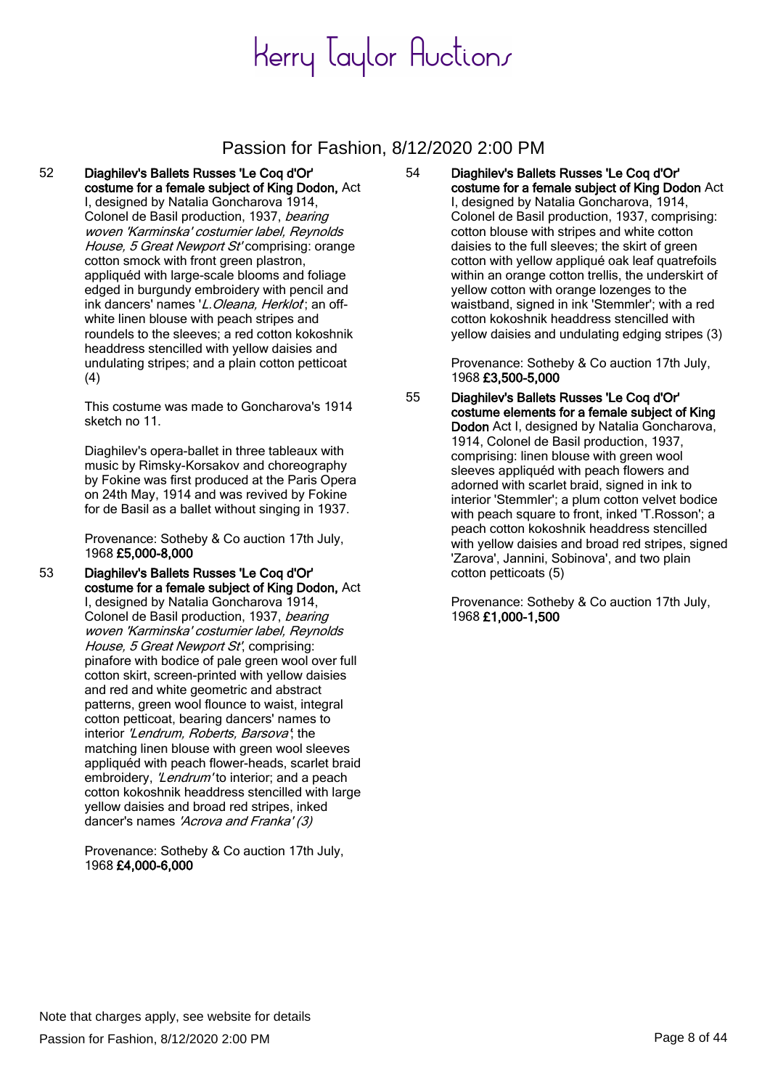#### Passion for Fashion, 8/12/2020 2:00 PM

#### 52 Diaghilev's Ballets Russes 'Le Coq d'Or' costume for a female subject of King Dodon, Act I, designed by Natalia Goncharova 1914, Colonel de Basil production, 1937, bearing woven 'Karminska' costumier label, Reynolds

House, 5 Great Newport St' comprising: orange cotton smock with front green plastron, appliquéd with large-scale blooms and foliage edged in burgundy embroidery with pencil and ink dancers' names 'L. Oleana, Herklot; an offwhite linen blouse with peach stripes and roundels to the sleeves; a red cotton kokoshnik headdress stencilled with yellow daisies and undulating stripes; and a plain cotton petticoat (4)

This costume was made to Goncharova's 1914 sketch no 11.

Diaghilev's opera-ballet in three tableaux with music by Rimsky-Korsakov and choreography by Fokine was first produced at the Paris Opera on 24th May, 1914 and was revived by Fokine for de Basil as a ballet without singing in 1937.

Provenance: Sotheby & Co auction 17th July, 1968 £5,000-8,000

53 Diaghilev's Ballets Russes 'Le Coq d'Or' costume for a female subject of King Dodon, Act I, designed by Natalia Goncharova 1914,

Colonel de Basil production, 1937, bearing woven 'Karminska' costumier label, Reynolds House, 5 Great Newport St', comprising: pinafore with bodice of pale green wool over full cotton skirt, screen-printed with yellow daisies and red and white geometric and abstract patterns, green wool flounce to waist, integral cotton petticoat, bearing dancers' names to interior 'Lendrum, Roberts, Barsova'; the matching linen blouse with green wool sleeves appliquéd with peach flower-heads, scarlet braid embroidery, 'Lendrum' to interior; and a peach cotton kokoshnik headdress stencilled with large yellow daisies and broad red stripes, inked dancer's names 'Acrova and Franka' (3)

Provenance: Sotheby & Co auction 17th July, 1968 £4,000-6,000

54 Diaghilev's Ballets Russes 'Le Coq d'Or' costume for a female subject of King Dodon Act I, designed by Natalia Goncharova, 1914, Colonel de Basil production, 1937, comprising: cotton blouse with stripes and white cotton daisies to the full sleeves; the skirt of green cotton with yellow appliqué oak leaf quatrefoils within an orange cotton trellis, the underskirt of yellow cotton with orange lozenges to the waistband, signed in ink 'Stemmler'; with a red cotton kokoshnik headdress stencilled with yellow daisies and undulating edging stripes (3)

> Provenance: Sotheby & Co auction 17th July, 1968 £3,500-5,000

55 Diaghilev's Ballets Russes 'Le Coq d'Or' costume elements for a female subject of King Dodon Act I, designed by Natalia Goncharova, 1914, Colonel de Basil production, 1937, comprising: linen blouse with green wool sleeves appliquéd with peach flowers and adorned with scarlet braid, signed in ink to interior 'Stemmler'; a plum cotton velvet bodice with peach square to front, inked 'T.Rosson'; a peach cotton kokoshnik headdress stencilled with yellow daisies and broad red stripes, signed 'Zarova', Jannini, Sobinova', and two plain cotton petticoats (5)

> Provenance: Sotheby & Co auction 17th July, 1968 £1,000-1,500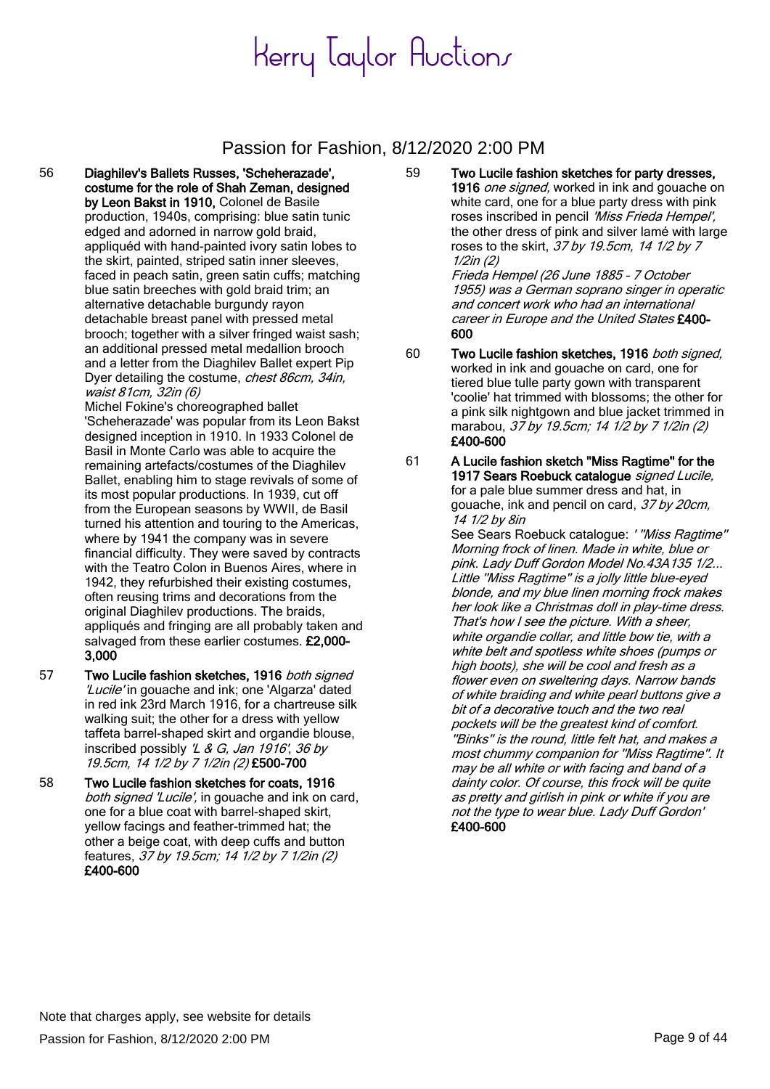#### Passion for Fashion, 8/12/2020 2:00 PM

56 Diaghilev's Ballets Russes, 'Scheherazade', costume for the role of Shah Zeman, designed by Leon Bakst in 1910, Colonel de Basile production, 1940s, comprising: blue satin tunic edged and adorned in narrow gold braid, appliquéd with hand-painted ivory satin lobes to the skirt, painted, striped satin inner sleeves, faced in peach satin, green satin cuffs; matching blue satin breeches with gold braid trim; an alternative detachable burgundy rayon detachable breast panel with pressed metal brooch; together with a silver fringed waist sash; an additional pressed metal medallion brooch and a letter from the Diaghilev Ballet expert Pip Dyer detailing the costume, chest 86cm, 34in, waist 81cm, 32in (6)

Michel Fokine's choreographed ballet 'Scheherazade' was popular from its Leon Bakst designed inception in 1910. In 1933 Colonel de Basil in Monte Carlo was able to acquire the remaining artefacts/costumes of the Diaghilev Ballet, enabling him to stage revivals of some of its most popular productions. In 1939, cut off from the European seasons by WWII, de Basil turned his attention and touring to the Americas, where by 1941 the company was in severe financial difficulty. They were saved by contracts with the Teatro Colon in Buenos Aires, where in 1942, they refurbished their existing costumes, often reusing trims and decorations from the original Diaghilev productions. The braids, appliqués and fringing are all probably taken and salvaged from these earlier costumes. £2,000-3,000

- 57 Two Lucile fashion sketches, 1916 both signed 'Lucile' in gouache and ink; one 'Algarza' dated in red ink 23rd March 1916, for a chartreuse silk walking suit; the other for a dress with yellow taffeta barrel-shaped skirt and organdie blouse, inscribed possibly 'L & G, Jan 1916', 36 by 19.5cm, 14 1/2 by 7 1/2in (2) £500-700
- 58 Two Lucile fashion sketches for coats, 1916 both signed 'Lucile', in gouache and ink on card, one for a blue coat with barrel-shaped skirt, yellow facings and feather-trimmed hat; the other a beige coat, with deep cuffs and button features, 37 by 19.5cm; 14 1/2 by 7 1/2in (2) £400-600

59 Two Lucile fashion sketches for party dresses, 1916 one signed, worked in ink and gouache on white card, one for a blue party dress with pink roses inscribed in pencil 'Miss Frieda Hempel', the other dress of pink and silver lamé with large roses to the skirt, 37 by 19.5cm, 14 1/2 by 7 1/2in (2)

Frieda Hempel (26 June 1885 – 7 October 1955) was a German soprano singer in operatic and concert work who had an international career in Europe and the United States £400-600

- 60 Two Lucile fashion sketches, 1916 both signed, worked in ink and gouache on card, one for tiered blue tulle party gown with transparent 'coolie' hat trimmed with blossoms; the other for a pink silk nightgown and blue jacket trimmed in marabou, 37 by 19.5cm; 14 1/2 by 7 1/2in (2) £400-600
- 61 A Lucile fashion sketch ''Miss Ragtime'' for the 1917 Sears Roebuck catalogue signed Lucile. for a pale blue summer dress and hat, in gouache, ink and pencil on card, 37 by 20cm, 14 1/2 by 8in

See Sears Roebuck catalogue: ''Miss Ragtime" Morning frock of linen. Made in white, blue or pink. Lady Duff Gordon Model No.43A135 1/2... Little ''Miss Ragtime'' is a jolly little blue-eyed blonde, and my blue linen morning frock makes her look like a Christmas doll in play-time dress. That's how I see the picture. With a sheer, white organdie collar, and little bow tie, with a white belt and spotless white shoes (pumps or high boots), she will be cool and fresh as a flower even on sweltering days. Narrow bands of white braiding and white pearl buttons give a bit of a decorative touch and the two real pockets will be the greatest kind of comfort. ''Binks'' is the round, little felt hat, and makes a most chummy companion for ''Miss Ragtime''. It may be all white or with facing and band of a dainty color. Of course, this frock will be quite as pretty and girlish in pink or white if you are not the type to wear blue. Lady Duff Gordon' £400-600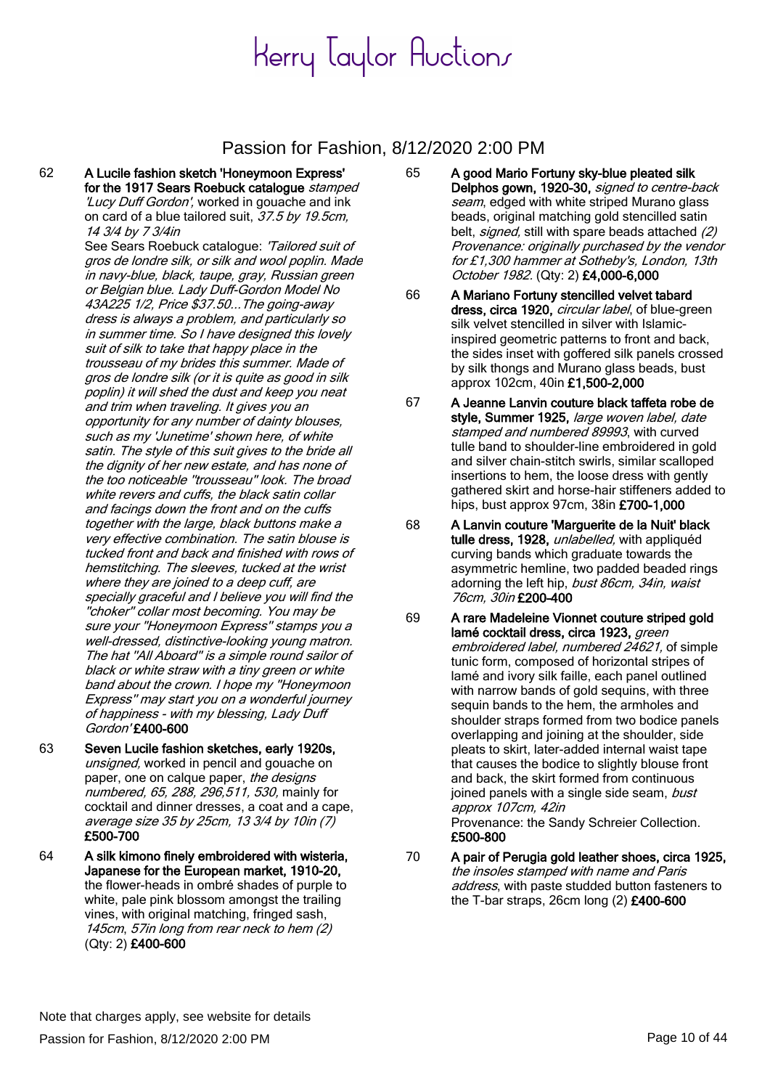#### Passion for Fashion, 8/12/2020 2:00 PM

- 62 A Lucile fashion sketch 'Honeymoon Express' for the 1917 Sears Roebuck catalogue stamped 'Lucy Duff Gordon', worked in gouache and ink on card of a blue tailored suit, 37.5 by 19.5cm, 14 3/4 by 7 3/4in See Sears Roebuck catalogue: 'Tailored suit of gros de londre silk, or silk and wool poplin. Made in navy-blue, black, taupe, gray, Russian green or Belgian blue. Lady Duff-Gordon Model No 43A225 1/2, Price \$37.50...The going-away dress is always a problem, and particularly so in summer time. So I have designed this lovely suit of silk to take that happy place in the trousseau of my brides this summer. Made of gros de londre silk (or it is quite as good in silk poplin) it will shed the dust and keep you neat and trim when traveling. It gives you an opportunity for any number of dainty blouses, such as my 'Junetime' shown here, of white satin. The style of this suit gives to the bride all the dignity of her new estate, and has none of the too noticeable ''trousseau'' look. The broad white revers and cuffs, the black satin collar and facings down the front and on the cuffs together with the large, black buttons make a very effective combination. The satin blouse is tucked front and back and finished with rows of hemstitching. The sleeves, tucked at the wrist where they are joined to a deep cuff, are specially graceful and I believe you will find the ''choker'' collar most becoming. You may be sure your ''Honeymoon Express'' stamps you a well-dressed, distinctive-looking young matron. The hat ''All Aboard'' is a simple round sailor of black or white straw with a tiny green or white band about the crown. I hope my ''Honeymoon Express'' may start you on a wonderful journey of happiness - with my blessing, Lady Duff Gordon' £400-600
- 63 Seven Lucile fashion sketches, early 1920s, unsianed, worked in pencil and gouache on paper, one on calque paper, the designs numbered, 65, 288, 296, 511, 530, mainly for cocktail and dinner dresses, a coat and a cape, average size 35 by 25cm, 13 3/4 by 10in (7) £500-700
- 64 A silk kimono finely embroidered with wisteria, Japanese for the European market, 1910-20, the flower-heads in ombré shades of purple to white, pale pink blossom amongst the trailing vines, with original matching, fringed sash, 145cm, 57in long from rear neck to hem (2) (Qty: 2) £400-600
- 65 A good Mario Fortuny sky-blue pleated silk Delphos gown, 1920-30, signed to centre-back seam, edged with white striped Murano glass beads, original matching gold stencilled satin belt, *signed*, still with spare beads attached (2) Provenance: originally purchased by the vendor for £1,300 hammer at Sotheby's, London, 13th October 1982. (Qty: 2) £4,000-6,000
- 66 A Mariano Fortuny stencilled velvet tabard dress, circa 1920, *circular label*, of blue-green silk velvet stencilled in silver with Islamicinspired geometric patterns to front and back, the sides inset with goffered silk panels crossed by silk thongs and Murano glass beads, bust approx 102cm, 40in £1,500-2,000
- 67 A Jeanne Lanvin couture black taffeta robe de style, Summer 1925, large woven label, date stamped and numbered 89993, with curved tulle band to shoulder-line embroidered in gold and silver chain-stitch swirls, similar scalloped insertions to hem, the loose dress with gently gathered skirt and horse-hair stiffeners added to hips, bust approx 97cm, 38in £700-1,000
- 68 A Lanvin couture 'Marguerite de la Nuit' black tulle dress, 1928, unlabelled, with appliquéd curving bands which graduate towards the asymmetric hemline, two padded beaded rings adorning the left hip, bust 86cm, 34in, waist 76cm, 30in £200-400
- 69 A rare Madeleine Vionnet couture striped gold lamé cocktail dress, circa 1923, green embroidered label, numbered 24621, of simple tunic form, composed of horizontal stripes of lamé and ivory silk faille, each panel outlined with narrow bands of gold sequins, with three sequin bands to the hem, the armholes and shoulder straps formed from two bodice panels overlapping and joining at the shoulder, side pleats to skirt, later-added internal waist tape that causes the bodice to slightly blouse front and back, the skirt formed from continuous joined panels with a single side seam, bust approx 107cm, 42in Provenance: the Sandy Schreier Collection. £500-800
- 70 A pair of Perugia gold leather shoes, circa 1925, the insoles stamped with name and Paris address, with paste studded button fasteners to the T-bar straps, 26cm long  $(2)$  £400-600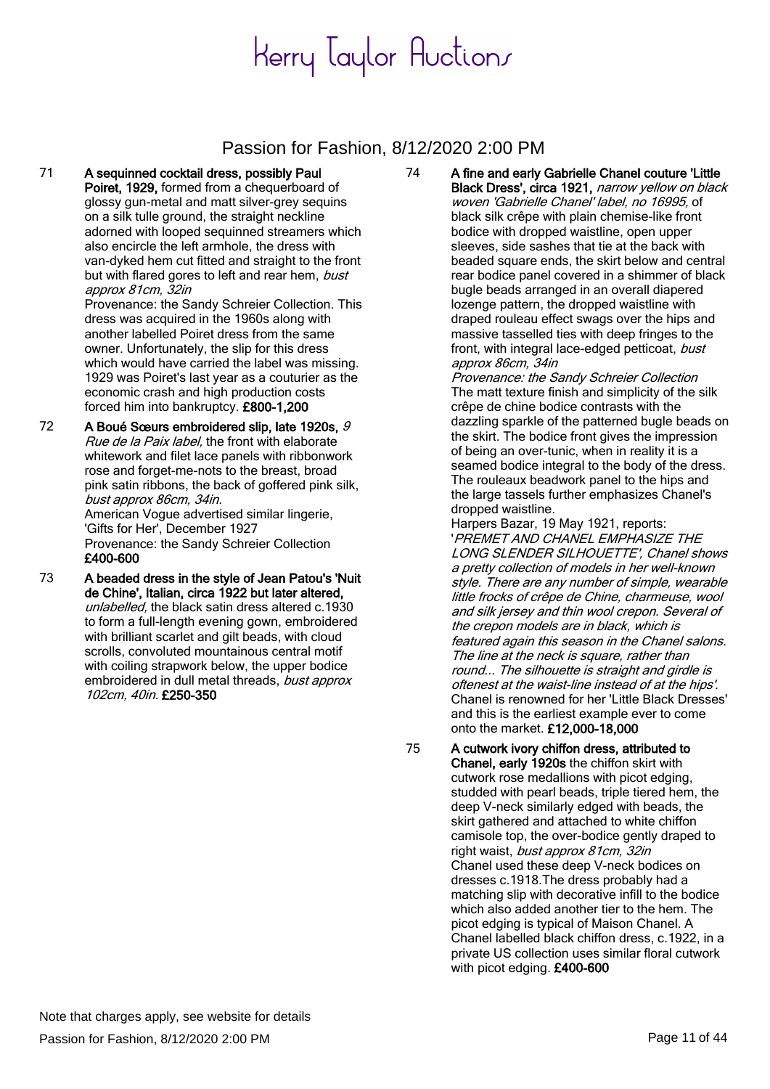### Passion for Fashion, 8/12/2020 2:00 PM

71 A sequinned cocktail dress, possibly Paul Poiret, 1929, formed from a chequerboard of glossy gun-metal and matt silver-grey sequins on a silk tulle ground, the straight neckline adorned with looped sequinned streamers which also encircle the left armhole, the dress with van-dyked hem cut fitted and straight to the front but with flared gores to left and rear hem, bust approx 81cm, 32in

Provenance: the Sandy Schreier Collection. This dress was acquired in the 1960s along with another labelled Poiret dress from the same owner. Unfortunately, the slip for this dress which would have carried the label was missing. 1929 was Poiret's last year as a couturier as the economic crash and high production costs forced him into bankruptcy. £800-1,200

72 A Boué Sœurs embroidered slip, late 1920s, 9 Rue de la Paix label, the front with elaborate whitework and filet lace panels with ribbonwork rose and forget-me-nots to the breast, broad pink satin ribbons, the back of goffered pink silk, bust approx 86cm, 34in. American Vogue advertised similar lingerie,

'Gifts for Her', December 1927 Provenance: the Sandy Schreier Collection £400-600

73 A beaded dress in the style of Jean Patou's 'Nuit de Chine', Italian, circa 1922 but later altered, unlabelled, the black satin dress altered c.1930 to form a full-length evening gown, embroidered with brilliant scarlet and gilt beads, with cloud scrolls, convoluted mountainous central motif with coiling strapwork below, the upper bodice embroidered in dull metal threads, bust approx 102cm, 40in. £250-350

74 A fine and early Gabrielle Chanel couture 'Little Black Dress', circa 1921, narrow yellow on black woven 'Gabrielle Chanel' label, no 16995, of black silk crêpe with plain chemise-like front bodice with dropped waistline, open upper sleeves, side sashes that tie at the back with beaded square ends, the skirt below and central rear bodice panel covered in a shimmer of black bugle beads arranged in an overall diapered lozenge pattern, the dropped waistline with draped rouleau effect swags over the hips and massive tasselled ties with deep fringes to the front, with integral lace-edged petticoat, bust approx 86cm, 34in

Provenance: the Sandy Schreier Collection The matt texture finish and simplicity of the silk crêpe de chine bodice contrasts with the dazzling sparkle of the patterned bugle beads on the skirt. The bodice front gives the impression of being an over-tunic, when in reality it is a seamed bodice integral to the body of the dress. The rouleaux beadwork panel to the hips and the large tassels further emphasizes Chanel's dropped waistline.

Harpers Bazar, 19 May 1921, reports: 'PREMET AND CHANEL EMPHASIZE THE LONG SLENDER SILHOUETTE', Chanel shows a pretty collection of models in her well-known style. There are any number of simple, wearable little frocks of crêpe de Chine, charmeuse, wool and silk jersey and thin wool crepon. Several of the crepon models are in black, which is featured again this season in the Chanel salons. The line at the neck is square, rather than round... The silhouette is straight and girdle is oftenest at the waist-line instead of at the hips'. Chanel is renowned for her 'Little Black Dresses' and this is the earliest example ever to come onto the market. £12,000-18,000

75 A cutwork ivory chiffon dress, attributed to Chanel, early 1920s the chiffon skirt with cutwork rose medallions with picot edging, studded with pearl beads, triple tiered hem, the deep V-neck similarly edged with beads, the skirt gathered and attached to white chiffon camisole top, the over-bodice gently draped to right waist, bust approx 81cm, 32in Chanel used these deep V-neck bodices on dresses c.1918.The dress probably had a matching slip with decorative infill to the bodice which also added another tier to the hem. The picot edging is typical of Maison Chanel. A Chanel labelled black chiffon dress, c.1922, in a private US collection uses similar floral cutwork with picot edging. £400-600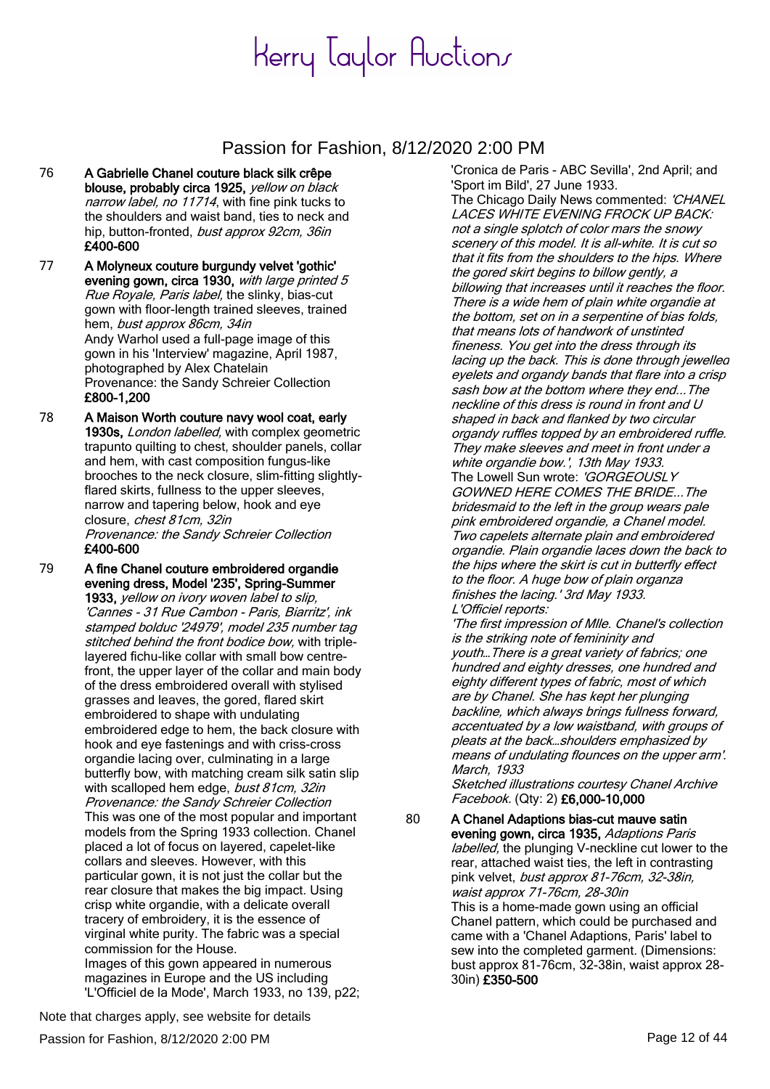#### Passion for Fashion, 8/12/2020 2:00 PM

76 A Gabrielle Chanel couture black silk crêpe blouse, probably circa 1925, yellow on black narrow label, no 11714, with fine pink tucks to the shoulders and waist band, ties to neck and hip, button-fronted, bust approx 92cm, 36in £400-600

77 A Molyneux couture burgundy velvet 'gothic' evening gown, circa 1930, with large printed 5 Rue Royale, Paris label, the slinky, bias-cut gown with floor-length trained sleeves, trained hem, bust approx 86cm, 34in Andy Warhol used a full-page image of this gown in his 'Interview' magazine, April 1987, photographed by Alex Chatelain Provenance: the Sandy Schreier Collection £800-1,200

78 A Maison Worth couture navy wool coat, early 1930s, London labelled, with complex geometric trapunto quilting to chest, shoulder panels, collar and hem, with cast composition fungus-like brooches to the neck closure, slim-fitting slightlyflared skirts, fullness to the upper sleeves, narrow and tapering below, hook and eye closure, chest 81cm, 32in Provenance: the Sandy Schreier Collection £400-600

79 A fine Chanel couture embroidered organdie evening dress, Model '235', Spring-Summer 1933, yellow on ivory woven label to slip, 'Cannes - 31 Rue Cambon - Paris, Biarritz', ink stamped bolduc '24979', model 235 number tag stitched behind the front bodice bow, with triplelayered fichu-like collar with small bow centrefront, the upper layer of the collar and main body of the dress embroidered overall with stylised grasses and leaves, the gored, flared skirt embroidered to shape with undulating embroidered edge to hem, the back closure with hook and eye fastenings and with criss-cross organdie lacing over, culminating in a large butterfly bow, with matching cream silk satin slip with scalloped hem edge, bust 81cm, 32in Provenance: the Sandy Schreier Collection This was one of the most popular and important models from the Spring 1933 collection. Chanel placed a lot of focus on layered, capelet-like collars and sleeves. However, with this particular gown, it is not just the collar but the rear closure that makes the big impact. Using crisp white organdie, with a delicate overall tracery of embroidery, it is the essence of virginal white purity. The fabric was a special commission for the House. Images of this gown appeared in numerous magazines in Europe and the US including 'L'Officiel de la Mode', March 1933, no 139, p22;

'Sport im Bild', 27 June 1933. The Chicago Daily News commented: 'CHANEL LACES WHITE EVENING FROCK UP BACK: not a single splotch of color mars the snowy scenery of this model. It is all-white. It is cut so that it fits from the shoulders to the hips. Where the gored skirt begins to billow gently, a billowing that increases until it reaches the floor. There is a wide hem of plain white organdie at the bottom, set on in a serpentine of bias folds, that means lots of handwork of unstinted fineness. You get into the dress through its lacing up the back. This is done through jewelled eyelets and organdy bands that flare into a crisp sash bow at the bottom where they end...The neckline of this dress is round in front and U shaped in back and flanked by two circular organdy ruffles topped by an embroidered ruffle. They make sleeves and meet in front under a white organdie bow.', 13th May 1933. The Lowell Sun wrote: 'GORGEOUSLY GOWNED HERE COMES THE BRIDE...The bridesmaid to the left in the group wears pale pink embroidered organdie, a Chanel model. Two capelets alternate plain and embroidered organdie. Plain organdie laces down the back to the hips where the skirt is cut in butterfly effect to the floor. A huge bow of plain organza finishes the lacing.' 3rd May 1933. L'Officiel reports:

'Cronica de Paris - ABC Sevilla', 2nd April; and

'The first impression of Mlle. Chanel's collection is the striking note of femininity and youth…There is a great variety of fabrics; one hundred and eighty dresses, one hundred and eighty different types of fabric, most of which are by Chanel. She has kept her plunging backline, which always brings fullness forward, accentuated by a low waistband, with groups of pleats at the back…shoulders emphasized by means of undulating flounces on the upper arm'. March, 1933

Sketched illustrations courtesy Chanel Archive Facebook. (Qty: 2) £6,000-10,000

80 A Chanel Adaptions bias-cut mauve satin evening gown, circa 1935, Adaptions Paris labelled, the plunging V-neckline cut lower to the rear, attached waist ties, the left in contrasting pink velvet, bust approx 81-76cm, 32-38in, waist approx 71-76cm, 28-30in This is a home-made gown using an official Chanel pattern, which could be purchased and came with a 'Chanel Adaptions, Paris' label to sew into the completed garment. (Dimensions: bust approx 81-76cm, 32-38in, waist approx 28- 30in) £350-500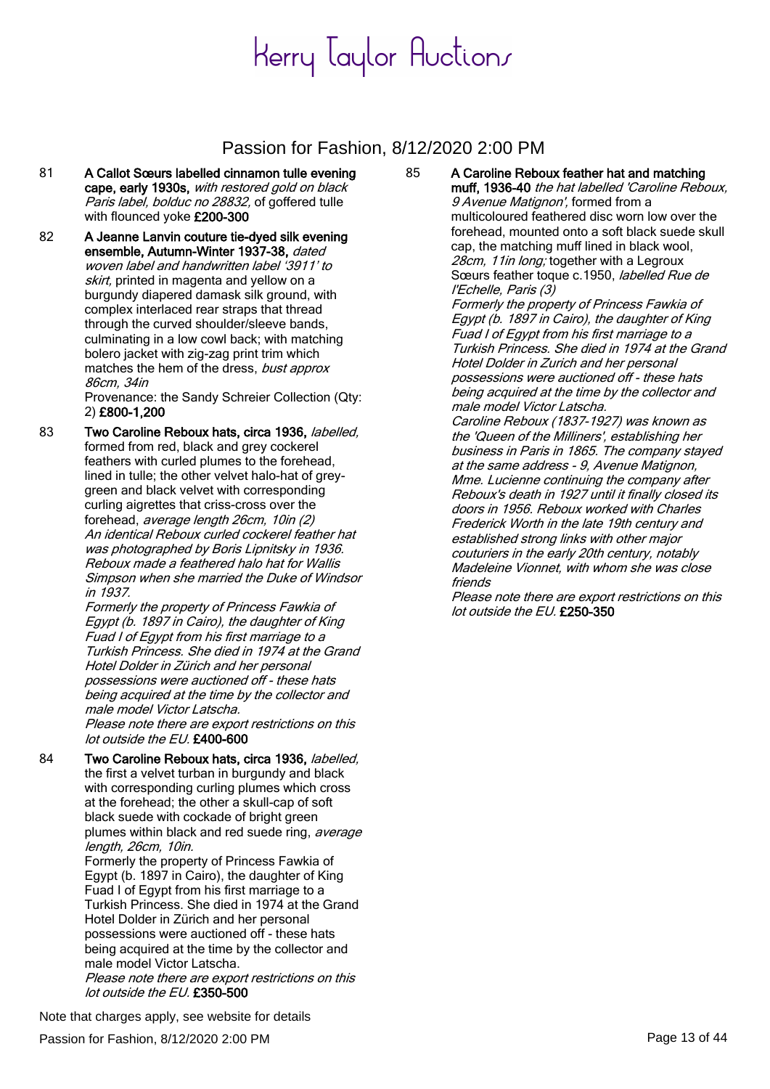#### Passion for Fashion, 8/12/2020 2:00 PM

- 81 A Callot Sœurs labelled cinnamon tulle evening cape, early 1930s, with restored gold on black Paris label, bolduc no 28832, of goffered tulle with flounced yoke £200-300
- 82 A Jeanne Lanvin couture tie-dyed silk evening ensemble, Autumn-Winter 1937-38, dated woven label and handwritten label '3911' to skirt, printed in magenta and yellow on a burgundy diapered damask silk ground, with complex interlaced rear straps that thread through the curved shoulder/sleeve bands, culminating in a low cowl back; with matching bolero jacket with zig-zag print trim which matches the hem of the dress, bust approx 86cm, 34in

Provenance: the Sandy Schreier Collection (Qty: 2) £800-1,200

83 Two Caroline Reboux hats, circa 1936, labelled, formed from red, black and grey cockerel feathers with curled plumes to the forehead, lined in tulle; the other velvet halo-hat of greygreen and black velvet with corresponding curling aigrettes that criss-cross over the forehead, average length 26cm, 10in (2) An identical Reboux curled cockerel feather hat was photographed by Boris Lipnitsky in 1936. Reboux made a feathered halo hat for Wallis Simpson when she married the Duke of Windsor in 1937.

Formerly the property of Princess Fawkia of Egypt (b. 1897 in Cairo), the daughter of King Fuad I of Egypt from his first marriage to a Turkish Princess. She died in 1974 at the Grand Hotel Dolder in Zürich and her personal possessions were auctioned off - these hats being acquired at the time by the collector and male model Victor Latscha. Please note there are export restrictions on this

lot outside the EU. £400-600

84 Two Caroline Reboux hats, circa 1936, labelled, the first a velvet turban in burgundy and black with corresponding curling plumes which cross at the forehead; the other a skull-cap of soft black suede with cockade of bright green plumes within black and red suede ring, average length, 26cm, 10in.

Formerly the property of Princess Fawkia of Egypt (b. 1897 in Cairo), the daughter of King Fuad I of Egypt from his first marriage to a Turkish Princess. She died in 1974 at the Grand Hotel Dolder in Zürich and her personal possessions were auctioned off - these hats being acquired at the time by the collector and male model Victor Latscha.

Please note there are export restrictions on this lot outside the EU. £350-500

85 A Caroline Reboux feather hat and matching muff, 1936-40 the hat labelled 'Caroline Reboux, 9 Avenue Matignon', formed from a multicoloured feathered disc worn low over the forehead, mounted onto a soft black suede skull cap, the matching muff lined in black wool, 28cm, 11in long; together with a Legroux Sœurs feather toque c.1950, labelled Rue de l'Echelle, Paris (3) Formerly the property of Princess Fawkia of Egypt (b. 1897 in Cairo), the daughter of King Fuad I of Egypt from his first marriage to a Turkish Princess. She died in 1974 at the Grand Hotel Dolder in Zurich and her personal possessions were auctioned off - these hats

being acquired at the time by the collector and male model Victor Latscha.

Caroline Reboux (1837-1927) was known as the 'Queen of the Milliners', establishing her business in Paris in 1865. The company stayed at the same address - 9, Avenue Matignon, Mme. Lucienne continuing the company after Reboux's death in 1927 until it finally closed its doors in 1956. Reboux worked with Charles Frederick Worth in the late 19th century and established strong links with other major couturiers in the early 20th century, notably Madeleine Vionnet, with whom she was close friends

Please note there are export restrictions on this lot outside the EU. £250-350

Note that charges apply, see website for details

Passion for Fashion, 8/12/2020 2:00 PM Page 13 of 44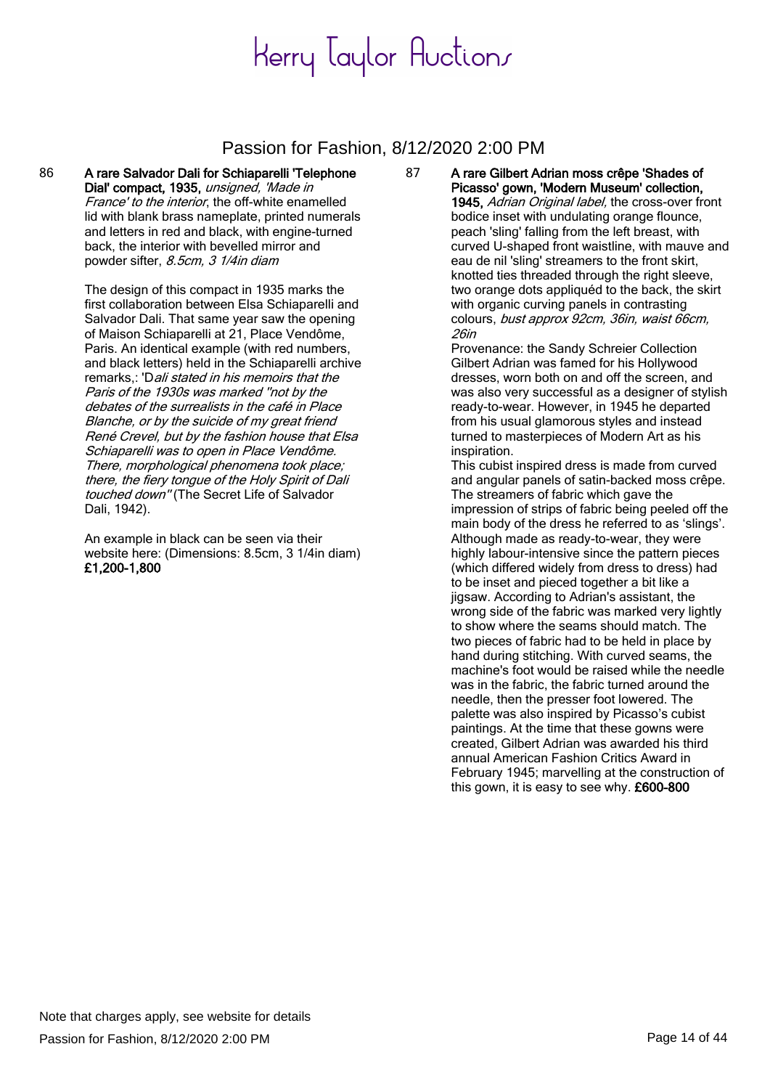#### Passion for Fashion, 8/12/2020 2:00 PM

86 A rare Salvador Dali for Schiaparelli 'Telephone Dial' compact, 1935, unsigned, 'Made in France' to the interior, the off-white enamelled lid with blank brass nameplate, printed numerals and letters in red and black, with engine-turned back, the interior with bevelled mirror and powder sifter, 8.5cm, 3 1/4in diam

> The design of this compact in 1935 marks the first collaboration between Elsa Schiaparelli and Salvador Dali. That same year saw the opening of Maison Schiaparelli at 21, Place Vendôme, Paris. An identical example (with red numbers, and black letters) held in the Schiaparelli archive remarks,: 'Dali stated in his memoirs that the Paris of the 1930s was marked ''not by the debates of the surrealists in the café in Place Blanche, or by the suicide of my great friend René Crevel, but by the fashion house that Elsa Schiaparelli was to open in Place Vendôme. There, morphological phenomena took place; there, the fiery tongue of the Holy Spirit of Dali touched down" (The Secret Life of Salvador Dali, 1942).

> An example in black can be seen via their website here: (Dimensions: 8.5cm, 3 1/4in diam) £1,200-1,800

87 A rare Gilbert Adrian moss crêpe 'Shades of Picasso' gown, 'Modern Museum' collection, 1945, Adrian Original label, the cross-over front bodice inset with undulating orange flounce, peach 'sling' falling from the left breast, with curved U-shaped front waistline, with mauve and eau de nil 'sling' streamers to the front skirt, knotted ties threaded through the right sleeve, two orange dots appliquéd to the back, the skirt with organic curving panels in contrasting colours, bust approx 92cm, 36in, waist 66cm, 26in

Provenance: the Sandy Schreier Collection Gilbert Adrian was famed for his Hollywood dresses, worn both on and off the screen, and was also very successful as a designer of stylish ready-to-wear. However, in 1945 he departed from his usual glamorous styles and instead turned to masterpieces of Modern Art as his inspiration.

This cubist inspired dress is made from curved and angular panels of satin-backed moss crêpe. The streamers of fabric which gave the impression of strips of fabric being peeled off the main body of the dress he referred to as 'slings'. Although made as ready-to-wear, they were highly labour-intensive since the pattern pieces (which differed widely from dress to dress) had to be inset and pieced together a bit like a jigsaw. According to Adrian's assistant, the wrong side of the fabric was marked very lightly to show where the seams should match. The two pieces of fabric had to be held in place by hand during stitching. With curved seams, the machine's foot would be raised while the needle was in the fabric, the fabric turned around the needle, then the presser foot lowered. The palette was also inspired by Picasso's cubist paintings. At the time that these gowns were created, Gilbert Adrian was awarded his third annual American Fashion Critics Award in February 1945; marvelling at the construction of this gown, it is easy to see why. £600-800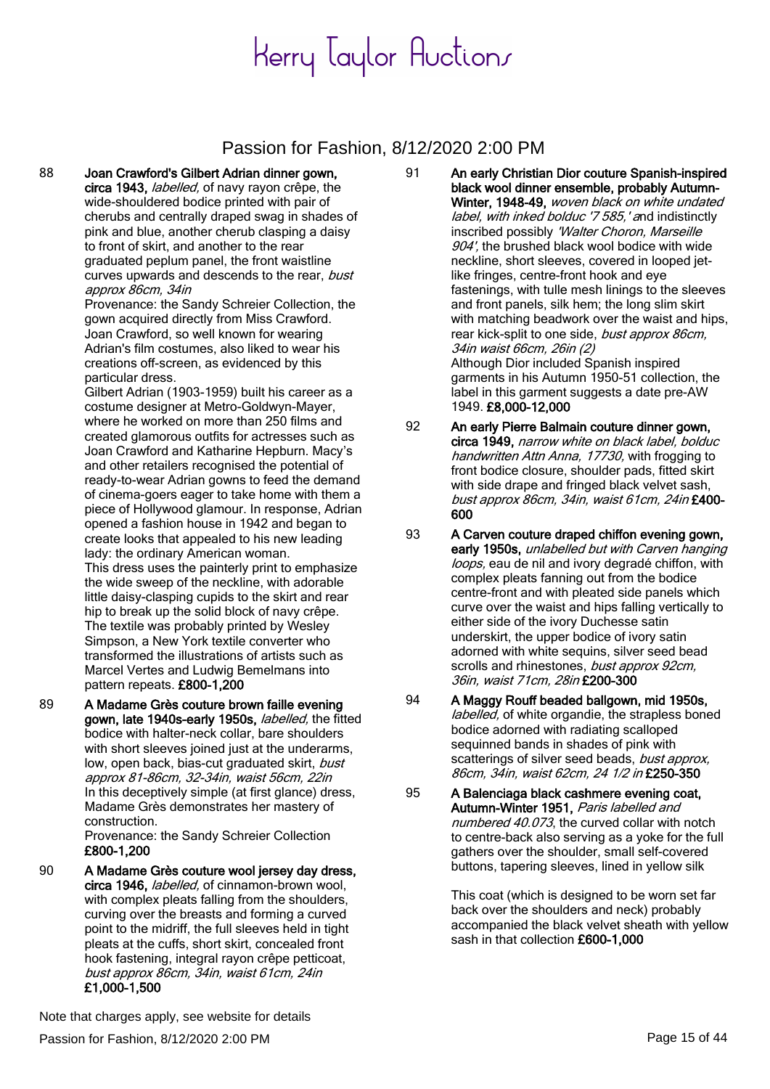#### Passion for Fashion, 8/12/2020 2:00 PM

88 Joan Crawford's Gilbert Adrian dinner gown, circa 1943, *labelled*, of navy rayon crêpe, the wide-shouldered bodice printed with pair of cherubs and centrally draped swag in shades of pink and blue, another cherub clasping a daisy to front of skirt, and another to the rear graduated peplum panel, the front waistline curves upwards and descends to the rear, bust approx 86cm, 34in

Provenance: the Sandy Schreier Collection, the gown acquired directly from Miss Crawford. Joan Crawford, so well known for wearing Adrian's film costumes, also liked to wear his creations off-screen, as evidenced by this particular dress.

Gilbert Adrian (1903-1959) built his career as a costume designer at Metro-Goldwyn-Mayer, where he worked on more than 250 films and created glamorous outfits for actresses such as Joan Crawford and Katharine Hepburn. Macy's and other retailers recognised the potential of ready-to-wear Adrian gowns to feed the demand of cinema-goers eager to take home with them a piece of Hollywood glamour. In response, Adrian opened a fashion house in 1942 and began to create looks that appealed to his new leading lady: the ordinary American woman. This dress uses the painterly print to emphasize the wide sweep of the neckline, with adorable little daisy-clasping cupids to the skirt and rear hip to break up the solid block of navy crêpe. The textile was probably printed by Wesley Simpson, a New York textile converter who transformed the illustrations of artists such as Marcel Vertes and Ludwig Bemelmans into pattern repeats. £800-1,200

89 A Madame Grès couture brown faille evening gown, late 1940s-early 1950s, labelled, the fitted bodice with halter-neck collar, bare shoulders with short sleeves joined just at the underarms, low, open back, bias-cut graduated skirt, bust approx 81-86cm, 32-34in, waist 56cm, 22in In this deceptively simple (at first glance) dress, Madame Grès demonstrates her mastery of construction.

Provenance: the Sandy Schreier Collection £800-1,200

90 A Madame Grès couture wool jersey day dress, circa 1946, *labelled*, of cinnamon-brown wool, with complex pleats falling from the shoulders. curving over the breasts and forming a curved point to the midriff, the full sleeves held in tight pleats at the cuffs, short skirt, concealed front hook fastening, integral rayon crêpe petticoat, bust approx 86cm, 34in, waist 61cm, 24in £1,000-1,500

- 91 An early Christian Dior couture Spanish-inspired black wool dinner ensemble, probably Autumn-Winter, 1948-49, woven black on white undated label, with inked bolduc '7 585,' and indistinctly inscribed possibly 'Walter Choron, Marseille 904', the brushed black wool bodice with wide neckline, short sleeves, covered in looped jetlike fringes, centre-front hook and eye fastenings, with tulle mesh linings to the sleeves and front panels, silk hem; the long slim skirt with matching beadwork over the waist and hips, rear kick-split to one side, bust approx 86cm, 34in waist 66cm, 26in (2) Although Dior included Spanish inspired garments in his Autumn 1950-51 collection, the label in this garment suggests a date pre-AW 1949. £8,000-12,000
- 92 An early Pierre Balmain couture dinner gown, circa 1949, narrow white on black label, bolduc handwritten Attn Anna, 17730, with frogging to front bodice closure, shoulder pads, fitted skirt with side drape and fringed black velvet sash, bust approx 86cm, 34in, waist 61cm, 24in £400- 600
- 93 A Carven couture draped chiffon evening gown, early 1950s, unlabelled but with Carven hanging loops, eau de nil and ivory degradé chiffon, with complex pleats fanning out from the bodice centre-front and with pleated side panels which curve over the waist and hips falling vertically to either side of the ivory Duchesse satin underskirt, the upper bodice of ivory satin adorned with white sequins, silver seed bead scrolls and rhinestones, bust approx 92cm, 36in, waist 71cm, 28in £200-300
- 94 A Maggy Rouff beaded ballgown, mid 1950s, labelled, of white organdie, the strapless boned bodice adorned with radiating scalloped sequinned bands in shades of pink with scatterings of silver seed beads, bust approx, 86cm, 34in, waist 62cm, 24 1/2 in £250-350
- 95 A Balenciaga black cashmere evening coat, Autumn-Winter 1951, Paris labelled and numbered 40.073, the curved collar with notch to centre-back also serving as a yoke for the full gathers over the shoulder, small self-covered buttons, tapering sleeves, lined in yellow silk

This coat (which is designed to be worn set far back over the shoulders and neck) probably accompanied the black velvet sheath with yellow sash in that collection £600-1,000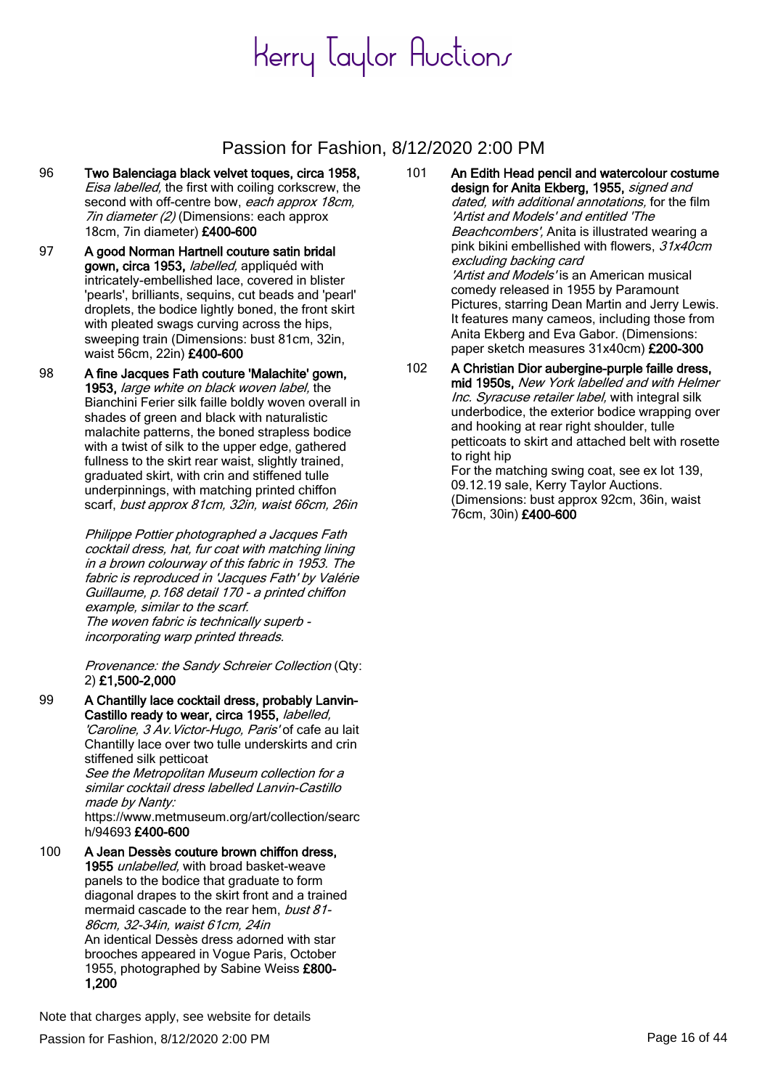#### Passion for Fashion, 8/12/2020 2:00 PM

- 96 Two Balenciaga black velvet toques, circa 1958, Eisa labelled, the first with coiling corkscrew, the second with off-centre bow, each approx 18cm, 7in diameter (2) (Dimensions: each approx 18cm, 7in diameter) £400-600
- 97 A good Norman Hartnell couture satin bridal gown, circa 1953, *labelled*, appliquéd with intricately-embellished lace, covered in blister 'pearls', brilliants, sequins, cut beads and 'pearl' droplets, the bodice lightly boned, the front skirt with pleated swags curving across the hips, sweeping train (Dimensions: bust 81cm, 32in, waist 56cm, 22in) £400-600
- 98 A fine Jacques Fath couture 'Malachite' gown, 1953, large white on black woven label, the Bianchini Ferier silk faille boldly woven overall in shades of green and black with naturalistic malachite patterns, the boned strapless bodice with a twist of silk to the upper edge, gathered fullness to the skirt rear waist, slightly trained, graduated skirt, with crin and stiffened tulle underpinnings, with matching printed chiffon scarf, bust approx 81cm, 32in, waist 66cm, 26in

Philippe Pottier photographed a Jacques Fath cocktail dress, hat, fur coat with matching lining in a brown colourway of this fabric in 1953. The fabric is reproduced in 'Jacques Fath' by Valérie Guillaume, p.168 detail 170 - a printed chiffon example, similar to the scarf. The woven fabric is technically superb incorporating warp printed threads.

Provenance: the Sandy Schreier Collection (Qty: 2) £1,500-2,000

99 A Chantilly lace cocktail dress, probably Lanvin-Castillo ready to wear, circa 1955, labelled, 'Caroline, 3 Av. Victor-Hugo, Paris' of cafe au lait Chantilly lace over two tulle underskirts and crin stiffened silk petticoat

See the Metropolitan Museum collection for a similar cocktail dress labelled Lanvin-Castillo made by Nanty:

https://www.metmuseum.org/art/collection/searc h/94693 £400-600

100 A Jean Dessès couture brown chiffon dress, 1955 unlabelled, with broad basket-weave panels to the bodice that graduate to form diagonal drapes to the skirt front and a trained mermaid cascade to the rear hem, bust 81-86cm, 32-34in, waist 61cm, 24in An identical Dessès dress adorned with star brooches appeared in Vogue Paris, October 1955, photographed by Sabine Weiss £800- 1,200

101 An Edith Head pencil and watercolour costume design for Anita Ekberg, 1955, signed and dated, with additional annotations, for the film 'Artist and Models' and entitled 'The Beachcombers', Anita is illustrated wearing a pink bikini embellished with flowers,  $31x40cm$ excluding backing card 'Artist and Models' is an American musical comedy released in 1955 by Paramount Pictures, starring Dean Martin and Jerry Lewis. It features many cameos, including those from Anita Ekberg and Eva Gabor. (Dimensions: paper sketch measures 31x40cm) £200-300

102 A Christian Dior aubergine-purple faille dress, mid 1950s, New York labelled and with Helmer Inc. Syracuse retailer label, with integral silk underbodice, the exterior bodice wrapping over and hooking at rear right shoulder, tulle petticoats to skirt and attached belt with rosette to right hip For the matching swing coat, see ex lot 139, 09.12.19 sale, Kerry Taylor Auctions.

(Dimensions: bust approx 92cm, 36in, waist 76cm, 30in) £400-600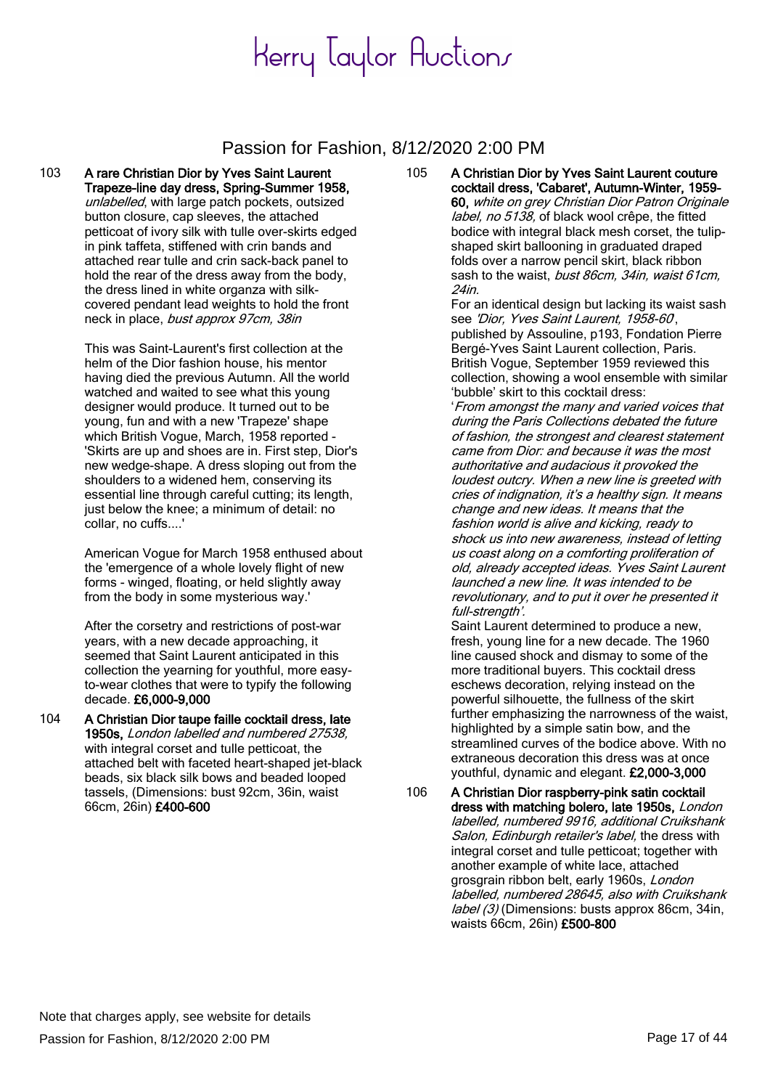### Passion for Fashion, 8/12/2020 2:00 PM

103 A rare Christian Dior by Yves Saint Laurent Trapeze-line day dress, Spring-Summer 1958, unlabelled, with large patch pockets, outsized button closure, cap sleeves, the attached petticoat of ivory silk with tulle over-skirts edged in pink taffeta, stiffened with crin bands and attached rear tulle and crin sack-back panel to hold the rear of the dress away from the body, the dress lined in white organza with silkcovered pendant lead weights to hold the front neck in place, bust approx 97cm, 38in

> This was Saint-Laurent's first collection at the helm of the Dior fashion house, his mentor having died the previous Autumn. All the world watched and waited to see what this young designer would produce. It turned out to be young, fun and with a new 'Trapeze' shape which British Vogue, March, 1958 reported - 'Skirts are up and shoes are in. First step, Dior's new wedge-shape. A dress sloping out from the shoulders to a widened hem, conserving its essential line through careful cutting; its length, just below the knee; a minimum of detail: no collar, no cuffs....'

American Vogue for March 1958 enthused about the 'emergence of a whole lovely flight of new forms - winged, floating, or held slightly away from the body in some mysterious way.'

After the corsetry and restrictions of post-war years, with a new decade approaching, it seemed that Saint Laurent anticipated in this collection the yearning for youthful, more easyto-wear clothes that were to typify the following decade. £6,000-9,000

104 A Christian Dior taupe faille cocktail dress, late 1950s, London labelled and numbered 27538. with integral corset and tulle petticoat, the attached belt with faceted heart-shaped jet-black beads, six black silk bows and beaded looped tassels, (Dimensions: bust 92cm, 36in, waist 66cm, 26in) £400-600

105 A Christian Dior by Yves Saint Laurent couture cocktail dress, 'Cabaret', Autumn-Winter, 1959- 60, white on grey Christian Dior Patron Originale label, no 5138, of black wool crêpe, the fitted bodice with integral black mesh corset, the tulipshaped skirt ballooning in graduated draped folds over a narrow pencil skirt, black ribbon sash to the waist, bust 86cm, 34in, waist 61cm, 24in.

For an identical design but lacking its waist sash see 'Dior, Yves Saint Laurent, 1958-60, published by Assouline, p193, Fondation Pierre Bergé-Yves Saint Laurent collection, Paris. British Vogue, September 1959 reviewed this collection, showing a wool ensemble with similar 'bubble' skirt to this cocktail dress:

'From amongst the many and varied voices that during the Paris Collections debated the future of fashion, the strongest and clearest statement came from Dior: and because it was the most authoritative and audacious it provoked the loudest outcry. When a new line is greeted with cries of indignation, it's a healthy sign. It means change and new ideas. It means that the fashion world is alive and kicking, ready to shock us into new awareness, instead of letting us coast along on a comforting proliferation of old, already accepted ideas. Yves Saint Laurent launched a new line. It was intended to be revolutionary, and to put it over he presented it full-strength'.

Saint Laurent determined to produce a new, fresh, young line for a new decade. The 1960 line caused shock and dismay to some of the more traditional buyers. This cocktail dress eschews decoration, relying instead on the powerful silhouette, the fullness of the skirt further emphasizing the narrowness of the waist, highlighted by a simple satin bow, and the streamlined curves of the bodice above. With no extraneous decoration this dress was at once youthful, dynamic and elegant. £2,000-3,000

106 A Christian Dior raspberry-pink satin cocktail dress with matching bolero, late 1950s, London labelled, numbered 9916, additional Cruikshank Salon, Edinburgh retailer's label, the dress with integral corset and tulle petticoat; together with another example of white lace, attached grosgrain ribbon belt, early 1960s, London labelled, numbered 28645, also with Cruikshank label (3) (Dimensions: busts approx 86cm, 34in, waists 66cm, 26in) £500-800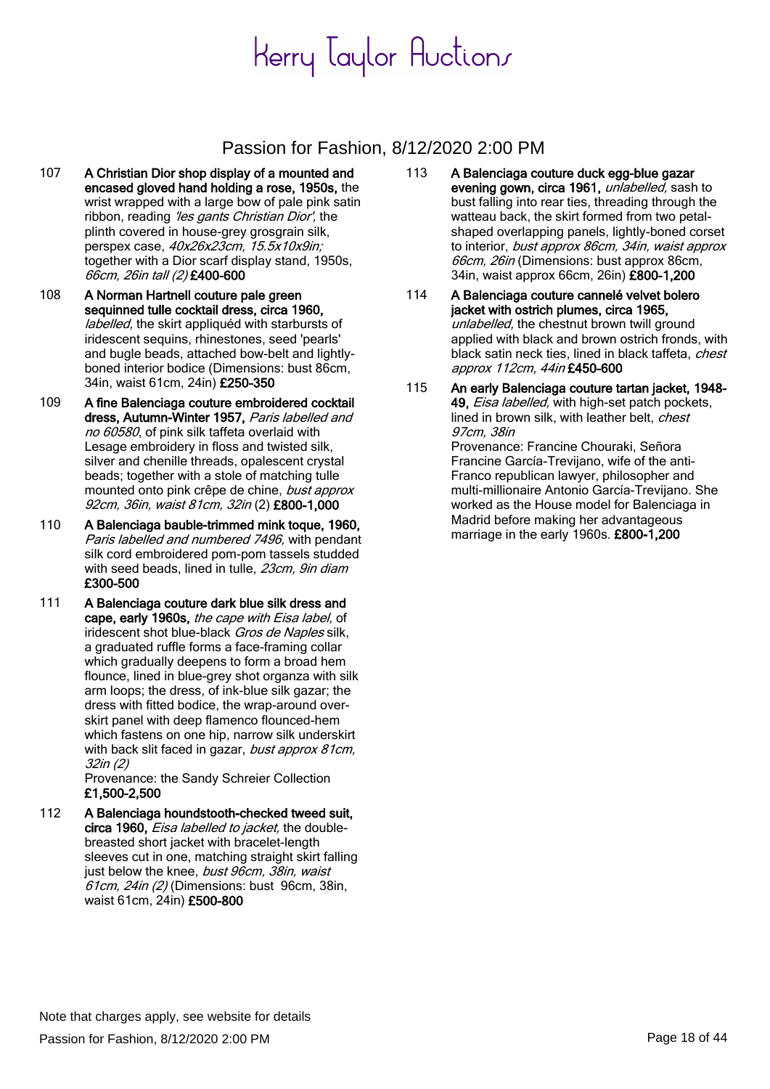### Passion for Fashion, 8/12/2020 2:00 PM

- 107 A Christian Dior shop display of a mounted and encased gloved hand holding a rose, 1950s, the wrist wrapped with a large bow of pale pink satin ribbon, reading 'les gants Christian Dior', the plinth covered in house-grey grosgrain silk, perspex case, 40x26x23cm, 15.5x10x9in; together with a Dior scarf display stand, 1950s, 66cm, 26in tall (2) £400-600
- 108 A Norman Hartnell couture pale green sequinned tulle cocktail dress, circa 1960, labelled, the skirt appliquéd with starbursts of iridescent sequins, rhinestones, seed 'pearls' and bugle beads, attached bow-belt and lightlyboned interior bodice (Dimensions: bust 86cm, 34in, waist 61cm, 24in) £250-350
- 109 A fine Balenciaga couture embroidered cocktail dress, Autumn-Winter 1957, Paris labelled and no 60580, of pink silk taffeta overlaid with Lesage embroidery in floss and twisted silk, silver and chenille threads, opalescent crystal beads; together with a stole of matching tulle mounted onto pink crêpe de chine, *bust approx* 92cm, 36in, waist 81cm, 32in (2) £800-1,000
- 110 A Balenciaga bauble-trimmed mink toque, 1960, Paris labelled and numbered 7496, with pendant silk cord embroidered pom-pom tassels studded with seed beads, lined in tulle, 23cm, 9in diam £300-500
- 111 A Balenciaga couture dark blue silk dress and cape, early 1960s, the cape with Eisa label, of iridescent shot blue-black Gros de Naples silk, a graduated ruffle forms a face-framing collar which gradually deepens to form a broad hem flounce, lined in blue-grey shot organza with silk arm loops; the dress, of ink-blue silk gazar; the dress with fitted bodice, the wrap-around overskirt panel with deep flamenco flounced-hem which fastens on one hip, narrow silk underskirt with back slit faced in gazar, bust approx 81cm. 32in (2)

Provenance: the Sandy Schreier Collection £1,500-2,500

112 A Balenciaga houndstooth-checked tweed suit, circa 1960, *Eisa labelled to jacket*, the doublebreasted short jacket with bracelet-length sleeves cut in one, matching straight skirt falling just below the knee, *bust 96cm, 38in, waist*  $61$ cm,  $24$ in (2) (Dimensions: bust 96cm, 38in, waist 61cm, 24in) £500-800

- 113 A Balenciaga couture duck egg-blue gazar evening gown, circa 1961, unlabelled, sash to bust falling into rear ties, threading through the watteau back, the skirt formed from two petalshaped overlapping panels, lightly-boned corset to interior, bust approx 86cm, 34in, waist approx 66cm, 26in (Dimensions: bust approx 86cm, 34in, waist approx 66cm, 26in) £800-1,200
- 114 A Balenciaga couture cannelé velvet bolero jacket with ostrich plumes, circa 1965, unlabelled, the chestnut brown twill ground applied with black and brown ostrich fronds, with black satin neck ties, lined in black taffeta, chest approx 112cm, 44in £450-600
- 115 An early Balenciaga couture tartan jacket, 1948- 49, *Eisa labelled*, with high-set patch pockets, lined in brown silk, with leather belt, chest 97cm, 38in Provenance: Francine Chouraki, Señora Francine García-Trevijano, wife of the anti-Franco republican lawyer, philosopher and multi-millionaire Antonio García-Trevijano. She worked as the House model for Balenciaga in Madrid before making her advantageous marriage in the early 1960s. £800-1,200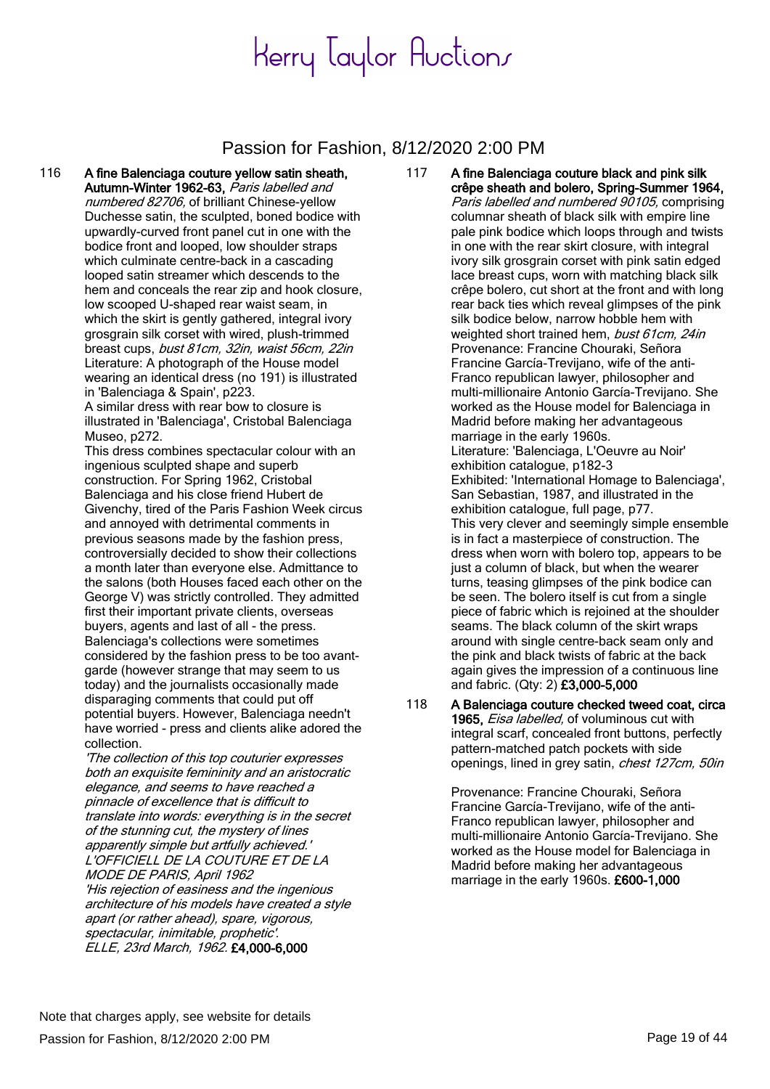#### Passion for Fashion, 8/12/2020 2:00 PM

116 A fine Balenciaga couture yellow satin sheath, Autumn-Winter 1962-63, Paris labelled and numbered 82706, of brilliant Chinese-yellow Duchesse satin, the sculpted, boned bodice with upwardly-curved front panel cut in one with the bodice front and looped, low shoulder straps which culminate centre-back in a cascading looped satin streamer which descends to the hem and conceals the rear zip and hook closure, low scooped U-shaped rear waist seam, in which the skirt is gently gathered, integral ivory grosgrain silk corset with wired, plush-trimmed breast cups, bust 81cm, 32in, waist 56cm, 22in Literature: A photograph of the House model wearing an identical dress (no 191) is illustrated in 'Balenciaga & Spain', p223.

A similar dress with rear bow to closure is illustrated in 'Balenciaga', Cristobal Balenciaga Museo, p272.

This dress combines spectacular colour with an ingenious sculpted shape and superb construction. For Spring 1962, Cristobal Balenciaga and his close friend Hubert de Givenchy, tired of the Paris Fashion Week circus and annoyed with detrimental comments in previous seasons made by the fashion press, controversially decided to show their collections a month later than everyone else. Admittance to the salons (both Houses faced each other on the George V) was strictly controlled. They admitted first their important private clients, overseas buyers, agents and last of all - the press. Balenciaga's collections were sometimes considered by the fashion press to be too avantgarde (however strange that may seem to us today) and the journalists occasionally made disparaging comments that could put off potential buyers. However, Balenciaga needn't have worried - press and clients alike adored the collection.

'The collection of this top couturier expresses both an exquisite femininity and an aristocratic elegance, and seems to have reached a pinnacle of excellence that is difficult to translate into words: everything is in the secret of the stunning cut, the mystery of lines apparently simple but artfully achieved.' L'OFFICIELL DE LA COUTURE ET DE LA MODE DE PARIS, April 1962 'His rejection of easiness and the ingenious architecture of his models have created a style apart (or rather ahead), spare, vigorous, spectacular, inimitable, prophetic'. ELLE, 23rd March, 1962. £4,000-6,000

117 A fine Balenciaga couture black and pink silk crêpe sheath and bolero, Spring-Summer 1964,

Paris labelled and numbered 90105, comprising columnar sheath of black silk with empire line pale pink bodice which loops through and twists in one with the rear skirt closure, with integral ivory silk grosgrain corset with pink satin edged lace breast cups, worn with matching black silk crêpe bolero, cut short at the front and with long rear back ties which reveal glimpses of the pink silk bodice below, narrow hobble hem with weighted short trained hem, bust 61cm, 24in Provenance: Francine Chouraki, Señora Francine García-Trevijano, wife of the anti-Franco republican lawyer, philosopher and multi-millionaire Antonio García-Trevijano. She worked as the House model for Balenciaga in Madrid before making her advantageous marriage in the early 1960s. Literature: 'Balenciaga, L'Oeuvre au Noir' exhibition catalogue, p182-3 Exhibited: 'International Homage to Balenciaga', San Sebastian, 1987, and illustrated in the exhibition catalogue, full page, p77. This very clever and seemingly simple ensemble is in fact a masterpiece of construction. The dress when worn with bolero top, appears to be just a column of black, but when the wearer turns, teasing glimpses of the pink bodice can be seen. The bolero itself is cut from a single piece of fabric which is rejoined at the shoulder seams. The black column of the skirt wraps around with single centre-back seam only and the pink and black twists of fabric at the back again gives the impression of a continuous line and fabric. (Qty: 2) £3,000-5,000

118 A Balenciaga couture checked tweed coat, circa 1965, *Eisa labelled*, of voluminous cut with integral scarf, concealed front buttons, perfectly pattern-matched patch pockets with side openings, lined in grey satin, *chest 127cm, 50in* 

> Provenance: Francine Chouraki, Señora Francine García-Trevijano, wife of the anti-Franco republican lawyer, philosopher and multi-millionaire Antonio García-Trevijano. She worked as the House model for Balenciaga in Madrid before making her advantageous marriage in the early 1960s. £600-1,000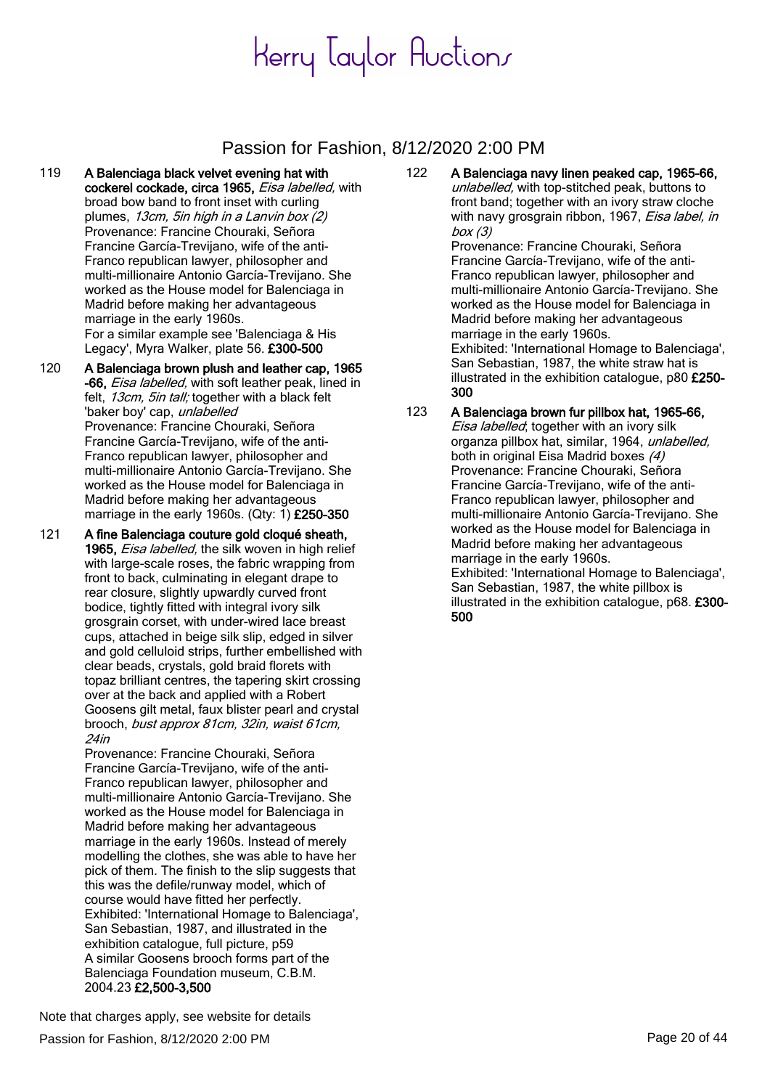### Passion for Fashion, 8/12/2020 2:00 PM

- 119 A Balenciaga black velvet evening hat with cockerel cockade, circa 1965, Eisa labelled, with broad bow band to front inset with curling plumes, 13cm, 5in high in a Lanvin box (2) Provenance: Francine Chouraki, Señora Francine García-Trevijano, wife of the anti-Franco republican lawyer, philosopher and multi-millionaire Antonio García-Trevijano. She worked as the House model for Balenciaga in Madrid before making her advantageous marriage in the early 1960s. For a similar example see 'Balenciaga & His Legacy', Myra Walker, plate 56. £300-500
- 120 A Balenciaga brown plush and leather cap, 1965 -66, *Eisa labelled*, with soft leather peak, lined in felt, 13cm, 5in tall; together with a black felt 'baker boy' cap, unlabelled Provenance: Francine Chouraki, Señora Francine García-Trevijano, wife of the anti-Franco republican lawyer, philosopher and multi-millionaire Antonio García-Trevijano. She worked as the House model for Balenciaga in Madrid before making her advantageous marriage in the early 1960s. (Qty: 1) £250-350
- 121 A fine Balenciaga couture gold cloqué sheath, 1965, Eisa labelled, the silk woven in high relief with large-scale roses, the fabric wrapping from front to back, culminating in elegant drape to rear closure, slightly upwardly curved front bodice, tightly fitted with integral ivory silk grosgrain corset, with under-wired lace breast cups, attached in beige silk slip, edged in silver and gold celluloid strips, further embellished with clear beads, crystals, gold braid florets with topaz brilliant centres, the tapering skirt crossing over at the back and applied with a Robert Goosens gilt metal, faux blister pearl and crystal brooch, bust approx 81cm, 32in, waist 61cm, 24in

Provenance: Francine Chouraki, Señora Francine García-Trevijano, wife of the anti-Franco republican lawyer, philosopher and multi-millionaire Antonio García-Trevijano. She worked as the House model for Balenciaga in Madrid before making her advantageous marriage in the early 1960s. Instead of merely modelling the clothes, she was able to have her pick of them. The finish to the slip suggests that this was the defile/runway model, which of course would have fitted her perfectly. Exhibited: 'International Homage to Balenciaga', San Sebastian, 1987, and illustrated in the exhibition catalogue, full picture, p59 A similar Goosens brooch forms part of the Balenciaga Foundation museum, C.B.M. 2004.23 £2,500-3,500

122 A Balenciaga navy linen peaked cap, 1965-66, unlabelled, with top-stitched peak, buttons to front band; together with an ivory straw cloche with navy grosgrain ribbon, 1967, Eisa label. in box  $(3)$ Provenance: Francine Chouraki, Señora Francine García-Trevijano, wife of the anti-Franco republican lawyer, philosopher and multi-millionaire Antonio García-Trevijano. She worked as the House model for Balenciaga in Madrid before making her advantageous marriage in the early 1960s. Exhibited: 'International Homage to Balenciaga', San Sebastian, 1987, the white straw hat is illustrated in the exhibition catalogue, p80 £250- 300

123 A Balenciaga brown fur pillbox hat, 1965-66, Eisa labelled; together with an ivory silk organza pillbox hat, similar, 1964, unlabelled, both in original Eisa Madrid boxes (4) Provenance: Francine Chouraki, Señora Francine García-Trevijano, wife of the anti-Franco republican lawyer, philosopher and multi-millionaire Antonio García-Trevijano. She worked as the House model for Balenciaga in Madrid before making her advantageous marriage in the early 1960s. Exhibited: 'International Homage to Balenciaga', San Sebastian, 1987, the white pillbox is illustrated in the exhibition catalogue, p68. £300- 500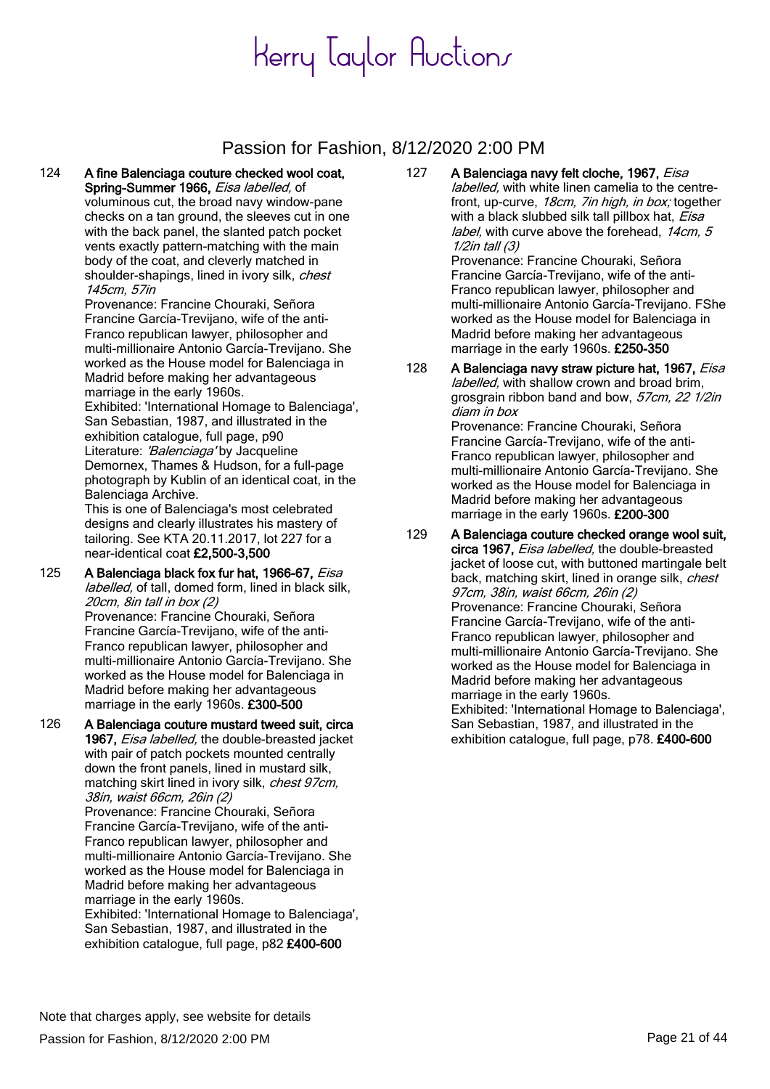### Passion for Fashion, 8/12/2020 2:00 PM

124 A fine Balenciaga couture checked wool coat, Spring-Summer 1966, Eisa labelled, of voluminous cut, the broad navy window-pane checks on a tan ground, the sleeves cut in one with the back panel, the slanted patch pocket vents exactly pattern-matching with the main body of the coat, and cleverly matched in shoulder-shapings, lined in ivory silk, chest 145cm, 57in

Provenance: Francine Chouraki, Señora Francine García-Trevijano, wife of the anti-Franco republican lawyer, philosopher and multi-millionaire Antonio García-Trevijano. She worked as the House model for Balenciaga in Madrid before making her advantageous marriage in the early 1960s.

Exhibited: 'International Homage to Balenciaga', San Sebastian, 1987, and illustrated in the exhibition catalogue, full page, p90 Literature: 'Balenciaga' by Jacqueline Demornex, Thames & Hudson, for a full-page photograph by Kublin of an identical coat, in the Balenciaga Archive.

This is one of Balenciaga's most celebrated designs and clearly illustrates his mastery of tailoring. See KTA 20.11.2017, lot 227 for a near-identical coat £2,500-3,500

- 125 A Balenciaga black fox fur hat, 1966-67, Eisa labelled, of tall, domed form, lined in black silk, 20cm, 8in tall in box (2) Provenance: Francine Chouraki, Señora Francine García-Trevijano, wife of the anti-Franco republican lawyer, philosopher and multi-millionaire Antonio García-Trevijano. She worked as the House model for Balenciaga in Madrid before making her advantageous marriage in the early 1960s. £300-500
- 126 A Balenciaga couture mustard tweed suit, circa 1967, Eisa labelled, the double-breasted jacket with pair of patch pockets mounted centrally down the front panels, lined in mustard silk, matching skirt lined in ivory silk, chest 97cm, 38in, waist 66cm, 26in (2) Provenance: Francine Chouraki, Señora Francine García-Trevijano, wife of the anti-Franco republican lawyer, philosopher and multi-millionaire Antonio García-Trevijano. She worked as the House model for Balenciaga in Madrid before making her advantageous marriage in the early 1960s. Exhibited: 'International Homage to Balenciaga',

San Sebastian, 1987, and illustrated in the exhibition catalogue, full page, p82 £400-600 127 A Balenciaga navy felt cloche, 1967, Eisa labelled, with white linen camelia to the centrefront, up-curve, 18cm, 7in high, in box; together with a black slubbed silk tall pillbox hat, Eisa label, with curve above the forehead, 14cm, 5 1/2in tall (3) Provenance: Francine Chouraki, Señora

Francine García-Trevijano, wife of the anti-Franco republican lawyer, philosopher and multi-millionaire Antonio García-Trevijano. FShe worked as the House model for Balenciaga in Madrid before making her advantageous marriage in the early 1960s. £250-350

- 128 A Balenciaga navy straw picture hat, 1967, Eisa labelled, with shallow crown and broad brim, grosgrain ribbon band and bow, 57cm, 22 1/2in diam in box Provenance: Francine Chouraki, Señora Francine García-Trevijano, wife of the anti-Franco republican lawyer, philosopher and multi-millionaire Antonio García-Trevijano. She worked as the House model for Balenciaga in Madrid before making her advantageous marriage in the early 1960s. £200-300
- 129 A Balenciaga couture checked orange wool suit, circa 1967, Eisa labelled, the double-breasted jacket of loose cut, with buttoned martingale belt back, matching skirt, lined in orange silk, chest 97cm, 38in, waist 66cm, 26in (2) Provenance: Francine Chouraki, Señora Francine García-Trevijano, wife of the anti-Franco republican lawyer, philosopher and multi-millionaire Antonio García-Trevijano. She worked as the House model for Balenciaga in Madrid before making her advantageous marriage in the early 1960s. Exhibited: 'International Homage to Balenciaga',

San Sebastian, 1987, and illustrated in the exhibition catalogue, full page, p78. £400-600

Passion for Fashion, 8/12/2020 2:00 PM Page 21 of 44 Note that charges apply, see website for details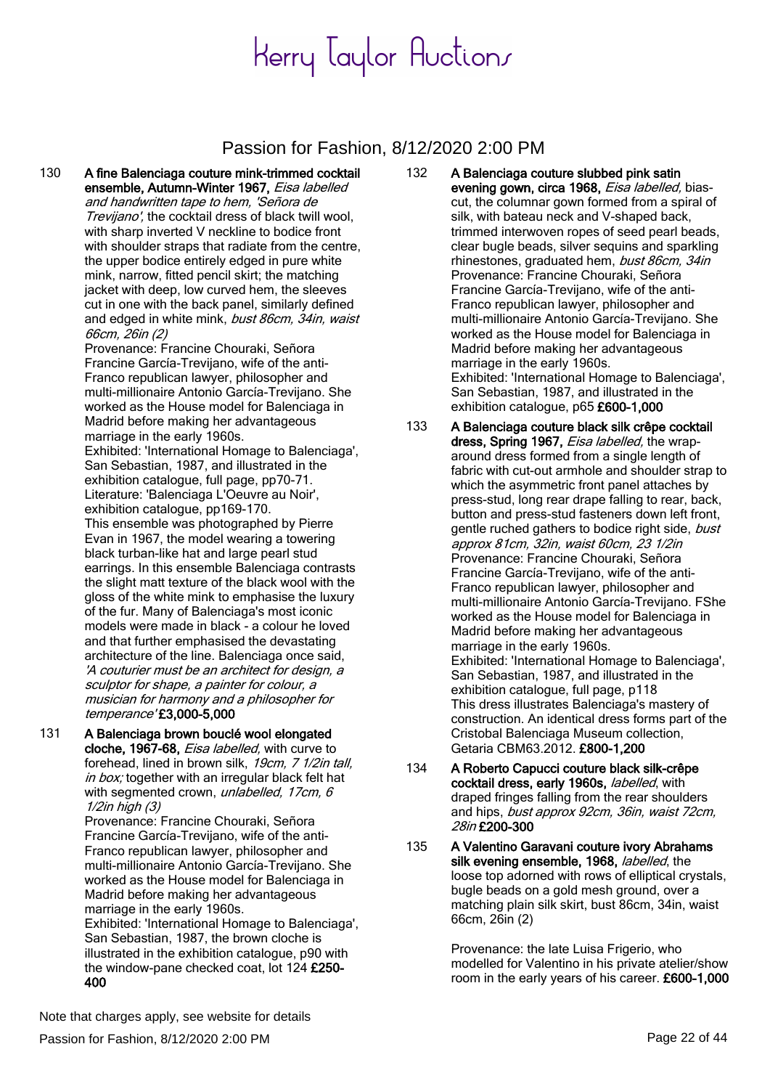#### Passion for Fashion, 8/12/2020 2:00 PM

130 A fine Balenciaga couture mink-trimmed cocktail ensemble, Autumn-Winter 1967, Eisa labelled and handwritten tape to hem, 'Señora de Trevijano', the cocktail dress of black twill wool, with sharp inverted V neckline to bodice front with shoulder straps that radiate from the centre, the upper bodice entirely edged in pure white mink, narrow, fitted pencil skirt; the matching jacket with deep, low curved hem, the sleeves cut in one with the back panel, similarly defined and edged in white mink, bust 86cm, 34in, waist 66cm, 26in (2)

Provenance: Francine Chouraki, Señora Francine García-Trevijano, wife of the anti-Franco republican lawyer, philosopher and multi-millionaire Antonio García-Trevijano. She worked as the House model for Balenciaga in Madrid before making her advantageous marriage in the early 1960s.

Exhibited: 'International Homage to Balenciaga', San Sebastian, 1987, and illustrated in the exhibition catalogue, full page, pp70-71. Literature: 'Balenciaga L'Oeuvre au Noir', exhibition catalogue, pp169-170.

This ensemble was photographed by Pierre Evan in 1967, the model wearing a towering black turban-like hat and large pearl stud earrings. In this ensemble Balenciaga contrasts the slight matt texture of the black wool with the gloss of the white mink to emphasise the luxury of the fur. Many of Balenciaga's most iconic models were made in black - a colour he loved and that further emphasised the devastating architecture of the line. Balenciaga once said, 'A couturier must be an architect for design, a sculptor for shape, a painter for colour, a musician for harmony and a philosopher for temperance' £3,000-5,000

131 A Balenciaga brown bouclé wool elongated cloche, 1967-68, Eisa labelled, with curve to forehead, lined in brown silk, 19cm, 7 1/2in tall, in box; together with an irregular black felt hat with segmented crown, unlabelled, 17cm, 6 1/2in high (3)

Provenance: Francine Chouraki, Señora Francine García-Trevijano, wife of the anti-Franco republican lawyer, philosopher and multi-millionaire Antonio García-Trevijano. She worked as the House model for Balenciaga in Madrid before making her advantageous marriage in the early 1960s.

Exhibited: 'International Homage to Balenciaga', San Sebastian, 1987, the brown cloche is illustrated in the exhibition catalogue, p90 with the window-pane checked coat, lot 124 £250-400

- 132 A Balenciaga couture slubbed pink satin evening gown, circa 1968, Eisa labelled, biascut, the columnar gown formed from a spiral of silk, with bateau neck and V-shaped back, trimmed interwoven ropes of seed pearl beads, clear bugle beads, silver sequins and sparkling rhinestones, graduated hem, bust 86cm, 34in Provenance: Francine Chouraki, Señora Francine García-Trevijano, wife of the anti-Franco republican lawyer, philosopher and multi-millionaire Antonio García-Trevijano. She worked as the House model for Balenciaga in Madrid before making her advantageous marriage in the early 1960s. Exhibited: 'International Homage to Balenciaga', San Sebastian, 1987, and illustrated in the exhibition catalogue, p65 £600-1,000
- 133 A Balenciaga couture black silk crêpe cocktail dress, Spring 1967, Eisa labelled, the wraparound dress formed from a single length of fabric with cut-out armhole and shoulder strap to which the asymmetric front panel attaches by press-stud, long rear drape falling to rear, back, button and press-stud fasteners down left front, gentle ruched gathers to bodice right side, bust approx 81cm, 32in, waist 60cm, 23 1/2in Provenance: Francine Chouraki, Señora Francine García-Trevijano, wife of the anti-Franco republican lawyer, philosopher and multi-millionaire Antonio García-Trevijano. FShe worked as the House model for Balenciaga in Madrid before making her advantageous marriage in the early 1960s. Exhibited: 'International Homage to Balenciaga', San Sebastian, 1987, and illustrated in the exhibition catalogue, full page, p118 This dress illustrates Balenciaga's mastery of construction. An identical dress forms part of the Cristobal Balenciaga Museum collection, Getaria CBM63.2012. £800-1,200
- 134 A Roberto Capucci couture black silk-crêpe cocktail dress, early 1960s, labelled, with draped fringes falling from the rear shoulders and hips, bust approx 92cm, 36in, waist 72cm, 28in £200-300
- 135 A Valentino Garavani couture ivory Abrahams silk evening ensemble, 1968, labelled, the loose top adorned with rows of elliptical crystals, bugle beads on a gold mesh ground, over a matching plain silk skirt, bust 86cm, 34in, waist 66cm, 26in (2)

Provenance: the late Luisa Frigerio, who modelled for Valentino in his private atelier/show room in the early years of his career. £600-1,000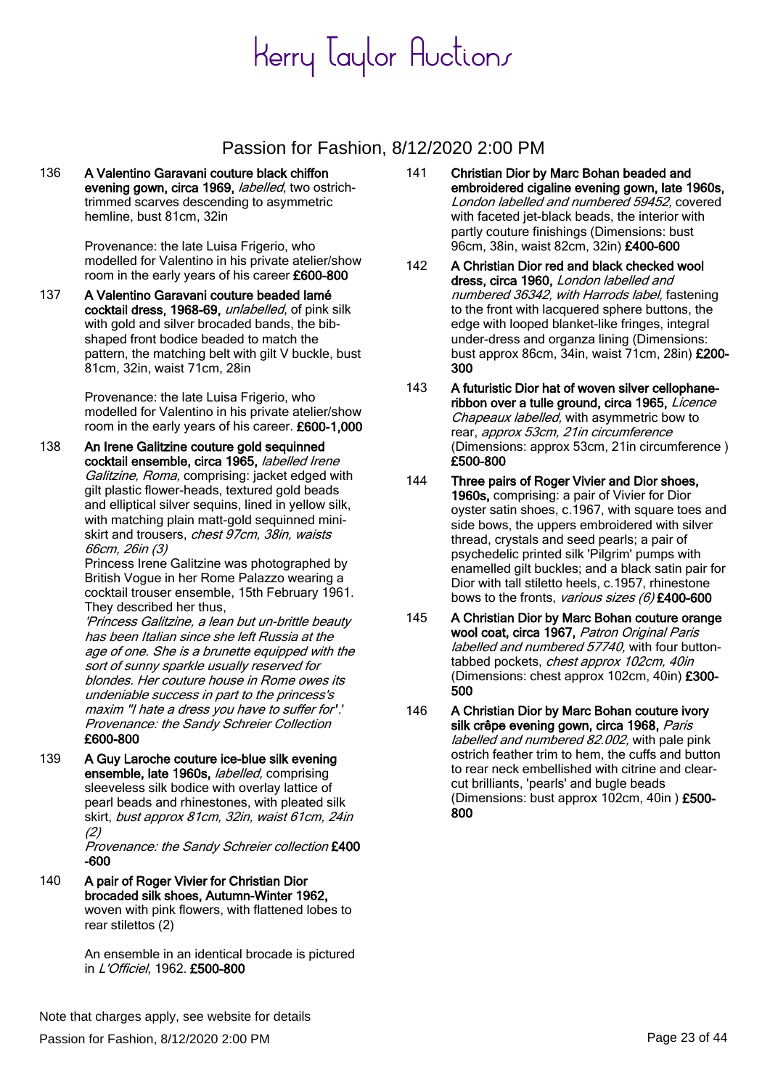#### Passion for Fashion, 8/12/2020 2:00 PM

136 A Valentino Garavani couture black chiffon evening gown, circa 1969, *labelled*, two ostrichtrimmed scarves descending to asymmetric hemline, bust 81cm, 32in

> Provenance: the late Luisa Frigerio, who modelled for Valentino in his private atelier/show room in the early years of his career £600-800

137 A Valentino Garavani couture beaded lamé cocktail dress, 1968-69, unlabelled, of pink silk with gold and silver brocaded bands, the bibshaped front bodice beaded to match the pattern, the matching belt with gilt V buckle, bust 81cm, 32in, waist 71cm, 28in

> Provenance: the late Luisa Frigerio, who modelled for Valentino in his private atelier/show room in the early years of his career. £600-1,000

138 An Irene Galitzine couture gold sequinned cocktail ensemble, circa 1965, *labelled Irene* Galitzine, Roma, comprising: jacket edged with gilt plastic flower-heads, textured gold beads and elliptical silver sequins, lined in yellow silk, with matching plain matt-gold sequinned miniskirt and trousers, chest 97cm, 38in, waists 66cm, 26in (3)

Princess Irene Galitzine was photographed by British Vogue in her Rome Palazzo wearing a cocktail trouser ensemble, 15th February 1961. They described her thus,

'Princess Galitzine, a lean but un-brittle beauty has been Italian since she left Russia at the age of one. She is a brunette equipped with the sort of sunny sparkle usually reserved for blondes. Her couture house in Rome owes its undeniable success in part to the princess's maxim ''I hate a dress you have to suffer for''.' Provenance: the Sandy Schreier Collection £600-800

139 A Guy Laroche couture ice-blue silk evening ensemble, late 1960s, *labelled*, comprising sleeveless silk bodice with overlay lattice of pearl beads and rhinestones, with pleated silk skirt, bust approx 81cm, 32in, waist 61cm, 24in (2)

Provenance: the Sandy Schreier collection £400 -600

140 A pair of Roger Vivier for Christian Dior brocaded silk shoes, Autumn-Winter 1962, woven with pink flowers, with flattened lobes to rear stilettos (2)

> An ensemble in an identical brocade is pictured in L'Officiel, 1962. £500-800

- 141 Christian Dior by Marc Bohan beaded and embroidered cigaline evening gown, late 1960s, London labelled and numbered 59452, covered with faceted jet-black beads, the interior with partly couture finishings (Dimensions: bust 96cm, 38in, waist 82cm, 32in) £400-600
- 142 A Christian Dior red and black checked wool dress, circa 1960, London labelled and numbered 36342, with Harrods label, fastening to the front with lacquered sphere buttons, the edge with looped blanket-like fringes, integral under-dress and organza lining (Dimensions: bust approx 86cm, 34in, waist 71cm, 28in) £200- 300
- 143 A futuristic Dior hat of woven silver cellophaneribbon over a tulle ground, circa 1965, Licence Chapeaux labelled, with asymmetric bow to rear, approx 53cm, 21in circumference (Dimensions: approx 53cm, 21in circumference ) £500-800
- 144 Three pairs of Roger Vivier and Dior shoes, 1960s, comprising: a pair of Vivier for Dior oyster satin shoes, c.1967, with square toes and side bows, the uppers embroidered with silver thread, crystals and seed pearls; a pair of psychedelic printed silk 'Pilgrim' pumps with enamelled gilt buckles; and a black satin pair for Dior with tall stiletto heels, c.1957, rhinestone bows to the fronts, various sizes (6) £400-600
- 145 A Christian Dior by Marc Bohan couture orange wool coat, circa 1967, Patron Original Paris labelled and numbered 57740, with four buttontabbed pockets, chest approx 102cm, 40in (Dimensions: chest approx 102cm, 40in) £300- 500
- 146 A Christian Dior by Marc Bohan couture ivory silk crêpe evening gown, circa 1968, Paris labelled and numbered 82.002, with pale pink ostrich feather trim to hem, the cuffs and button to rear neck embellished with citrine and clearcut brilliants, 'pearls' and bugle beads (Dimensions: bust approx 102cm, 40in ) £500- 800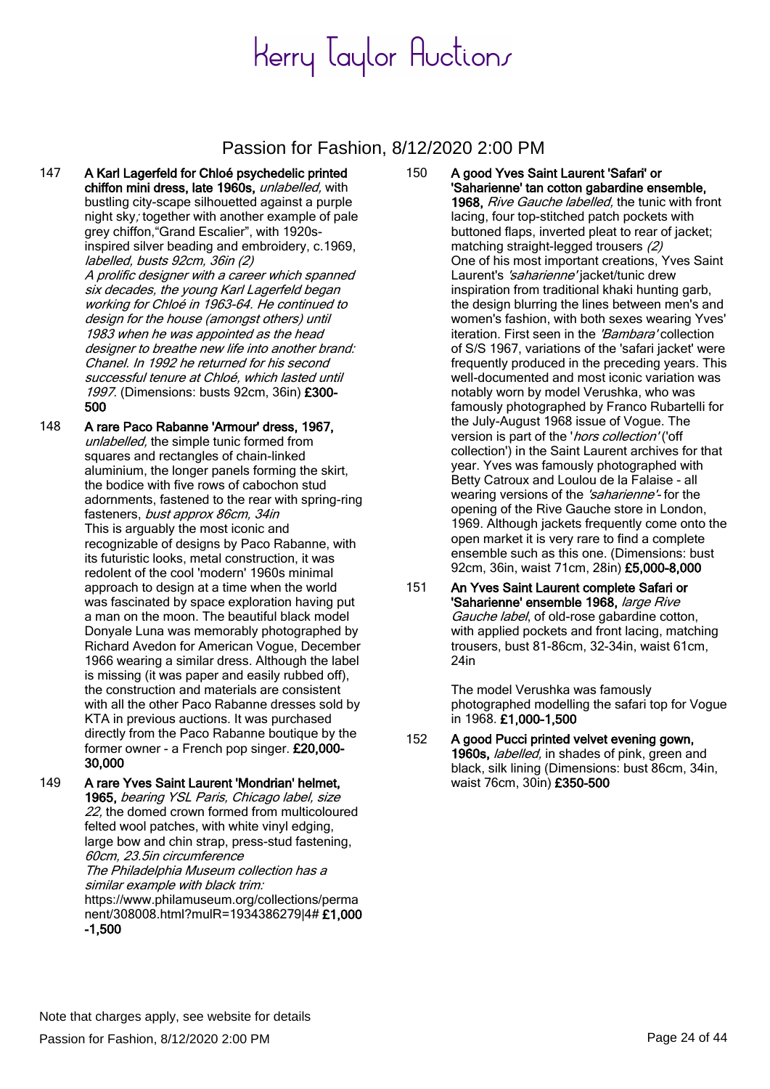#### Passion for Fashion, 8/12/2020 2:00 PM

147 A Karl Lagerfeld for Chloé psychedelic printed chiffon mini dress, late 1960s, unlabelled, with bustling city-scape silhouetted against a purple night sky; together with another example of pale grey chiffon,"Grand Escalier", with 1920sinspired silver beading and embroidery, c.1969, labelled, busts 92cm, 36in (2) A prolific designer with a career which spanned six decades, the young Karl Lagerfeld began working for Chloé in 1963-64. He continued to design for the house (amongst others) until

1983 when he was appointed as the head designer to breathe new life into another brand: Chanel. In 1992 he returned for his second successful tenure at Chloé, which lasted until 1997. (Dimensions: busts 92cm, 36in) £300- 500

- 148 A rare Paco Rabanne 'Armour' dress, 1967, unlabelled, the simple tunic formed from squares and rectangles of chain-linked aluminium, the longer panels forming the skirt, the bodice with five rows of cabochon stud adornments, fastened to the rear with spring-ring fasteners, bust approx 86cm, 34in This is arguably the most iconic and recognizable of designs by Paco Rabanne, with its futuristic looks, metal construction, it was redolent of the cool 'modern' 1960s minimal approach to design at a time when the world was fascinated by space exploration having put a man on the moon. The beautiful black model Donyale Luna was memorably photographed by Richard Avedon for American Vogue, December 1966 wearing a similar dress. Although the label is missing (it was paper and easily rubbed off), the construction and materials are consistent with all the other Paco Rabanne dresses sold by KTA in previous auctions. It was purchased directly from the Paco Rabanne boutique by the former owner - a French pop singer. £20,000- 30,000
- 149 A rare Yves Saint Laurent 'Mondrian' helmet, 1965, bearing YSL Paris, Chicago label, size 22, the domed crown formed from multicoloured felted wool patches, with white vinyl edging, large bow and chin strap, press-stud fastening, 60cm, 23.5in circumference The Philadelphia Museum collection has a similar example with black trim: https://www.philamuseum.org/collections/perma nent/308008.html?mulR=1934386279|4# £1,000 -1,500
- 150 A good Yves Saint Laurent 'Safari' or 'Saharienne' tan cotton gabardine ensemble, 1968, Rive Gauche labelled, the tunic with front lacing, four top-stitched patch pockets with buttoned flaps, inverted pleat to rear of jacket; matching straight-legged trousers (2) One of his most important creations, Yves Saint Laurent's 'saharienne' jacket/tunic drew inspiration from traditional khaki hunting garb, the design blurring the lines between men's and women's fashion, with both sexes wearing Yves' iteration. First seen in the 'Bambara' collection of S/S 1967, variations of the 'safari jacket' were frequently produced in the preceding years. This well-documented and most iconic variation was notably worn by model Verushka, who was famously photographed by Franco Rubartelli for the July-August 1968 issue of Vogue. The version is part of the 'hors collection' ('off collection') in the Saint Laurent archives for that year. Yves was famously photographed with Betty Catroux and Loulou de la Falaise - all wearing versions of the 'saharienne'- for the opening of the Rive Gauche store in London, 1969. Although jackets frequently come onto the open market it is very rare to find a complete ensemble such as this one. (Dimensions: bust 92cm, 36in, waist 71cm, 28in) £5,000-8,000
- 151 An Yves Saint Laurent complete Safari or 'Saharienne' ensemble 1968, large Rive Gauche label, of old-rose gabardine cotton, with applied pockets and front lacing, matching trousers, bust 81-86cm, 32-34in, waist 61cm, 24in

The model Verushka was famously photographed modelling the safari top for Vogue in 1968. £1,000-1,500

152 A good Pucci printed velvet evening gown, 1960s, labelled, in shades of pink, green and black, silk lining (Dimensions: bust 86cm, 34in, waist 76cm, 30in) £350-500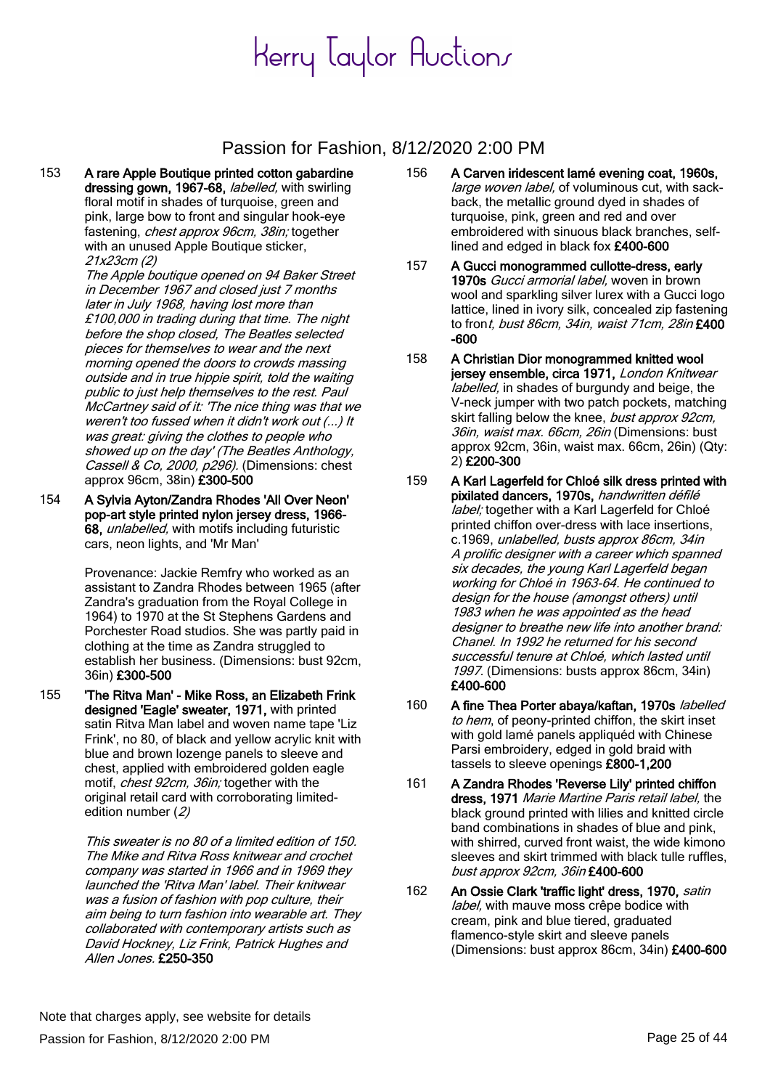### Passion for Fashion, 8/12/2020 2:00 PM

153 A rare Apple Boutique printed cotton gabardine dressing gown, 1967-68, *labelled*, with swirling floral motif in shades of turquoise, green and pink, large bow to front and singular hook-eye fastening, *chest approx 96cm, 38in;* together with an unused Apple Boutique sticker, 21x23cm (2)

> The Apple boutique opened on 94 Baker Street in December 1967 and closed just 7 months later in July 1968, having lost more than £100,000 in trading during that time. The night before the shop closed, The Beatles selected pieces for themselves to wear and the next morning opened the doors to crowds massing outside and in true hippie spirit, told the waiting public to just help themselves to the rest. Paul McCartney said of it: 'The nice thing was that we weren't too fussed when it didn't work out (...) It was great: giving the clothes to people who showed up on the day' (The Beatles Anthology, Cassell & Co, 2000, p296). (Dimensions: chest approx 96cm, 38in) £300-500

154 A Sylvia Ayton/Zandra Rhodes 'All Over Neon' pop-art style printed nylon jersey dress, 1966- 68, unlabelled, with motifs including futuristic cars, neon lights, and 'Mr Man'

> Provenance: Jackie Remfry who worked as an assistant to Zandra Rhodes between 1965 (after Zandra's graduation from the Royal College in 1964) to 1970 at the St Stephens Gardens and Porchester Road studios. She was partly paid in clothing at the time as Zandra struggled to establish her business. (Dimensions: bust 92cm, 36in) £300-500

155 'The Ritva Man' - Mike Ross, an Elizabeth Frink designed 'Eagle' sweater, 1971, with printed satin Ritva Man label and woven name tape 'Liz Frink', no 80, of black and yellow acrylic knit with blue and brown lozenge panels to sleeve and chest, applied with embroidered golden eagle motif, *chest 92cm, 36in;* together with the original retail card with corroborating limitededition number (2)

> This sweater is no 80 of a limited edition of 150. The Mike and Ritva Ross knitwear and crochet company was started in 1966 and in 1969 they launched the 'Ritva Man' label. Their knitwear was a fusion of fashion with pop culture, their aim being to turn fashion into wearable art. They collaborated with contemporary artists such as David Hockney, Liz Frink, Patrick Hughes and Allen Jones. £250-350

- 156 A Carven iridescent lamé evening coat, 1960s, large woven label, of voluminous cut, with sackback, the metallic ground dyed in shades of turquoise, pink, green and red and over embroidered with sinuous black branches, selflined and edged in black fox £400-600
- 157 A Gucci monogrammed cullotte-dress, early 1970s Gucci armorial label, woven in brown wool and sparkling silver lurex with a Gucci logo lattice, lined in ivory silk, concealed zip fastening to front, bust 86cm, 34in, waist 71cm, 28in £400 -600
- 158 A Christian Dior monogrammed knitted wool jersey ensemble, circa 1971, London Knitwear labelled, in shades of burgundy and beige, the V-neck jumper with two patch pockets, matching skirt falling below the knee, bust approx 92cm, 36in, waist max. 66cm, 26in (Dimensions: bust approx 92cm, 36in, waist max. 66cm, 26in) (Qty: 2) £200-300
- 159 A Karl Lagerfeld for Chloé silk dress printed with pixilated dancers, 1970s, handwritten défilé label; together with a Karl Lagerfeld for Chloé printed chiffon over-dress with lace insertions, c.1969, unlabelled, busts approx 86cm, 34in A prolific designer with a career which spanned six decades, the young Karl Lagerfeld began working for Chloé in 1963-64. He continued to design for the house (amongst others) until 1983 when he was appointed as the head designer to breathe new life into another brand: Chanel. In 1992 he returned for his second successful tenure at Chloé, which lasted until 1997. (Dimensions: busts approx 86cm, 34in) £400-600
- 160 A fine Thea Porter abaya/kaftan, 1970s labelled to hem, of peony-printed chiffon, the skirt inset with gold lamé panels appliquéd with Chinese Parsi embroidery, edged in gold braid with tassels to sleeve openings £800-1,200
- 161 A Zandra Rhodes 'Reverse Lily' printed chiffon dress, 1971 Marie Martine Paris retail label, the black ground printed with lilies and knitted circle band combinations in shades of blue and pink, with shirred, curved front waist, the wide kimono sleeves and skirt trimmed with black tulle ruffles, bust approx 92cm, 36in £400-600
- 162 An Ossie Clark 'traffic light' dress, 1970, satin label, with mauve moss crêpe bodice with cream, pink and blue tiered, graduated flamenco-style skirt and sleeve panels (Dimensions: bust approx 86cm, 34in) £400-600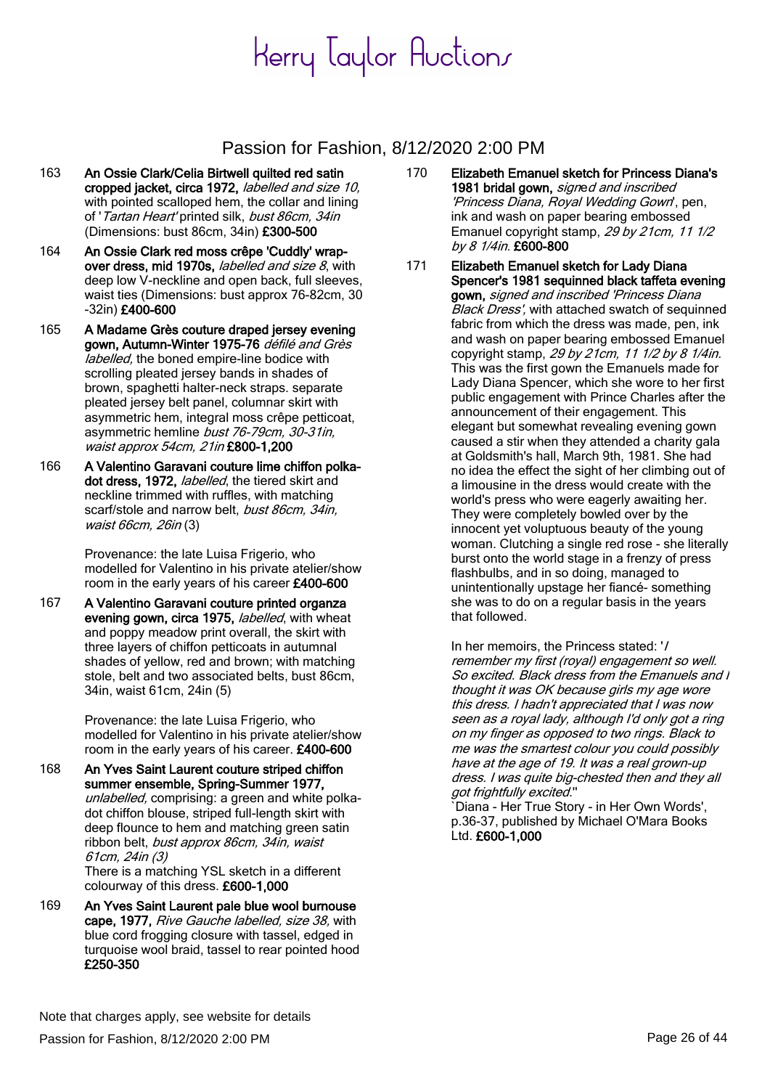### Passion for Fashion, 8/12/2020 2:00 PM

- 163 An Ossie Clark/Celia Birtwell quilted red satin cropped jacket, circa 1972, labelled and size 10, with pointed scalloped hem, the collar and lining of 'Tartan Heart' printed silk, bust 86cm, 34in (Dimensions: bust 86cm, 34in) £300-500
- 164 An Ossie Clark red moss crêpe 'Cuddly' wrapover dress, mid 1970s, *labelled and size 8*, with deep low V-neckline and open back, full sleeves, waist ties (Dimensions: bust approx 76-82cm, 30 -32in) £400-600
- 165 A Madame Grès couture draped jersey evening gown, Autumn-Winter 1975-76 défilé and Grès labelled, the boned empire-line bodice with scrolling pleated jersey bands in shades of brown, spaghetti halter-neck straps. separate pleated jersey belt panel, columnar skirt with asymmetric hem, integral moss crêpe petticoat, asymmetric hemline bust 76-79cm, 30-31in, waist approx 54cm, 21in £800-1,200
- 166 A Valentino Garavani couture lime chiffon polkadot dress, 1972, labelled, the tiered skirt and neckline trimmed with ruffles, with matching scarf/stole and narrow belt, bust 86cm, 34in, waist 66cm, 26in (3)

Provenance: the late Luisa Frigerio, who modelled for Valentino in his private atelier/show room in the early years of his career £400-600

167 A Valentino Garavani couture printed organza evening gown, circa 1975, *labelled*, with wheat and poppy meadow print overall, the skirt with three layers of chiffon petticoats in autumnal shades of yellow, red and brown; with matching stole, belt and two associated belts, bust 86cm, 34in, waist 61cm, 24in (5)

> Provenance: the late Luisa Frigerio, who modelled for Valentino in his private atelier/show room in the early years of his career. £400-600

- 168 An Yves Saint Laurent couture striped chiffon summer ensemble, Spring-Summer 1977, unlabelled, comprising: a green and white polkadot chiffon blouse, striped full-length skirt with deep flounce to hem and matching green satin ribbon belt, bust approx 86cm, 34in, waist 61cm, 24in (3) There is a matching YSL sketch in a different colourway of this dress. £600-1,000
- 169 An Yves Saint Laurent pale blue wool burnouse cape, 1977, Rive Gauche labelled, size 38, with blue cord frogging closure with tassel, edged in turquoise wool braid, tassel to rear pointed hood £250-350
- 170 Elizabeth Emanuel sketch for Princess Diana's 1981 bridal gown, signed and inscribed 'Princess Diana, Royal Wedding Gown', pen, ink and wash on paper bearing embossed Emanuel copyright stamp, 29 by 21cm, 11 1/2 by 8 1/4in. £600-800
- 171 Elizabeth Emanuel sketch for Lady Diana Spencer's 1981 sequinned black taffeta evening gown, signed and inscribed 'Princess Diana **Black Dress'**, with attached swatch of sequinned fabric from which the dress was made, pen, ink and wash on paper bearing embossed Emanuel copyright stamp, 29 by 21cm, 11 1/2 by 8 1/4in. This was the first gown the Emanuels made for Lady Diana Spencer, which she wore to her first public engagement with Prince Charles after the announcement of their engagement. This elegant but somewhat revealing evening gown caused a stir when they attended a charity gala at Goldsmith's hall, March 9th, 1981. She had no idea the effect the sight of her climbing out of a limousine in the dress would create with the world's press who were eagerly awaiting her. They were completely bowled over by the innocent yet voluptuous beauty of the young woman. Clutching a single red rose - she literally burst onto the world stage in a frenzy of press flashbulbs, and in so doing, managed to unintentionally upstage her fiancé- something she was to do on a regular basis in the years that followed.

In her memoirs, the Princess stated: '/ remember my first (royal) engagement so well. So excited. Black dress from the Emanuels and I thought it was OK because girls my age wore this dress. I hadn't appreciated that I was now seen as a royal lady, although I'd only got a ring on my finger as opposed to two rings. Black to me was the smartest colour you could possibly have at the age of 19. It was a real grown-up dress. I was quite big-chested then and they all got frightfully excited.''

`Diana - Her True Story - in Her Own Words', p.36-37, published by Michael O'Mara Books Ltd. £600-1,000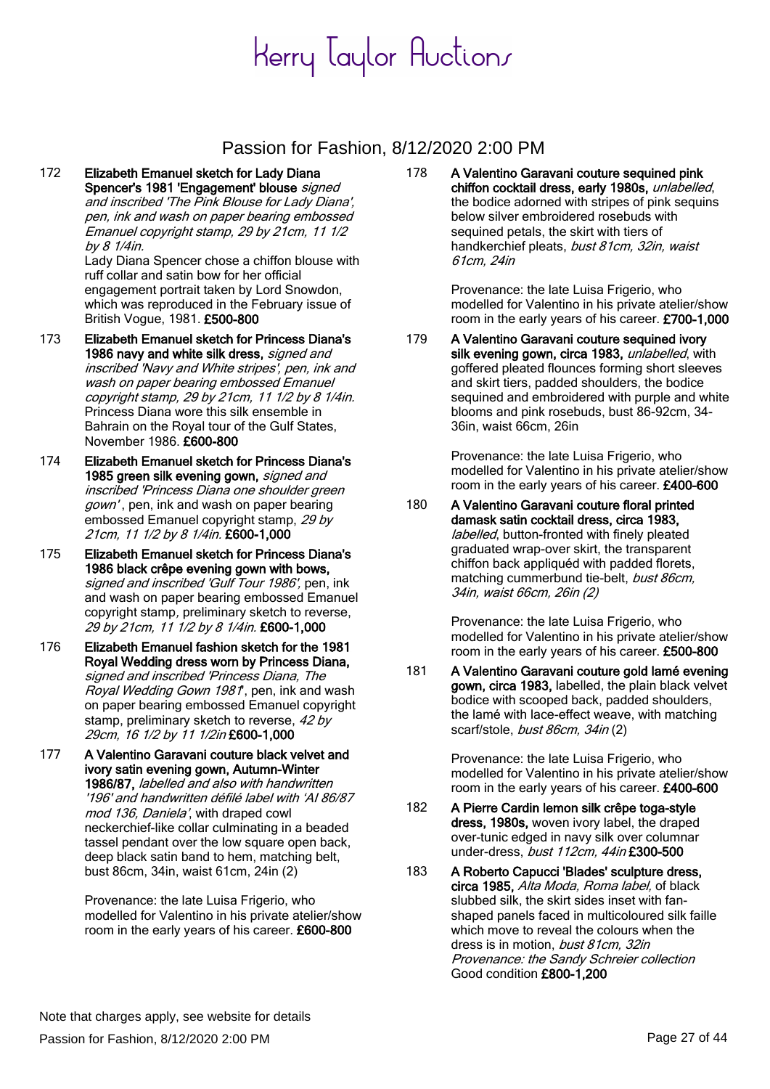### Passion for Fashion, 8/12/2020 2:00 PM

172 Elizabeth Emanuel sketch for Lady Diana Spencer's 1981 'Engagement' blouse signed and inscribed 'The Pink Blouse for Lady Diana', pen, ink and wash on paper bearing embossed Emanuel copyright stamp, 29 by 21cm, 11 1/2 by 8 1/4in.

Lady Diana Spencer chose a chiffon blouse with ruff collar and satin bow for her official engagement portrait taken by Lord Snowdon, which was reproduced in the February issue of British Vogue, 1981. £500-800

- 173 Elizabeth Emanuel sketch for Princess Diana's 1986 navy and white silk dress, signed and inscribed 'Navy and White stripes', pen, ink and wash on paper bearing embossed Emanuel copyright stamp, 29 by 21cm, 11 1/2 by 8 1/4in. Princess Diana wore this silk ensemble in Bahrain on the Royal tour of the Gulf States, November 1986. £600-800
- 174 Elizabeth Emanuel sketch for Princess Diana's 1985 green silk evening gown, *signed and* inscribed 'Princess Diana one shoulder green gown', pen, ink and wash on paper bearing embossed Emanuel copyright stamp, 29 by 21cm, 11 1/2 by 8 1/4in. £600-1,000
- 175 Elizabeth Emanuel sketch for Princess Diana's 1986 black crêpe evening gown with bows, signed and inscribed 'Gulf Tour 1986', pen, ink and wash on paper bearing embossed Emanuel copyright stamp, preliminary sketch to reverse, 29 by 21cm, 11 1/2 by 8 1/4in. £600-1,000
- 176 Elizabeth Emanuel fashion sketch for the 1981 Royal Wedding dress worn by Princess Diana, signed and inscribed 'Princess Diana, The Royal Wedding Gown 1981', pen, ink and wash on paper bearing embossed Emanuel copyright stamp, preliminary sketch to reverse, 42 by 29cm, 16 1/2 by 11 1/2in £600-1,000
- 177 A Valentino Garavani couture black velvet and ivory satin evening gown, Autumn-Winter 1986/87, labelled and also with handwritten '196' and handwritten défilé label with 'AI 86/87 mod 136, Daniela', with draped cowl neckerchief-like collar culminating in a beaded tassel pendant over the low square open back, deep black satin band to hem, matching belt, bust 86cm, 34in, waist 61cm, 24in (2)

Provenance: the late Luisa Frigerio, who modelled for Valentino in his private atelier/show room in the early years of his career. £600-800

178 A Valentino Garavani couture sequined pink chiffon cocktail dress, early 1980s, unlabelled, the bodice adorned with stripes of pink sequins below silver embroidered rosebuds with sequined petals, the skirt with tiers of handkerchief pleats, bust 81cm, 32in, waist 61cm, 24in

> Provenance: the late Luisa Frigerio, who modelled for Valentino in his private atelier/show room in the early years of his career. £700-1,000

179 A Valentino Garavani couture sequined ivory silk evening gown, circa 1983, unlabelled, with goffered pleated flounces forming short sleeves and skirt tiers, padded shoulders, the bodice sequined and embroidered with purple and white blooms and pink rosebuds, bust 86-92cm, 34- 36in, waist 66cm, 26in

> Provenance: the late Luisa Frigerio, who modelled for Valentino in his private atelier/show room in the early years of his career. £400-600

180 A Valentino Garavani couture floral printed damask satin cocktail dress, circa 1983, labelled, button-fronted with finely pleated graduated wrap-over skirt, the transparent chiffon back appliquéd with padded florets, matching cummerbund tie-belt, bust 86cm, 34in, waist 66cm, 26in (2)

> Provenance: the late Luisa Frigerio, who modelled for Valentino in his private atelier/show room in the early years of his career. £500-800

181 A Valentino Garavani couture gold lamé evening gown, circa 1983, labelled, the plain black velvet bodice with scooped back, padded shoulders, the lamé with lace-effect weave, with matching scarf/stole, bust 86cm, 34in (2)

> Provenance: the late Luisa Frigerio, who modelled for Valentino in his private atelier/show room in the early years of his career. £400-600

- 182 A Pierre Cardin lemon silk crêpe toga-style dress, 1980s, woven ivory label, the draped over-tunic edged in navy silk over columnar under-dress, bust 112cm, 44in £300-500
- 183 A Roberto Capucci 'Blades' sculpture dress, circa 1985, Alta Moda, Roma label, of black slubbed silk, the skirt sides inset with fanshaped panels faced in multicoloured silk faille which move to reveal the colours when the dress is in motion, bust 81cm, 32in Provenance: the Sandy Schreier collection Good condition £800-1,200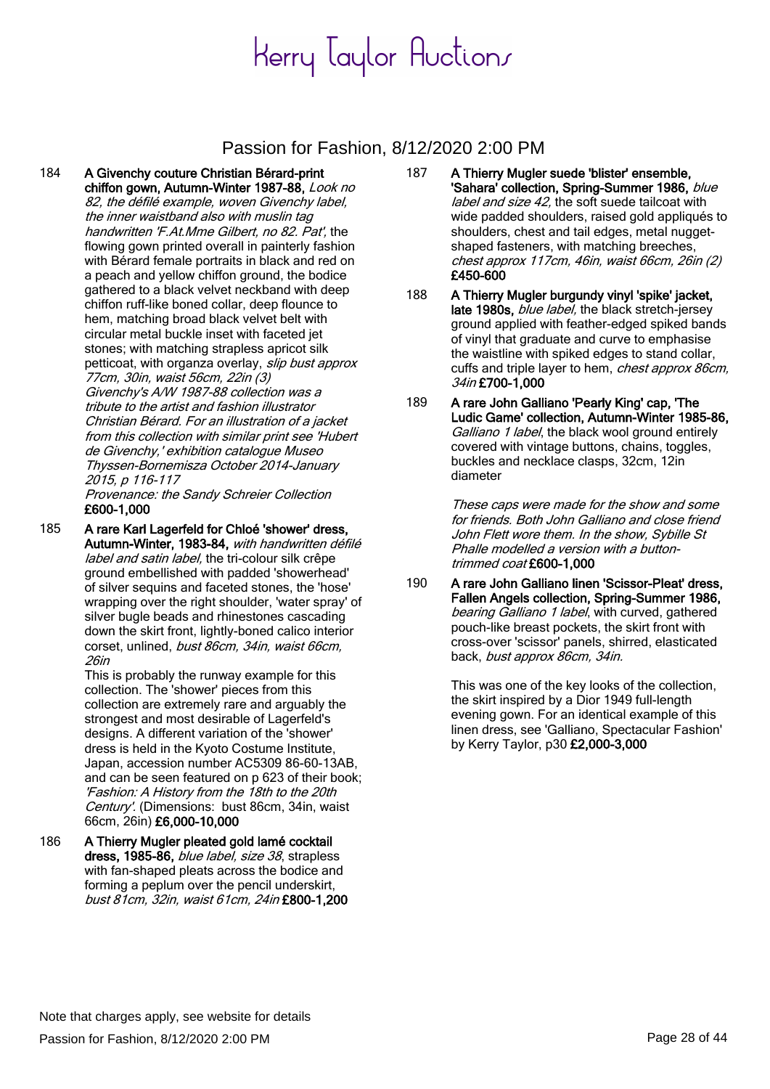### Passion for Fashion, 8/12/2020 2:00 PM

184 A Givenchy couture Christian Bérard-print chiffon gown, Autumn-Winter 1987-88, Look no 82, the défilé example, woven Givenchy label, the inner waistband also with muslin tag handwritten 'F.At.Mme Gilbert, no 82. Pat', the flowing gown printed overall in painterly fashion with Bérard female portraits in black and red on a peach and yellow chiffon ground, the bodice gathered to a black velvet neckband with deep chiffon ruff-like boned collar, deep flounce to hem, matching broad black velvet belt with circular metal buckle inset with faceted jet stones; with matching strapless apricot silk petticoat, with organza overlay, *slip bust approx* 77cm, 30in, waist 56cm, 22in (3) Givenchy's A/W 1987-88 collection was a tribute to the artist and fashion illustrator Christian Bérard. For an illustration of a jacket from this collection with similar print see 'Hubert de Givenchy,' exhibition catalogue Museo Thyssen-Bornemisza October 2014-January 2015, p 116-117 Provenance: the Sandy Schreier Collection £600-1,000

185 A rare Karl Lagerfeld for Chloé 'shower' dress, Autumn-Winter, 1983-84, with handwritten défilé label and satin label, the tri-colour silk crêpe ground embellished with padded 'showerhead' of silver sequins and faceted stones, the 'hose' wrapping over the right shoulder, 'water spray' of silver bugle beads and rhinestones cascading down the skirt front, lightly-boned calico interior corset, unlined, bust 86cm, 34in, waist 66cm, 26in

> This is probably the runway example for this collection. The 'shower' pieces from this collection are extremely rare and arguably the strongest and most desirable of Lagerfeld's designs. A different variation of the 'shower' dress is held in the Kyoto Costume Institute, Japan, accession number AC5309 86-60-13AB, and can be seen featured on p 623 of their book; 'Fashion: A History from the 18th to the 20th Century'. (Dimensions: bust 86cm, 34in, waist 66cm, 26in) £6,000-10,000

186 A Thierry Mugler pleated gold lamé cocktail dress, 1985-86, *blue label, size 38*, strapless with fan-shaped pleats across the bodice and forming a peplum over the pencil underskirt, bust 81cm, 32in, waist 61cm, 24in £800-1,200

- 187 A Thierry Mugler suede 'blister' ensemble, 'Sahara' collection, Spring-Summer 1986, blue label and size 42, the soft suede tailcoat with wide padded shoulders, raised gold appliqués to shoulders, chest and tail edges, metal nuggetshaped fasteners, with matching breeches, chest approx 117cm, 46in, waist 66cm, 26in (2) £450-600
- 188 A Thierry Mugler burgundy vinyl 'spike' jacket, late 1980s, *blue label*, the black stretch-jersey ground applied with feather-edged spiked bands of vinyl that graduate and curve to emphasise the waistline with spiked edges to stand collar, cuffs and triple layer to hem, chest approx 86cm, 34in £700-1,000
- 189 A rare John Galliano 'Pearly King' cap, 'The Ludic Game' collection, Autumn-Winter 1985-86, Galliano 1 label, the black wool ground entirely covered with vintage buttons, chains, toggles, buckles and necklace clasps, 32cm, 12in diameter

These caps were made for the show and some for friends. Both John Galliano and close friend John Flett wore them. In the show, Sybille St Phalle modelled a version with a buttontrimmed coat £600-1,000

190 A rare John Galliano linen 'Scissor-Pleat' dress, Fallen Angels collection, Spring-Summer 1986, bearing Galliano 1 label, with curved, gathered pouch-like breast pockets, the skirt front with cross-over 'scissor' panels, shirred, elasticated back, bust approx 86cm, 34in.

> This was one of the key looks of the collection, the skirt inspired by a Dior 1949 full-length evening gown. For an identical example of this linen dress, see 'Galliano, Spectacular Fashion' by Kerry Taylor, p30 £2,000-3,000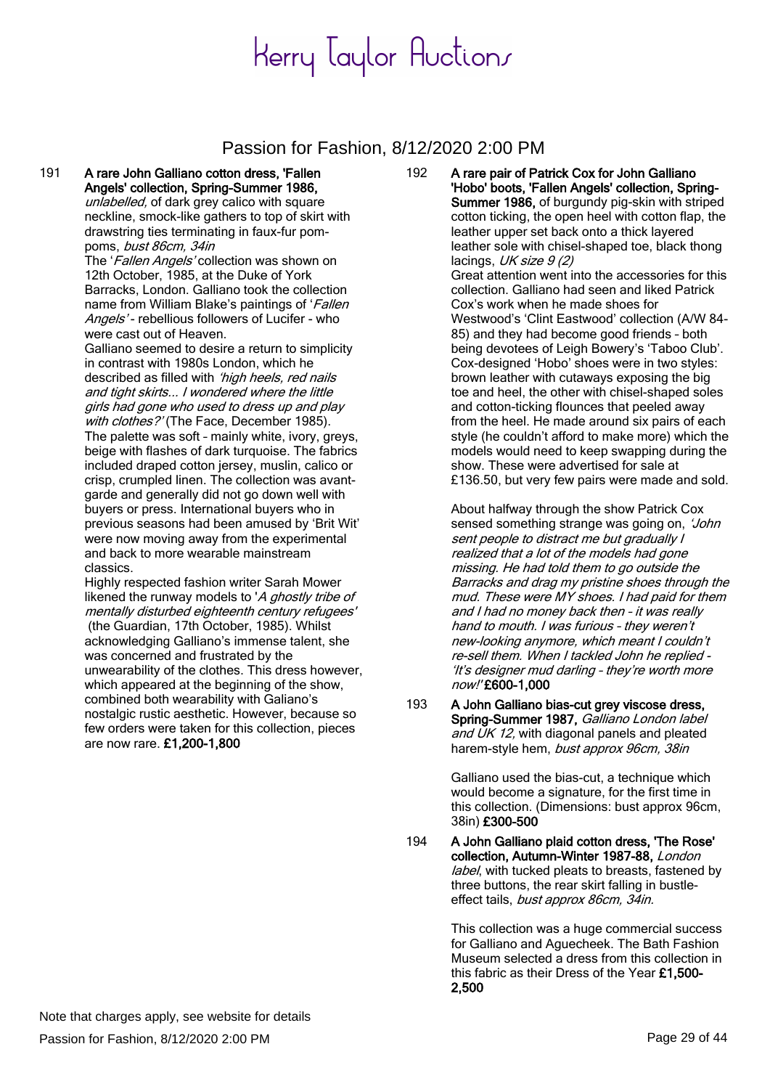#### Passion for Fashion, 8/12/2020 2:00 PM

#### 191 A rare John Galliano cotton dress, 'Fallen Angels' collection, Spring-Summer 1986,

unlabelled, of dark grey calico with square neckline, smock-like gathers to top of skirt with drawstring ties terminating in faux-fur pompoms, bust 86cm, 34in

The 'Fallen Angels' collection was shown on 12th October, 1985, at the Duke of York Barracks, London. Galliano took the collection name from William Blake's paintings of 'Fallen' Angels'- rebellious followers of Lucifer - who were cast out of Heaven.

Galliano seemed to desire a return to simplicity in contrast with 1980s London, which he described as filled with 'high heels, red nails and tight skirts... I wondered where the little girls had gone who used to dress up and play with clothes?' (The Face, December 1985). The palette was soft – mainly white, ivory, greys, beige with flashes of dark turquoise. The fabrics included draped cotton jersey, muslin, calico or crisp, crumpled linen. The collection was avantgarde and generally did not go down well with buyers or press. International buyers who in previous seasons had been amused by 'Brit Wit' were now moving away from the experimental and back to more wearable mainstream classics.

Highly respected fashion writer Sarah Mower likened the runway models to 'A ghostly tribe of mentally disturbed eighteenth century refugees' (the Guardian, 17th October, 1985). Whilst acknowledging Galliano's immense talent, she was concerned and frustrated by the unwearability of the clothes. This dress however, which appeared at the beginning of the show, combined both wearability with Galiano's nostalgic rustic aesthetic. However, because so few orders were taken for this collection, pieces are now rare. £1,200-1,800

192 A rare pair of Patrick Cox for John Galliano 'Hobo' boots, 'Fallen Angels' collection, Spring-Summer 1986, of burgundy pig-skin with striped cotton ticking, the open heel with cotton flap, the leather upper set back onto a thick layered leather sole with chisel-shaped toe, black thong lacings,  $UK size 9 (2)$ Great attention went into the accessories for this collection. Galliano had seen and liked Patrick Cox's work when he made shoes for Westwood's 'Clint Eastwood' collection (A/W 84- 85) and they had become good friends – both being devotees of Leigh Bowery's 'Taboo Club'. Cox-designed 'Hobo' shoes were in two styles: brown leather with cutaways exposing the big toe and heel, the other with chisel-shaped soles and cotton-ticking flounces that peeled away from the heel. He made around six pairs of each style (he couldn't afford to make more) which the models would need to keep swapping during the show. These were advertised for sale at £136.50, but very few pairs were made and sold.

> About halfway through the show Patrick Cox sensed something strange was going on, 'John' sent people to distract me but gradually I realized that a lot of the models had gone missing. He had told them to go outside the Barracks and drag my pristine shoes through the mud. These were MY shoes. I had paid for them and I had no money back then – it was really hand to mouth. I was furious – they weren'<sup>t</sup> new-looking anymore, which meant I couldn'<sup>t</sup> re-sell them. When I tackled John he replied - 'It's designer mud darling – they're worth more now!' £600-1,000

193 A John Galliano bias-cut grey viscose dress. Spring-Summer 1987, Galliano London label and UK 12, with diagonal panels and pleated harem-style hem, bust approx 96cm, 38in

> Galliano used the bias-cut, a technique which would become a signature, for the first time in this collection. (Dimensions: bust approx 96cm, 38in) £300-500

194 A John Galliano plaid cotton dress, 'The Rose' collection, Autumn-Winter 1987-88, London label, with tucked pleats to breasts, fastened by three buttons, the rear skirt falling in bustleeffect tails, bust approx 86cm, 34in.

> This collection was a huge commercial success for Galliano and Aguecheek. The Bath Fashion Museum selected a dress from this collection in this fabric as their Dress of the Year £1,500- 2,500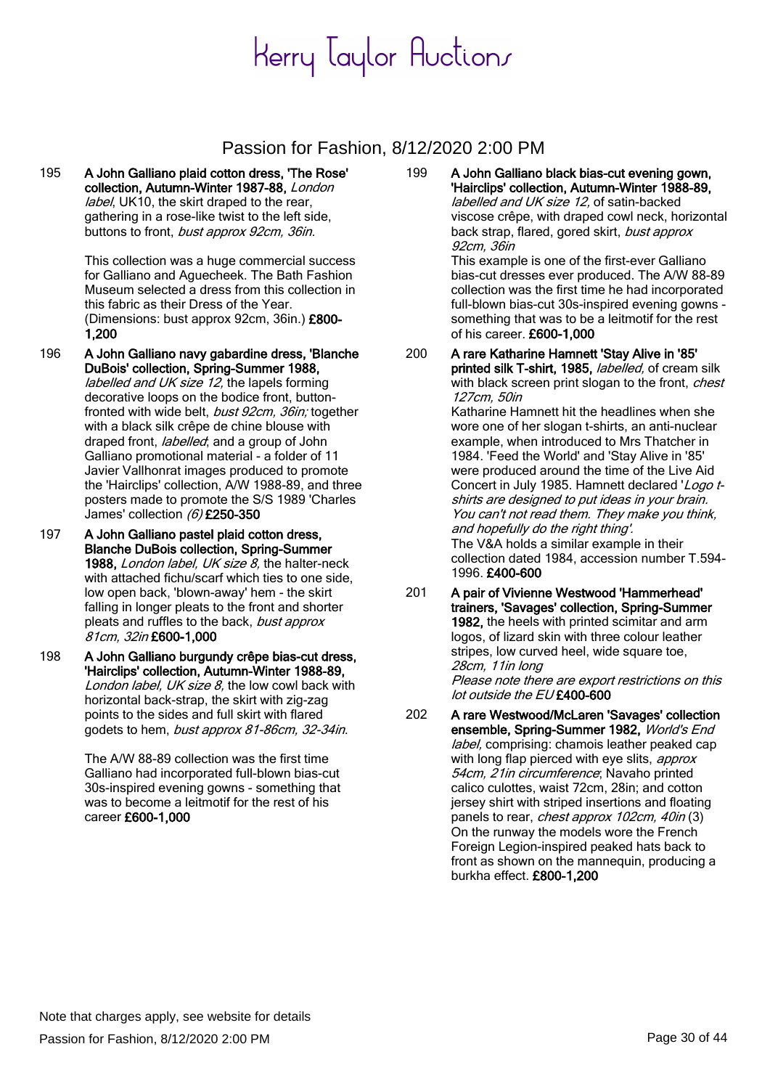### Passion for Fashion, 8/12/2020 2:00 PM

195 A John Galliano plaid cotton dress, 'The Rose' collection, Autumn-Winter 1987-88, London label, UK10, the skirt draped to the rear, gathering in a rose-like twist to the left side, buttons to front, bust approx 92cm, 36in.

> This collection was a huge commercial success for Galliano and Aguecheek. The Bath Fashion Museum selected a dress from this collection in this fabric as their Dress of the Year. (Dimensions: bust approx 92cm, 36in.) £800- 1,200

- 196 A John Galliano navy gabardine dress, 'Blanche DuBois' collection, Spring-Summer 1988, labelled and UK size 12, the lapels forming decorative loops on the bodice front, buttonfronted with wide belt, bust 92cm, 36in; together with a black silk crêpe de chine blouse with draped front, *labelled*; and a group of John Galliano promotional material - a folder of 11 Javier Vallhonrat images produced to promote the 'Hairclips' collection, A/W 1988-89, and three posters made to promote the S/S 1989 'Charles James' collection  $(6)$  £250-350
- 197 A John Galliano pastel plaid cotton dress, Blanche DuBois collection, Spring-Summer 1988, London label, UK size 8, the halter-neck with attached fichu/scarf which ties to one side, low open back, 'blown-away' hem - the skirt falling in longer pleats to the front and shorter pleats and ruffles to the back, bust approx 81cm, 32in £600-1,000
- 198 A John Galliano burgundy crêpe bias-cut dress, 'Hairclips' collection, Autumn-Winter 1988-89, London label, UK size  $8$ , the low cowl back with horizontal back-strap, the skirt with zig-zag points to the sides and full skirt with flared godets to hem, bust approx 81-86cm, 32-34in.

The A/W 88-89 collection was the first time Galliano had incorporated full-blown bias-cut 30s-inspired evening gowns - something that was to become a leitmotif for the rest of his career £600-1,000

199 A John Galliano black bias-cut evening gown, 'Hairclips' collection, Autumn-Winter 1988-89, labelled and UK size 12, of satin-backed viscose crêpe, with draped cowl neck, horizontal back strap, flared, gored skirt, bust approx 92cm, 36in This example is one of the first-ever Galliano

bias-cut dresses ever produced. The A/W 88-89 collection was the first time he had incorporated full-blown bias-cut 30s-inspired evening gowns something that was to be a leitmotif for the rest of his career. £600-1,000

- 200 A rare Katharine Hamnett 'Stay Alive in '85' printed silk T-shirt, 1985, labelled, of cream silk with black screen print slogan to the front, chest 127cm, 50in Katharine Hamnett hit the headlines when she wore one of her slogan t-shirts, an anti-nuclear example, when introduced to Mrs Thatcher in 1984. 'Feed the World' and 'Stay Alive in '85' were produced around the time of the Live Aid Concert in July 1985. Hamnett declared 'Logo tshirts are designed to put ideas in your brain. You can't not read them. They make you think, and hopefully do the right thing'. The V&A holds a similar example in their collection dated 1984, accession number T.594-
- 201 A pair of Vivienne Westwood 'Hammerhead' trainers, 'Savages' collection, Spring-Summer 1982, the heels with printed scimitar and arm logos, of lizard skin with three colour leather stripes, low curved heel, wide square toe, 28cm, 11in long Please note there are export restrictions on this lot outside the EU £400-600

1996. £400-600

202 A rare Westwood/McLaren 'Savages' collection ensemble, Spring-Summer 1982, World's End label, comprising: chamois leather peaked cap with long flap pierced with eye slits, *approx* 54cm, 21in circumference; Navaho printed calico culottes, waist 72cm, 28in; and cotton jersey shirt with striped insertions and floating panels to rear, *chest approx 102cm, 40in* (3) On the runway the models wore the French Foreign Legion-inspired peaked hats back to front as shown on the mannequin, producing a burkha effect. £800-1,200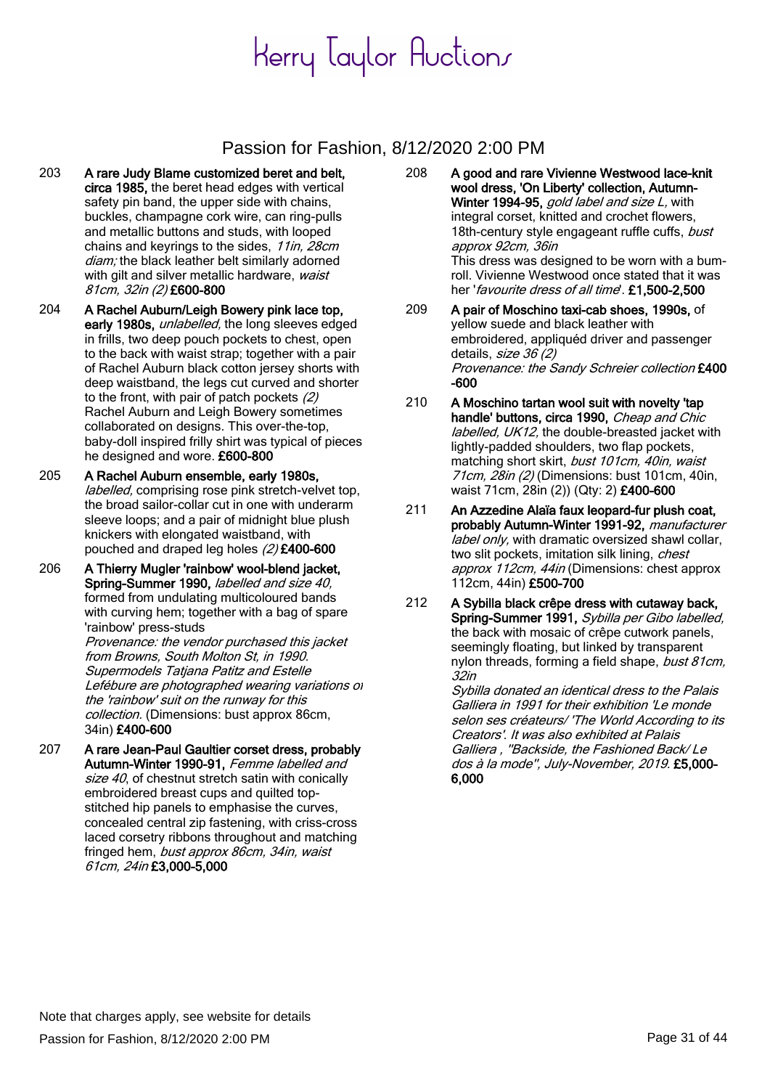### Passion for Fashion, 8/12/2020 2:00 PM

- 203 A rare Judy Blame customized beret and belt, circa 1985, the beret head edges with vertical safety pin band, the upper side with chains, buckles, champagne cork wire, can ring-pulls and metallic buttons and studs, with looped chains and keyrings to the sides, 11in, 28cm diam; the black leather belt similarly adorned with gilt and silver metallic hardware, waist 81cm, 32in (2) £600-800
- 204 A Rachel Auburn/Leigh Bowery pink lace top, early 1980s, *unlabelled*, the long sleeves edged in frills, two deep pouch pockets to chest, open to the back with waist strap; together with a pair of Rachel Auburn black cotton jersey shorts with deep waistband, the legs cut curved and shorter to the front, with pair of patch pockets (2) Rachel Auburn and Leigh Bowery sometimes collaborated on designs. This over-the-top, baby-doll inspired frilly shirt was typical of pieces he designed and wore. £600-800
- 205 A Rachel Auburn ensemble, early 1980s, labelled, comprising rose pink stretch-velvet top, the broad sailor-collar cut in one with underarm sleeve loops; and a pair of midnight blue plush knickers with elongated waistband, with pouched and draped leg holes (2) £400-600
- 206 A Thierry Mugler 'rainbow' wool-blend jacket, Spring-Summer 1990, *labelled and size 40*, formed from undulating multicoloured bands with curving hem; together with a bag of spare 'rainbow' press-studs

Provenance: the vendor purchased this jacket from Browns, South Molton St, in 1990. Supermodels Tatjana Patitz and Estelle Lefébure are photographed wearing variations of the 'rainbow' suit on the runway for this collection. (Dimensions: bust approx 86cm, 34in) £400-600

207 A rare Jean-Paul Gaultier corset dress, probably Autumn-Winter 1990-91, Femme labelled and size  $40$ , of chestnut stretch satin with conically embroidered breast cups and quilted topstitched hip panels to emphasise the curves, concealed central zip fastening, with criss-cross laced corsetry ribbons throughout and matching fringed hem, bust approx 86cm, 34in, waist 61cm, 24in £3,000-5,000

- 208 A good and rare Vivienne Westwood lace-knit wool dress, 'On Liberty' collection, Autumn-Winter 1994-95, gold label and size L, with integral corset, knitted and crochet flowers, 18th-century style engageant ruffle cuffs, bust approx 92cm, 36in This dress was designed to be worn with a bumroll. Vivienne Westwood once stated that it was her 'favourite dress of all time'. £1,500-2,500
- 209 A pair of Moschino taxi-cab shoes, 1990s, of yellow suede and black leather with embroidered, appliquéd driver and passenger details, size 36 (2) Provenance: the Sandy Schreier collection £400 -600
- 210 A Moschino tartan wool suit with novelty 'tap handle' buttons, circa 1990, Cheap and Chic labelled, UK12, the double-breasted jacket with lightly-padded shoulders, two flap pockets, matching short skirt, bust 101cm, 40in, waist 71cm, 28in (2) (Dimensions: bust 101cm, 40in, waist 71cm, 28in (2)) (Qty: 2) £400-600
- 211 An Azzedine Alaïa faux leopard-fur plush coat, probably Autumn-Winter 1991-92, manufacturer label only, with dramatic oversized shawl collar, two slit pockets, imitation silk lining, *chest* approx 112cm, 44in (Dimensions: chest approx 112cm, 44in) £500-700
- 212 A Sybilla black crêpe dress with cutaway back, Spring-Summer 1991, Sybilla per Gibo labelled, the back with mosaic of crêpe cutwork panels, seemingly floating, but linked by transparent nylon threads, forming a field shape, bust 81cm, 32in

Sybilla donated an identical dress to the Palais Galliera in 1991 for their exhibition 'Le monde selon ses créateurs/ 'The World According to its Creators'. It was also exhibited at Palais Galliera , ''Backside, the Fashioned Back/ Le dos à la mode'', July-November, 2019. £5,000- 6,000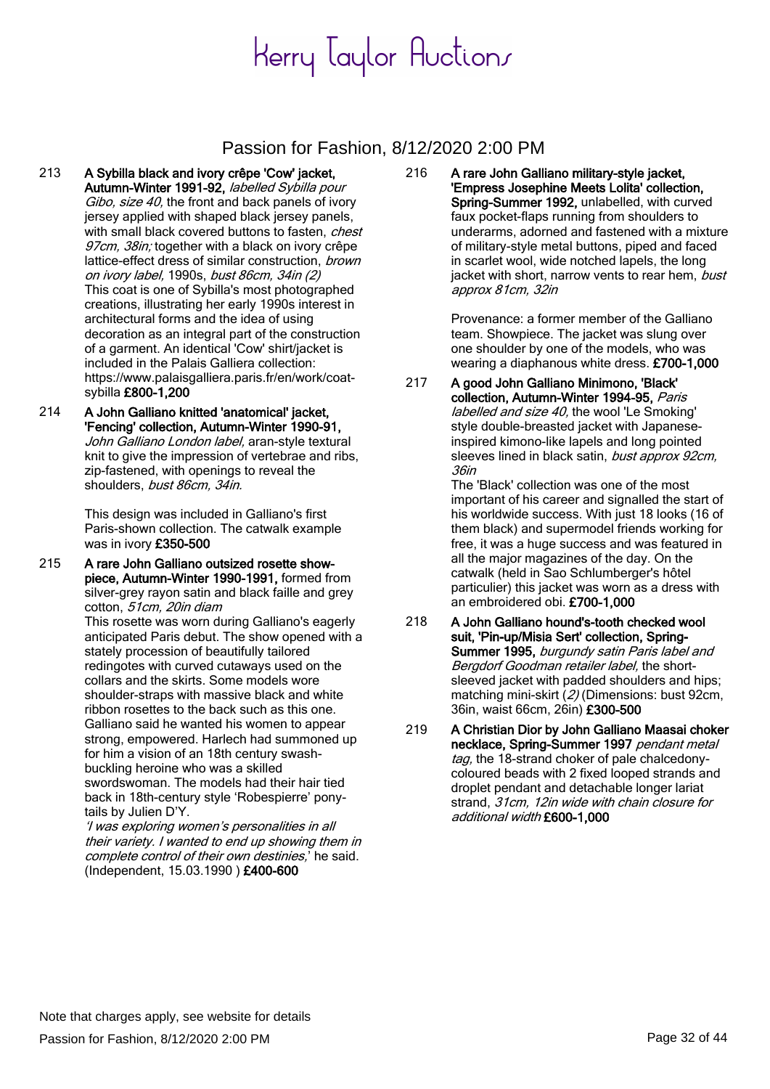### Passion for Fashion, 8/12/2020 2:00 PM

- 213 A Sybilla black and ivory crêpe 'Cow' jacket, Autumn-Winter 1991-92, labelled Sybilla pour Gibo, size 40, the front and back panels of ivory jersey applied with shaped black jersey panels, with small black covered buttons to fasten, chest 97cm, 38in; together with a black on ivory crêpe lattice-effect dress of similar construction, brown on ivory label, 1990s, bust 86cm, 34in (2) This coat is one of Sybilla's most photographed creations, illustrating her early 1990s interest in architectural forms and the idea of using decoration as an integral part of the construction of a garment. An identical 'Cow' shirt/jacket is included in the Palais Galliera collection: https://www.palaisgalliera.paris.fr/en/work/coatsybilla £800-1,200
- 214 A John Galliano knitted 'anatomical' jacket, 'Fencing' collection, Autumn-Winter 1990-91, John Galliano London label, aran-style textural knit to give the impression of vertebrae and ribs, zip-fastened, with openings to reveal the shoulders, bust 86cm, 34in.

This design was included in Galliano's first Paris-shown collection. The catwalk example was in ivory £350-500

215 A rare John Galliano outsized rosette showpiece, Autumn-Winter 1990-1991, formed from silver-grey rayon satin and black faille and grey cotton, 51cm, 20in diam This rosette was worn during Galliano's eagerly

anticipated Paris debut. The show opened with a stately procession of beautifully tailored redingotes with curved cutaways used on the collars and the skirts. Some models wore shoulder-straps with massive black and white ribbon rosettes to the back such as this one. Galliano said he wanted his women to appear strong, empowered. Harlech had summoned up for him a vision of an 18th century swashbuckling heroine who was a skilled swordswoman. The models had their hair tied back in 18th-century style 'Robespierre' ponytails by Julien D'Y.

'I was exploring women's personalities in all their variety. I wanted to end up showing them in complete control of their own destinies,' he said. (Independent, 15.03.1990 ) £400-600

216 A rare John Galliano military-style jacket, 'Empress Josephine Meets Lolita' collection, Spring-Summer 1992, unlabelled, with curved faux pocket-flaps running from shoulders to underarms, adorned and fastened with a mixture of military-style metal buttons, piped and faced in scarlet wool, wide notched lapels, the long jacket with short, narrow vents to rear hem, bust approx 81cm, 32in

> Provenance: a former member of the Galliano team. Showpiece. The jacket was slung over one shoulder by one of the models, who was wearing a diaphanous white dress. £700-1,000

217 A good John Galliano Minimono, 'Black' collection, Autumn-Winter 1994-95, Paris labelled and size 40, the wool 'Le Smoking' style double-breasted jacket with Japaneseinspired kimono-like lapels and long pointed sleeves lined in black satin, bust approx 92cm, 36in

The 'Black' collection was one of the most important of his career and signalled the start of his worldwide success. With just 18 looks (16 of them black) and supermodel friends working for free, it was a huge success and was featured in all the major magazines of the day. On the catwalk (held in Sao Schlumberger's hôtel particulier) this jacket was worn as a dress with an embroidered obi. £700-1,000

- 218 A John Galliano hound's-tooth checked wool suit, 'Pin-up/Misia Sert' collection, Spring-Summer 1995, burgundy satin Paris label and Bergdorf Goodman retailer label, the shortsleeved jacket with padded shoulders and hips; matching mini-skirt (2) (Dimensions: bust 92cm, 36in, waist 66cm, 26in) £300-500
- 219 A Christian Dior by John Galliano Maasai choker necklace, Spring-Summer 1997 pendant metal tag, the 18-strand choker of pale chalcedonycoloured beads with 2 fixed looped strands and droplet pendant and detachable longer lariat strand, 31cm, 12in wide with chain closure for additional width £600-1,000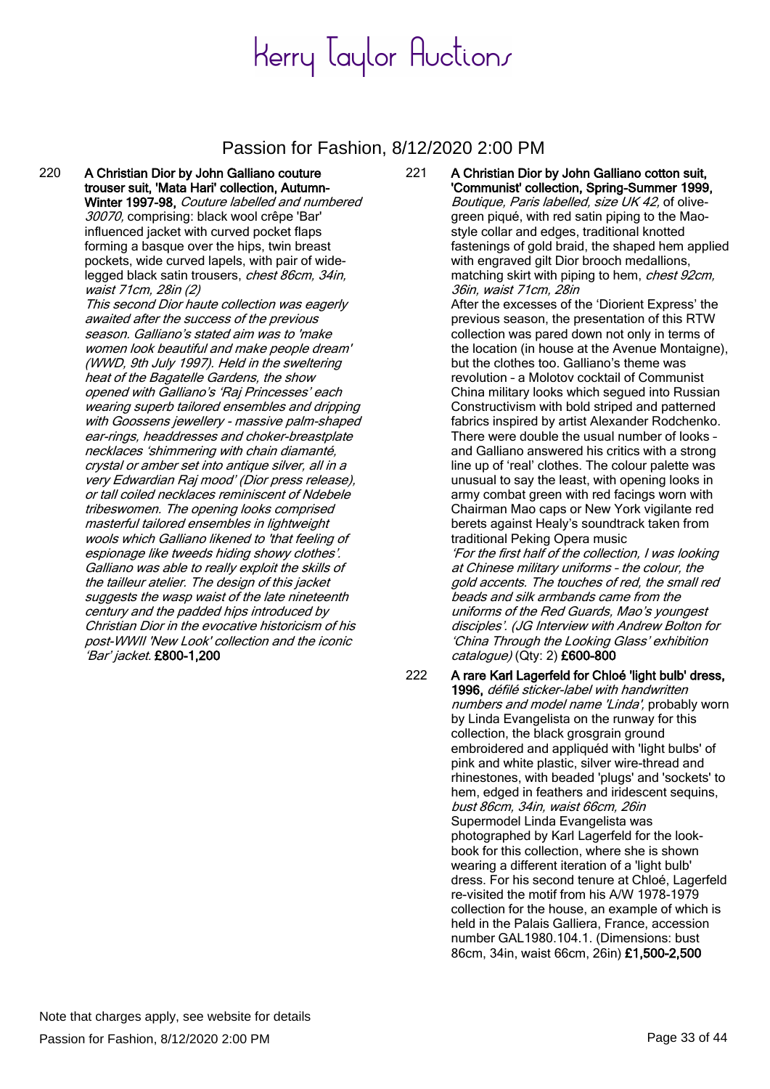#### Passion for Fashion, 8/12/2020 2:00 PM

220 A Christian Dior by John Galliano couture trouser suit, 'Mata Hari' collection, Autumn-Winter 1997-98, Couture labelled and numbered 30070, comprising: black wool crêpe 'Bar' influenced jacket with curved pocket flaps forming a basque over the hips, twin breast pockets, wide curved lapels, with pair of widelegged black satin trousers, chest 86cm, 34in, waist 71cm, 28in (2) This second Dior haute collection was eagerly awaited after the success of the previous season. Galliano's stated aim was to 'make women look beautiful and make people dream' (WWD, 9th July 1997). Held in the sweltering heat of the Bagatelle Gardens, the show opened with Galliano's 'Raj Princesses' each wearing superb tailored ensembles and dripping with Goossens jewellery - massive palm-shaped ear-rings, headdresses and choker-breastplate necklaces 'shimmering with chain diamanté, crystal or amber set into antique silver, all in a very Edwardian Raj mood' (Dior press release), or tall coiled necklaces reminiscent of Ndebele tribeswomen. The opening looks comprised masterful tailored ensembles in lightweight wools which Galliano likened to 'that feeling of espionage like tweeds hiding showy clothes'. Galliano was able to really exploit the skills of the tailleur atelier. The design of this jacket suggests the wasp waist of the late nineteenth century and the padded hips introduced by Christian Dior in the evocative historicism of his post-WWII 'New Look' collection and the iconic 'Bar' jacket. £800-1,200

221 A Christian Dior by John Galliano cotton suit, 'Communist' collection, Spring-Summer 1999, Boutique, Paris labelled, size UK 42, of olivegreen piqué, with red satin piping to the Maostyle collar and edges, traditional knotted fastenings of gold braid, the shaped hem applied with engraved gilt Dior brooch medallions, matching skirt with piping to hem, chest 92cm, 36in, waist 71cm, 28in

After the excesses of the 'Diorient Express' the previous season, the presentation of this RTW collection was pared down not only in terms of the location (in house at the Avenue Montaigne), but the clothes too. Galliano's theme was revolution – a Molotov cocktail of Communist China military looks which segued into Russian Constructivism with bold striped and patterned fabrics inspired by artist Alexander Rodchenko. There were double the usual number of looks – and Galliano answered his critics with a strong line up of 'real' clothes. The colour palette was unusual to say the least, with opening looks in army combat green with red facings worn with Chairman Mao caps or New York vigilante red berets against Healy's soundtrack taken from traditional Peking Opera music

'For the first half of the collection, I was looking at Chinese military uniforms – the colour, the gold accents. The touches of red, the small red beads and silk armbands came from the uniforms of the Red Guards, Mao's youngest disciples'. (JG Interview with Andrew Bolton for 'China Through the Looking Glass' exhibition catalogue) (Qty: 2) £600-800

222 A rare Karl Lagerfeld for Chloé 'light bulb' dress, 1996, défilé sticker-label with handwritten numbers and model name 'Linda', probably worn by Linda Evangelista on the runway for this collection, the black grosgrain ground embroidered and appliquéd with 'light bulbs' of pink and white plastic, silver wire-thread and rhinestones, with beaded 'plugs' and 'sockets' to hem, edged in feathers and iridescent sequins, bust 86cm, 34in, waist 66cm, 26in Supermodel Linda Evangelista was photographed by Karl Lagerfeld for the lookbook for this collection, where she is shown wearing a different iteration of a 'light bulb' dress. For his second tenure at Chloé, Lagerfeld re-visited the motif from his A/W 1978-1979 collection for the house, an example of which is held in the Palais Galliera, France, accession number GAL1980.104.1. (Dimensions: bust 86cm, 34in, waist 66cm, 26in) £1,500-2,500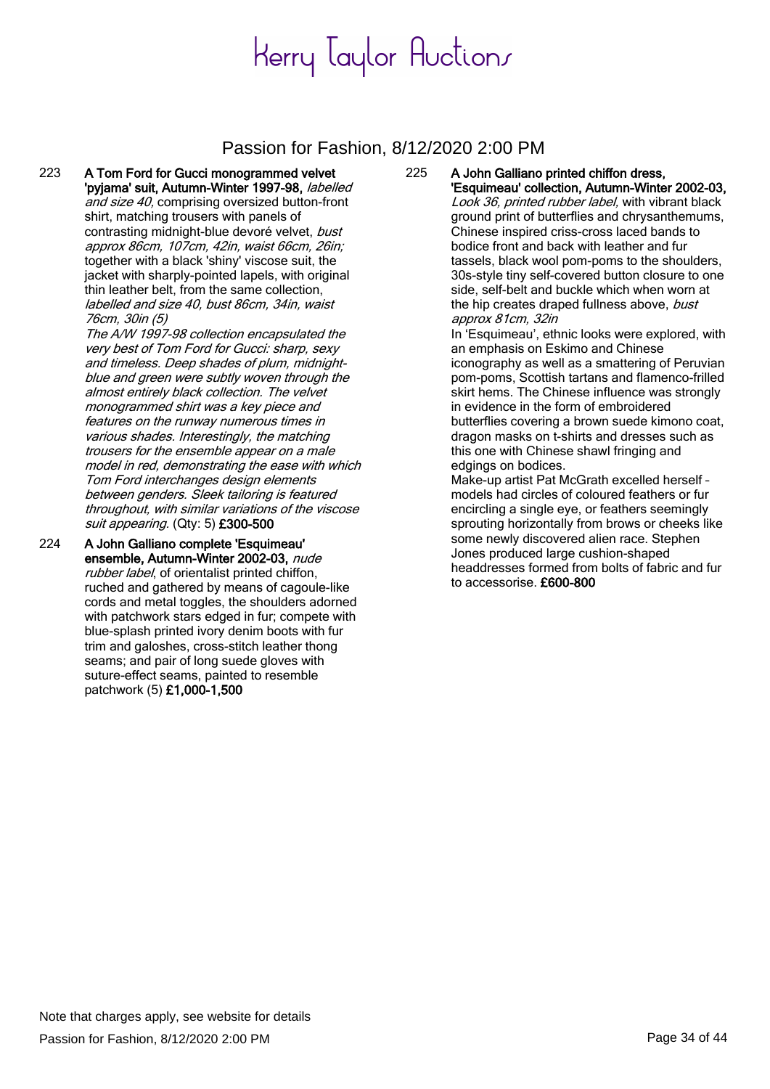#### Passion for Fashion, 8/12/2020 2:00 PM

223 A Tom Ford for Gucci monogrammed velvet 'pyjama' suit, Autumn-Winter 1997-98, labelled and size 40, comprising oversized button-front shirt, matching trousers with panels of contrasting midnight-blue devoré velvet, bust approx 86cm, 107cm, 42in, waist 66cm, 26in; together with a black 'shiny' viscose suit, the jacket with sharply-pointed lapels, with original thin leather belt, from the same collection, labelled and size 40, bust 86cm, 34in, waist 76cm, 30in (5) The A/W 1997-98 collection encapsulated the

very best of Tom Ford for Gucci: sharp, sexy and timeless. Deep shades of plum, midnightblue and green were subtly woven through the almost entirely black collection. The velvet monogrammed shirt was a key piece and features on the runway numerous times in various shades. Interestingly, the matching trousers for the ensemble appear on a male model in red, demonstrating the ease with which Tom Ford interchanges design elements between genders. Sleek tailoring is featured throughout, with similar variations of the viscose suit appearing. (Qty: 5) £300-500

224 A John Galliano complete 'Esquimeau' ensemble, Autumn-Winter 2002-03, nude rubber label, of orientalist printed chiffon, ruched and gathered by means of cagoule-like cords and metal toggles, the shoulders adorned with patchwork stars edged in fur; compete with blue-splash printed ivory denim boots with fur trim and galoshes, cross-stitch leather thong seams; and pair of long suede gloves with suture-effect seams, painted to resemble patchwork (5) £1,000-1,500

#### 225 A John Galliano printed chiffon dress, 'Esquimeau' collection, Autumn-Winter 2002-03,

Look 36, printed rubber label, with vibrant black ground print of butterflies and chrysanthemums, Chinese inspired criss-cross laced bands to bodice front and back with leather and fur tassels, black wool pom-poms to the shoulders, 30s-style tiny self-covered button closure to one side, self-belt and buckle which when worn at the hip creates draped fullness above, bust approx 81cm, 32in

In 'Esquimeau', ethnic looks were explored, with an emphasis on Eskimo and Chinese iconography as well as a smattering of Peruvian pom-poms, Scottish tartans and flamenco-frilled skirt hems. The Chinese influence was strongly in evidence in the form of embroidered butterflies covering a brown suede kimono coat, dragon masks on t-shirts and dresses such as this one with Chinese shawl fringing and edgings on bodices.

Make-up artist Pat McGrath excelled herself – models had circles of coloured feathers or fur encircling a single eye, or feathers seemingly sprouting horizontally from brows or cheeks like some newly discovered alien race. Stephen Jones produced large cushion-shaped headdresses formed from bolts of fabric and fur to accessorise. £600-800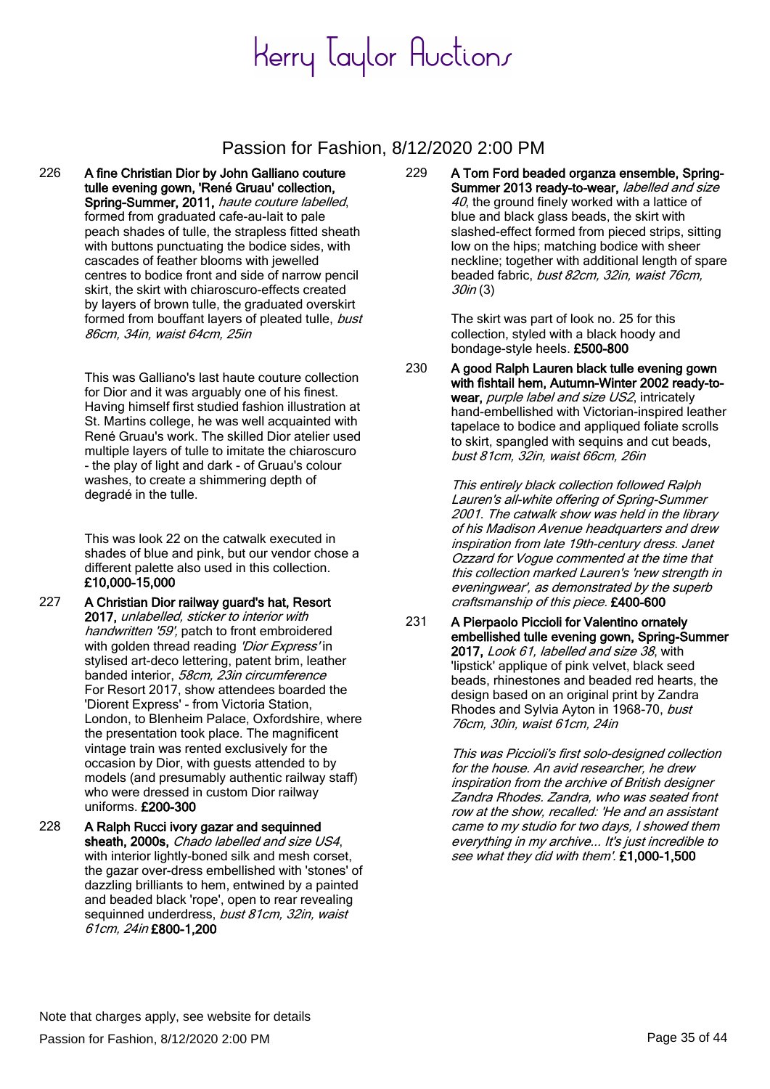### Passion for Fashion, 8/12/2020 2:00 PM

226 A fine Christian Dior by John Galliano couture tulle evening gown, 'René Gruau' collection, Spring-Summer, 2011, haute couture labelled, formed from graduated cafe-au-lait to pale peach shades of tulle, the strapless fitted sheath with buttons punctuating the bodice sides, with cascades of feather blooms with jewelled centres to bodice front and side of narrow pencil skirt, the skirt with chiaroscuro-effects created by layers of brown tulle, the graduated overskirt formed from bouffant layers of pleated tulle, bust 86cm, 34in, waist 64cm, 25in

> This was Galliano's last haute couture collection for Dior and it was arguably one of his finest. Having himself first studied fashion illustration at St. Martins college, he was well acquainted with René Gruau's work. The skilled Dior atelier used multiple layers of tulle to imitate the chiaroscuro - the play of light and dark - of Gruau's colour washes, to create a shimmering depth of degradé in the tulle.

> This was look 22 on the catwalk executed in shades of blue and pink, but our vendor chose a different palette also used in this collection. £10,000-15,000

- 227 A Christian Dior railway guard's hat, Resort 2017, unlabelled, sticker to interior with handwritten '59', patch to front embroidered with golden thread reading 'Dior Express' in stylised art-deco lettering, patent brim, leather banded interior, 58cm, 23in circumference For Resort 2017, show attendees boarded the 'Diorent Express' - from Victoria Station, London, to Blenheim Palace, Oxfordshire, where the presentation took place. The magnificent vintage train was rented exclusively for the occasion by Dior, with guests attended to by models (and presumably authentic railway staff) who were dressed in custom Dior railway uniforms. £200-300
- 228 A Ralph Rucci ivory gazar and sequinned sheath, 2000s, Chado labelled and size US4, with interior lightly-boned silk and mesh corset, the gazar over-dress embellished with 'stones' of dazzling brilliants to hem, entwined by a painted and beaded black 'rope', open to rear revealing sequinned underdress, bust 81cm, 32in, waist 61cm, 24in £800-1,200

229 A Tom Ford beaded organza ensemble, Spring-Summer 2013 ready-to-wear, labelled and size 40, the ground finely worked with a lattice of blue and black glass beads, the skirt with slashed-effect formed from pieced strips, sitting low on the hips; matching bodice with sheer neckline; together with additional length of spare beaded fabric, bust 82cm, 32in, waist 76cm, 30in (3)

> The skirt was part of look no. 25 for this collection, styled with a black hoody and bondage-style heels. £500-800

230 A good Ralph Lauren black tulle evening gown with fishtail hem, Autumn-Winter 2002 ready-towear, *purple label and size US2*, intricately hand-embellished with Victorian-inspired leather tapelace to bodice and appliqued foliate scrolls to skirt, spangled with sequins and cut beads, bust 81cm, 32in, waist 66cm, 26in

> This entirely black collection followed Ralph Lauren's all-white offering of Spring-Summer 2001. The catwalk show was held in the library of his Madison Avenue headquarters and drew inspiration from late 19th-century dress. Janet Ozzard for Vogue commented at the time that this collection marked Lauren's 'new strength in eveningwear', as demonstrated by the superb craftsmanship of this piece. £400-600

231 A Pierpaolo Piccioli for Valentino ornately embellished tulle evening gown, Spring-Summer 2017, Look 61, labelled and size 38, with 'lipstick' applique of pink velvet, black seed beads, rhinestones and beaded red hearts, the design based on an original print by Zandra Rhodes and Sylvia Ayton in 1968-70, bust 76cm, 30in, waist 61cm, 24in

> This was Piccioli's first solo-designed collection for the house. An avid researcher, he drew inspiration from the archive of British designer Zandra Rhodes. Zandra, who was seated front row at the show, recalled: 'He and an assistant came to my studio for two days, I showed them everything in my archive... It's just incredible to see what they did with them'. £1,000-1,500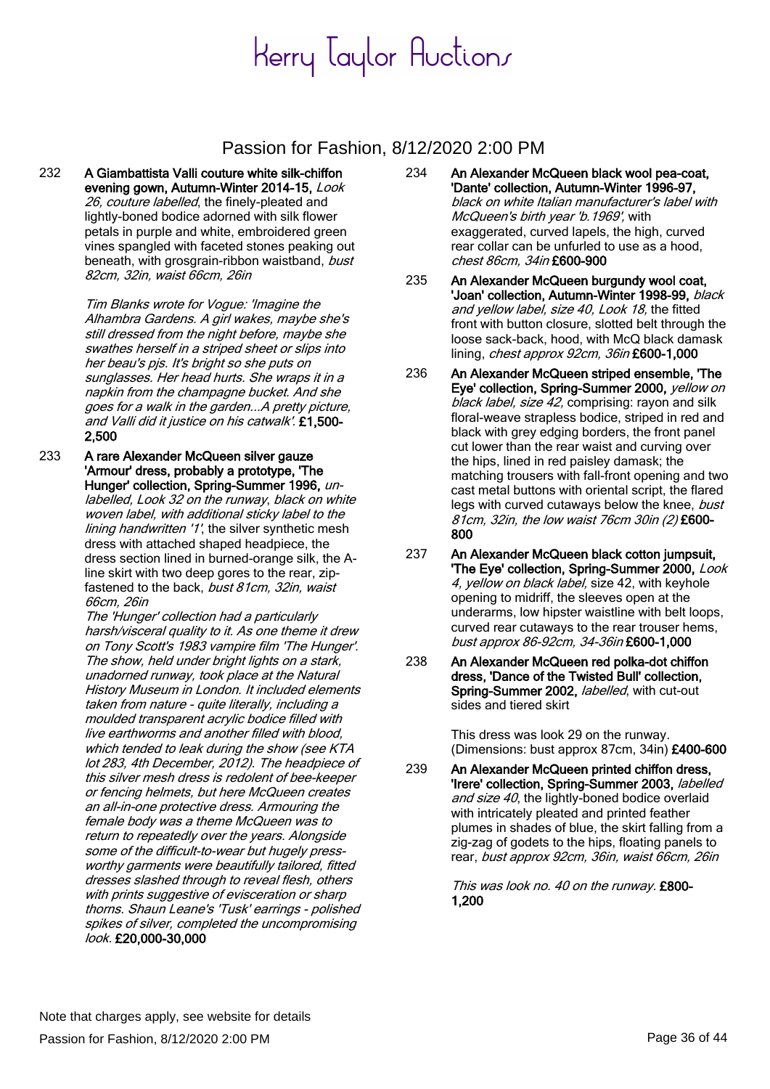### Passion for Fashion, 8/12/2020 2:00 PM

232 A Giambattista Valli couture white silk-chiffon evening gown, Autumn-Winter 2014-15, Look 26, couture labelled, the finely-pleated and lightly-boned bodice adorned with silk flower petals in purple and white, embroidered green vines spangled with faceted stones peaking out beneath, with grosgrain-ribbon waistband, bust 82cm, 32in, waist 66cm, 26in

> Tim Blanks wrote for Vogue: 'Imagine the Alhambra Gardens. A girl wakes, maybe she's still dressed from the night before, maybe she swathes herself in a striped sheet or slips into her beau's pjs. It's bright so she puts on sunglasses. Her head hurts. She wraps it in a napkin from the champagne bucket. And she goes for a walk in the garden...A pretty picture, and Valli did it justice on his catwalk'. £1,500- 2,500

233 A rare Alexander McQueen silver gauze 'Armour' dress, probably a prototype, 'The Hunger' collection, Spring-Summer 1996, unlabelled, Look 32 on the runway, black on white woven label, with additional sticky label to the lining handwritten '1', the silver synthetic mesh dress with attached shaped headpiece, the dress section lined in burned-orange silk, the Aline skirt with two deep gores to the rear, zipfastened to the back, bust 81cm, 32in, waist 66cm, 26in

The 'Hunger' collection had a particularly harsh/visceral quality to it. As one theme it drew on Tony Scott's 1983 vampire film 'The Hunger'. The show, held under bright lights on a stark, unadorned runway, took place at the Natural History Museum in London. It included elements taken from nature - quite literally, including a moulded transparent acrylic bodice filled with live earthworms and another filled with blood, which tended to leak during the show (see KTA lot 283, 4th December, 2012). The headpiece of this silver mesh dress is redolent of bee-keeper or fencing helmets, but here McQueen creates an all-in-one protective dress. Armouring the female body was a theme McQueen was to return to repeatedly over the years. Alongside some of the difficult-to-wear but hugely pressworthy garments were beautifully tailored, fitted dresses slashed through to reveal flesh, others with prints suggestive of evisceration or sharp thorns. Shaun Leane's 'Tusk' earrings - polished spikes of silver, completed the uncompromising look. £20,000-30,000

- 234 An Alexander McQueen black wool pea-coat, 'Dante' collection, Autumn-Winter 1996-97, black on white Italian manufacturer's label with McQueen's birth year 'b. 1969', with exaggerated, curved lapels, the high, curved rear collar can be unfurled to use as a hood, chest 86cm, 34in £600-900
	- 235 An Alexander McQueen burgundy wool coat, 'Joan' collection, Autumn-Winter 1998-99, black and yellow label, size 40, Look 18, the fitted front with button closure, slotted belt through the loose sack-back, hood, with McQ black damask lining, *chest approx 92cm, 36in* £600-1,000
	- 236 An Alexander McQueen striped ensemble, 'The Eye' collection, Spring-Summer 2000, vellow on black label, size 42, comprising: rayon and silk floral-weave strapless bodice, striped in red and black with grey edging borders, the front panel cut lower than the rear waist and curving over the hips, lined in red paisley damask; the matching trousers with fall-front opening and two cast metal buttons with oriental script, the flared legs with curved cutaways below the knee, bust 81cm, 32in, the low waist 76cm 30in (2) £600- 800
	- 237 An Alexander McQueen black cotton jumpsuit, 'The Eye' collection, Spring-Summer 2000, Look 4, yellow on black label, size 42, with keyhole opening to midriff, the sleeves open at the underarms, low hipster waistline with belt loops, curved rear cutaways to the rear trouser hems, bust approx 86-92cm, 34-36in £600-1,000
- 238 An Alexander McQueen red polka-dot chiffon dress, 'Dance of the Twisted Bull' collection, Spring-Summer 2002, labelled, with cut-out sides and tiered skirt

This dress was look 29 on the runway. (Dimensions: bust approx 87cm, 34in) £400-600

239 An Alexander McQueen printed chiffon dress, 'Irere' collection, Spring-Summer 2003, labelled and size 40, the lightly-boned bodice overlaid with intricately pleated and printed feather plumes in shades of blue, the skirt falling from a zig-zag of godets to the hips, floating panels to rear, bust approx 92cm, 36in, waist 66cm, 26in

> This was look no. 40 on the runway. £800- 1,200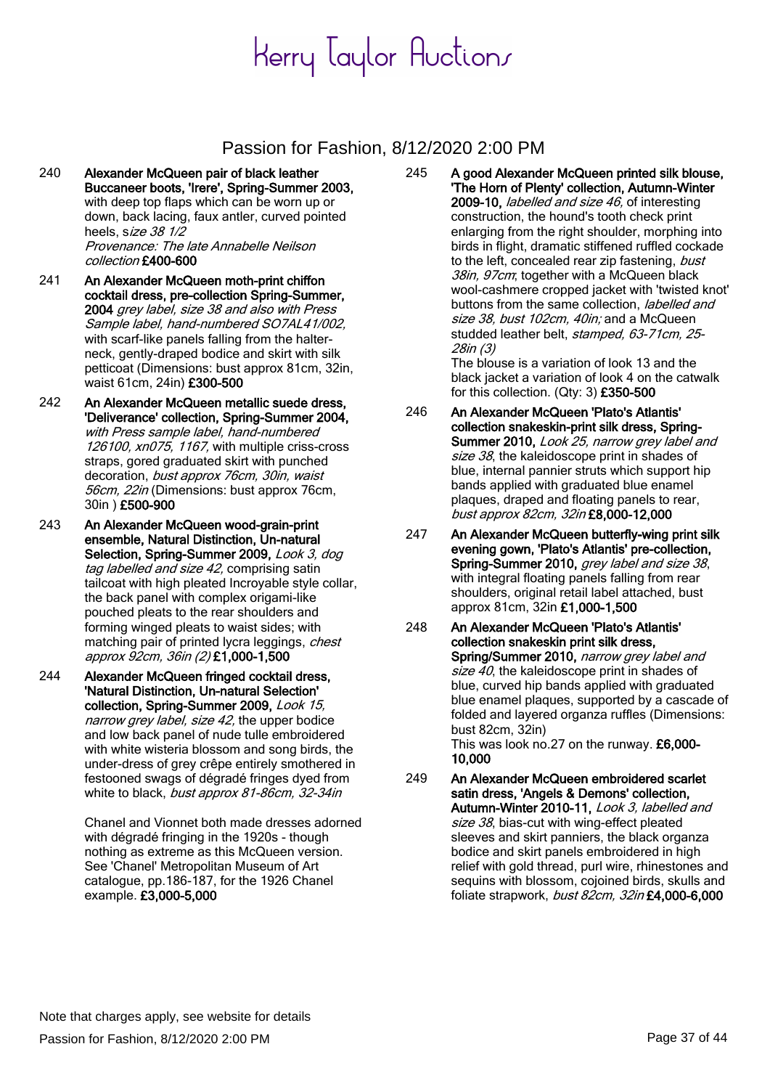### Passion for Fashion, 8/12/2020 2:00 PM

- 240 Alexander McQueen pair of black leather Buccaneer boots, 'Irere', Spring-Summer 2003, with deep top flaps which can be worn up or down, back lacing, faux antler, curved pointed heels, size 38 1/2 Provenance: The late Annabelle Neilson collection £400-600
- 241 An Alexander McQueen moth-print chiffon cocktail dress, pre-collection Spring-Summer, 2004 grey label, size 38 and also with Press Sample label, hand-numbered SO7AL41/002, with scarf-like panels falling from the halterneck, gently-draped bodice and skirt with silk petticoat (Dimensions: bust approx 81cm, 32in, waist 61cm, 24in) £300-500
- 242 An Alexander McQueen metallic suede dress, 'Deliverance' collection, Spring-Summer 2004, with Press sample label, hand-numbered 126100, xn075, 1167, with multiple criss-cross straps, gored graduated skirt with punched decoration, bust approx 76cm, 30in, waist 56cm, 22in (Dimensions: bust approx 76cm, 30in ) £500-900
- 243 An Alexander McQueen wood-grain-print ensemble, Natural Distinction, Un-natural Selection, Spring-Summer 2009, Look 3, dog tag labelled and size 42, comprising satin tailcoat with high pleated Incroyable style collar, the back panel with complex origami-like pouched pleats to the rear shoulders and forming winged pleats to waist sides; with matching pair of printed lycra leggings, chest approx 92cm, 36in (2) £1,000-1,500
- 244 Alexander McQueen fringed cocktail dress, 'Natural Distinction, Un-natural Selection' collection, Spring-Summer 2009, Look 15, narrow grey label, size 42, the upper bodice and low back panel of nude tulle embroidered with white wisteria blossom and song birds, the under-dress of grey crêpe entirely smothered in festooned swags of dégradé fringes dyed from white to black, bust approx 81-86cm, 32-34in

Chanel and Vionnet both made dresses adorned with dégradé fringing in the 1920s - though nothing as extreme as this McQueen version. See 'Chanel' Metropolitan Museum of Art catalogue, pp.186-187, for the 1926 Chanel example. £3,000-5,000

245 A good Alexander McQueen printed silk blouse, 'The Horn of Plenty' collection, Autumn-Winter 2009-10, labelled and size 46, of interesting construction, the hound's tooth check print enlarging from the right shoulder, morphing into birds in flight, dramatic stiffened ruffled cockade to the left, concealed rear zip fastening, bust 38in, 97cm; together with a McQueen black wool-cashmere cropped jacket with 'twisted knot' buttons from the same collection, *labelled and* size 38, bust 102cm, 40in; and a McQueen studded leather belt, stamped, 63-71cm, 25-28in (3)

The blouse is a variation of look 13 and the black jacket a variation of look 4 on the catwalk for this collection. (Qty: 3) £350-500

- 246 An Alexander McQueen 'Plato's Atlantis' collection snakeskin-print silk dress, Spring-Summer 2010, Look 25, narrow grey label and size 38, the kaleidoscope print in shades of blue, internal pannier struts which support hip bands applied with graduated blue enamel plaques, draped and floating panels to rear, bust approx 82cm, 32in £8,000-12,000
- 247 An Alexander McQueen butterfly-wing print silk evening gown, 'Plato's Atlantis' pre-collection, Spring-Summer 2010, grey label and size 38, with integral floating panels falling from rear shoulders, original retail label attached, bust approx 81cm, 32in £1,000-1,500
- 248 An Alexander McQueen 'Plato's Atlantis' collection snakeskin print silk dress, Spring/Summer 2010, narrow grey label and size  $40$ , the kaleidoscope print in shades of blue, curved hip bands applied with graduated blue enamel plaques, supported by a cascade of folded and layered organza ruffles (Dimensions: bust 82cm, 32in) This was look no.27 on the runway. £6,000-

10,000

249 An Alexander McQueen embroidered scarlet satin dress, 'Angels & Demons' collection, Autumn-Winter 2010-11, Look 3, labelled and size 38, bias-cut with wing-effect pleated sleeves and skirt panniers, the black organza bodice and skirt panels embroidered in high relief with gold thread, purl wire, rhinestones and sequins with blossom, cojoined birds, skulls and foliate strapwork, bust 82cm, 32in £4,000-6,000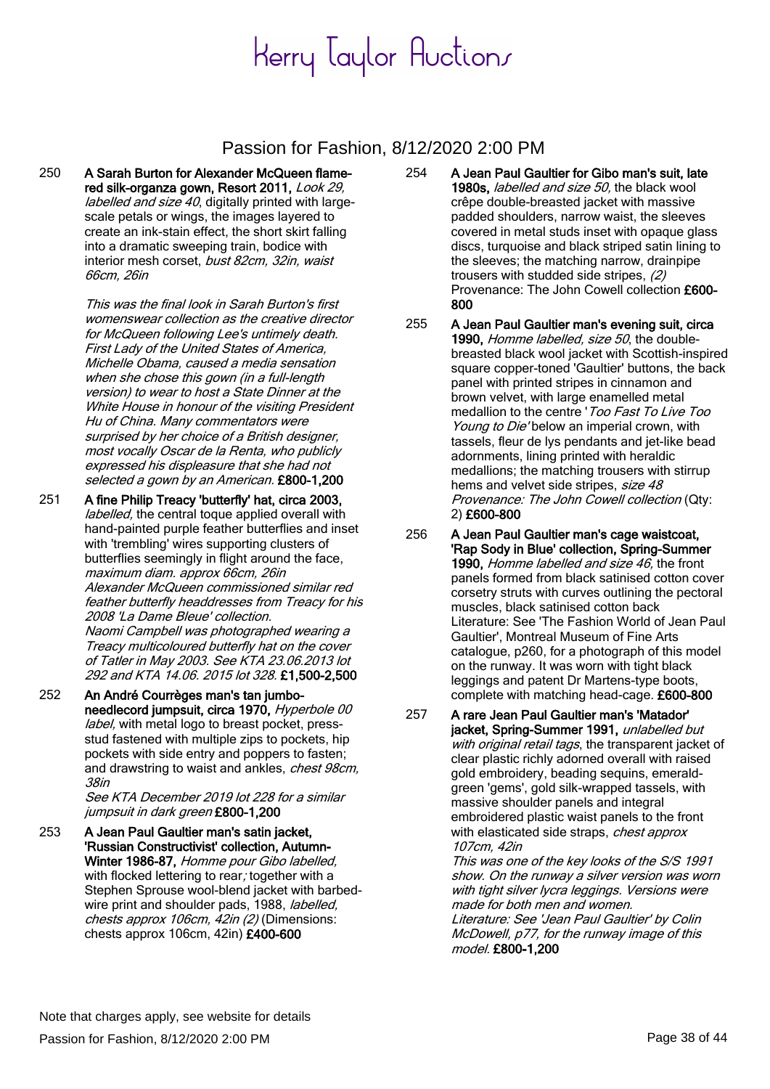### Passion for Fashion, 8/12/2020 2:00 PM

250 A Sarah Burton for Alexander McQueen flamered silk-organza gown, Resort 2011, Look 29, labelled and size 40, digitally printed with largescale petals or wings, the images layered to create an ink-stain effect, the short skirt falling into a dramatic sweeping train, bodice with interior mesh corset, bust 82cm, 32in, waist 66cm, 26in

> This was the final look in Sarah Burton's first womenswear collection as the creative director for McQueen following Lee's untimely death. First Lady of the United States of America, Michelle Obama, caused a media sensation when she chose this gown (in a full-length version) to wear to host a State Dinner at the White House in honour of the visiting President Hu of China. Many commentators were surprised by her choice of a British designer. most vocally Oscar de la Renta, who publicly expressed his displeasure that she had not selected a gown by an American. £800-1,200

- 251 A fine Philip Treacy 'butterfly' hat, circa 2003, labelled, the central toque applied overall with hand-painted purple feather butterflies and inset with 'trembling' wires supporting clusters of butterflies seemingly in flight around the face, maximum diam. approx 66cm, 26in Alexander McQueen commissioned similar red feather butterfly headdresses from Treacy for his 2008 'La Dame Bleue' collection. Naomi Campbell was photographed wearing a Treacy multicoloured butterfly hat on the cover of Tatler in May 2003. See KTA 23.06.2013 lot 292 and KTA 14.06. 2015 lot 328. £1,500-2,500
- 252 An André Courrèges man's tan jumboneedlecord jumpsuit, circa 1970, Hyperbole 00 label, with metal logo to breast pocket, pressstud fastened with multiple zips to pockets, hip pockets with side entry and poppers to fasten; and drawstring to waist and ankles, chest 98cm, 38in

See KTA December 2019 lot 228 for a similar jumpsuit in dark green £800-1,200

253 A Jean Paul Gaultier man's satin jacket, 'Russian Constructivist' collection, Autumn-Winter 1986-87, Homme pour Gibo labelled, with flocked lettering to rear, together with a Stephen Sprouse wool-blend jacket with barbedwire print and shoulder pads, 1988, labelled, chests approx 106cm, 42in (2) (Dimensions: chests approx 106cm, 42in) £400-600

- 254 A Jean Paul Gaultier for Gibo man's suit, late 1980s, labelled and size 50, the black wool crêpe double-breasted jacket with massive padded shoulders, narrow waist, the sleeves covered in metal studs inset with opaque glass discs, turquoise and black striped satin lining to the sleeves; the matching narrow, drainpipe trousers with studded side stripes, (2) Provenance: The John Cowell collection £600- 800
- 255 A Jean Paul Gaultier man's evening suit, circa 1990, Homme labelled, size 50, the doublebreasted black wool jacket with Scottish-inspired square copper-toned 'Gaultier' buttons, the back panel with printed stripes in cinnamon and brown velvet, with large enamelled metal medallion to the centre 'Too Fast To Live Too Young to Die' below an imperial crown, with tassels, fleur de lys pendants and jet-like bead adornments, lining printed with heraldic medallions; the matching trousers with stirrup hems and velvet side stripes, size 48 Provenance: The John Cowell collection (Qty: 2) £600-800
- 256 A Jean Paul Gaultier man's cage waistcoat, 'Rap Sody in Blue' collection, Spring-Summer 1990, Homme labelled and size 46, the front panels formed from black satinised cotton cover corsetry struts with curves outlining the pectoral muscles, black satinised cotton back Literature: See 'The Fashion World of Jean Paul Gaultier', Montreal Museum of Fine Arts catalogue, p260, for a photograph of this model on the runway. It was worn with tight black leggings and patent Dr Martens-type boots, complete with matching head-cage. £600-800
- 257 A rare Jean Paul Gaultier man's 'Matador' jacket, Spring-Summer 1991, unlabelled but with original retail tags, the transparent jacket of clear plastic richly adorned overall with raised gold embroidery, beading sequins, emeraldgreen 'gems', gold silk-wrapped tassels, with massive shoulder panels and integral embroidered plastic waist panels to the front with elasticated side straps, *chest approx* 107cm, 42in

This was one of the key looks of the S/S 1991 show. On the runway a silver version was worn with tight silver lycra leggings. Versions were made for both men and women. Literature: See 'Jean Paul Gaultier' by Colin

McDowell, p77, for the runway image of this model. £800-1,200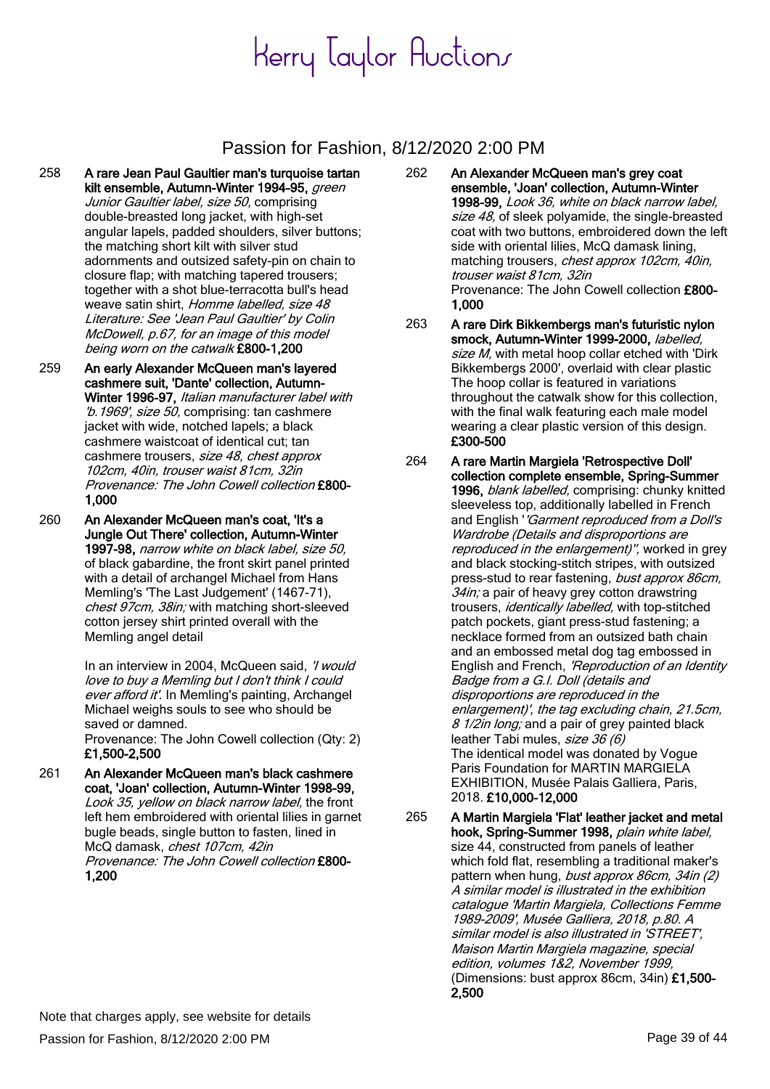### Passion for Fashion, 8/12/2020 2:00 PM

- 258 A rare Jean Paul Gaultier man's turquoise tartan kilt ensemble, Autumn-Winter 1994-95, green Junior Gaultier label, size 50, comprising double-breasted long jacket, with high-set angular lapels, padded shoulders, silver buttons; the matching short kilt with silver stud adornments and outsized safety-pin on chain to closure flap; with matching tapered trousers; together with a shot blue-terracotta bull's head weave satin shirt, Homme labelled, size 48 Literature: See 'Jean Paul Gaultier' by Colin McDowell, p.67, for an image of this model being worn on the catwalk £800-1,200
- 259 An early Alexander McQueen man's layered cashmere suit, 'Dante' collection, Autumn-Winter 1996-97, Italian manufacturer label with 'b.1969', size 50, comprising: tan cashmere jacket with wide, notched lapels; a black cashmere waistcoat of identical cut; tan cashmere trousers, size 48, chest approx 102cm, 40in, trouser waist 81cm, 32in Provenance: The John Cowell collection £800- 1,000
- 260 An Alexander McQueen man's coat, 'It's a Jungle Out There' collection, Autumn-Winter 1997-98, narrow white on black label, size 50, of black gabardine, the front skirt panel printed with a detail of archangel Michael from Hans Memling's 'The Last Judgement' (1467-71), chest 97cm, 38in; with matching short-sleeved cotton jersey shirt printed overall with the Memling angel detail

In an interview in 2004, McQueen said, '/ would love to buy a Memling but I don't think I could ever afford it'. In Memling's painting, Archangel Michael weighs souls to see who should be saved or damned. Provenance: The John Cowell collection (Qty: 2)

£1,500-2,500

261 An Alexander McQueen man's black cashmere coat, 'Joan' collection, Autumn-Winter 1998-99, Look 35, yellow on black narrow label, the front left hem embroidered with oriental lilies in garnet bugle beads, single button to fasten, lined in McQ damask, chest 107cm, 42in Provenance: The John Cowell collection £800- 1,200

- 262 An Alexander McQueen man's grey coat ensemble, 'Joan' collection, Autumn-Winter 1998-99, Look 36, white on black narrow label, size 48, of sleek polyamide, the single-breasted coat with two buttons, embroidered down the left side with oriental lilies, McQ damask lining, matching trousers, chest approx 102cm, 40in, trouser waist 81cm, 32in Provenance: The John Cowell collection £800- 1,000
- 263 A rare Dirk Bikkembergs man's futuristic nylon smock, Autumn-Winter 1999-2000, labelled, size M, with metal hoop collar etched with 'Dirk Bikkembergs 2000', overlaid with clear plastic The hoop collar is featured in variations throughout the catwalk show for this collection, with the final walk featuring each male model wearing a clear plastic version of this design. £300-500
- 264 A rare Martin Margiela 'Retrospective Doll' collection complete ensemble, Spring-Summer 1996, *blank labelled*, comprising: chunky knitted sleeveless top, additionally labelled in French and English ''Garment reproduced from a Doll's Wardrobe (Details and disproportions are reproduced in the enlargement)", worked in grey and black stocking-stitch stripes, with outsized press-stud to rear fastening, bust approx 86cm, 34in; a pair of heavy grey cotton drawstring trousers, identically labelled, with top-stitched patch pockets, giant press-stud fastening; a necklace formed from an outsized bath chain and an embossed metal dog tag embossed in English and French, 'Reproduction of an Identity Badge from a G.I. Doll (details and disproportions are reproduced in the enlargement)', the tag excluding chain, 21.5cm, 8 1/2in long; and a pair of grey painted black leather Tabi mules, size 36 (6) The identical model was donated by Vogue Paris Foundation for MARTIN MARGIELA EXHIBITION, Musée Palais Galliera, Paris, 2018. £10,000-12,000
- 265 A Martin Margiela 'Flat' leather jacket and metal hook, Spring-Summer 1998, plain white label, size 44, constructed from panels of leather which fold flat, resembling a traditional maker's pattern when hung, bust approx 86cm, 34in (2) A similar model is illustrated in the exhibition catalogue 'Martin Margiela, Collections Femme 1989-2009', Musée Galliera, 2018, p.80. A similar model is also illustrated in 'STREET', Maison Martin Margiela magazine, special edition, volumes 1&2, November 1999, (Dimensions: bust approx 86cm, 34in) £1,500- 2,500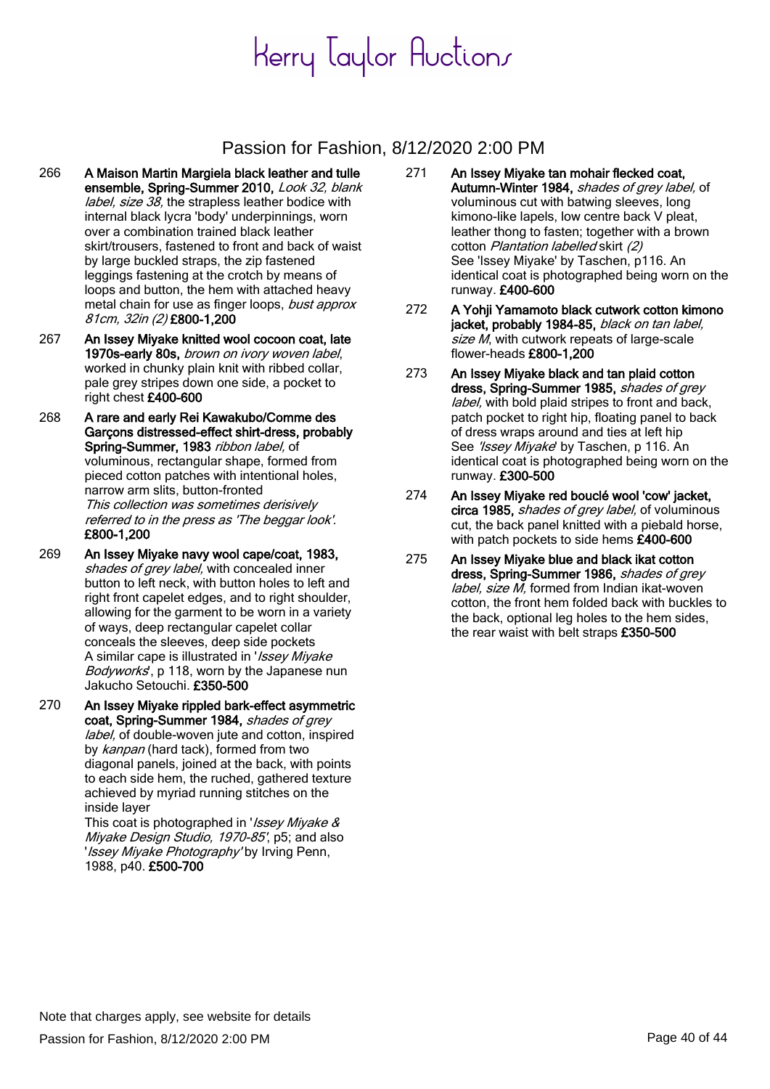### Passion for Fashion, 8/12/2020 2:00 PM

- 266 A Maison Martin Margiela black leather and tulle ensemble, Spring-Summer 2010, Look 32, blank label, size 38, the strapless leather bodice with internal black lycra 'body' underpinnings, worn over a combination trained black leather skirt/trousers, fastened to front and back of waist by large buckled straps, the zip fastened leggings fastening at the crotch by means of loops and button, the hem with attached heavy metal chain for use as finger loops, bust approx 81cm, 32in (2) £800-1,200
- 267 An Issey Miyake knitted wool cocoon coat, late 1970s-early 80s, brown on ivory woven label, worked in chunky plain knit with ribbed collar, pale grey stripes down one side, a pocket to right chest £400-600
- 268 A rare and early Rei Kawakubo/Comme des Garçons distressed-effect shirt-dress, probably Spring-Summer, 1983 ribbon label, of voluminous, rectangular shape, formed from pieced cotton patches with intentional holes, narrow arm slits, button-fronted This collection was sometimes derisively referred to in the press as 'The beggar look'. £800-1,200
- 269 An Issey Miyake navy wool cape/coat, 1983, shades of grey label, with concealed inner button to left neck, with button holes to left and right front capelet edges, and to right shoulder, allowing for the garment to be worn in a variety of ways, deep rectangular capelet collar conceals the sleeves, deep side pockets A similar cape is illustrated in 'Issey Miyake Bodyworks', p 118, worn by the Japanese nun Jakucho Setouchi. £350-500
- 270 An Issey Miyake rippled bark-effect asymmetric coat, Spring-Summer 1984, shades of grey label, of double-woven jute and cotton, inspired by kanpan (hard tack), formed from two diagonal panels, joined at the back, with points to each side hem, the ruched, gathered texture achieved by myriad running stitches on the inside layer

This coat is photographed in 'Issey Miyake & Miyake Design Studio, 1970-85', p5; and also '*Issey Miyake Photography'* by Irving Penn, 1988, p40. £500-700

- 271 An Issey Miyake tan mohair flecked coat, Autumn-Winter 1984, shades of grey label, of voluminous cut with batwing sleeves, long kimono-like lapels, low centre back V pleat, leather thong to fasten; together with a brown cotton Plantation labelled skirt (2) See 'Issey Miyake' by Taschen, p116. An identical coat is photographed being worn on the runway. £400-600
- 272 A Yohji Yamamoto black cutwork cotton kimono jacket, probably 1984-85, black on tan label, size M, with cutwork repeats of large-scale flower-heads £800-1,200
- 273 An Issey Miyake black and tan plaid cotton dress, Spring-Summer 1985, shades of grey label, with bold plaid stripes to front and back, patch pocket to right hip, floating panel to back of dress wraps around and ties at left hip See 'Issey Miyake' by Taschen, p 116. An identical coat is photographed being worn on the runway. £300-500
- 274 An Issey Miyake red bouclé wool 'cow' jacket, circa 1985, shades of grey label, of voluminous cut, the back panel knitted with a piebald horse, with patch pockets to side hems £400-600
- 275 An Issey Miyake blue and black ikat cotton dress, Spring-Summer 1986, shades of grey label, size M, formed from Indian ikat-woven cotton, the front hem folded back with buckles to the back, optional leg holes to the hem sides, the rear waist with belt straps £350-500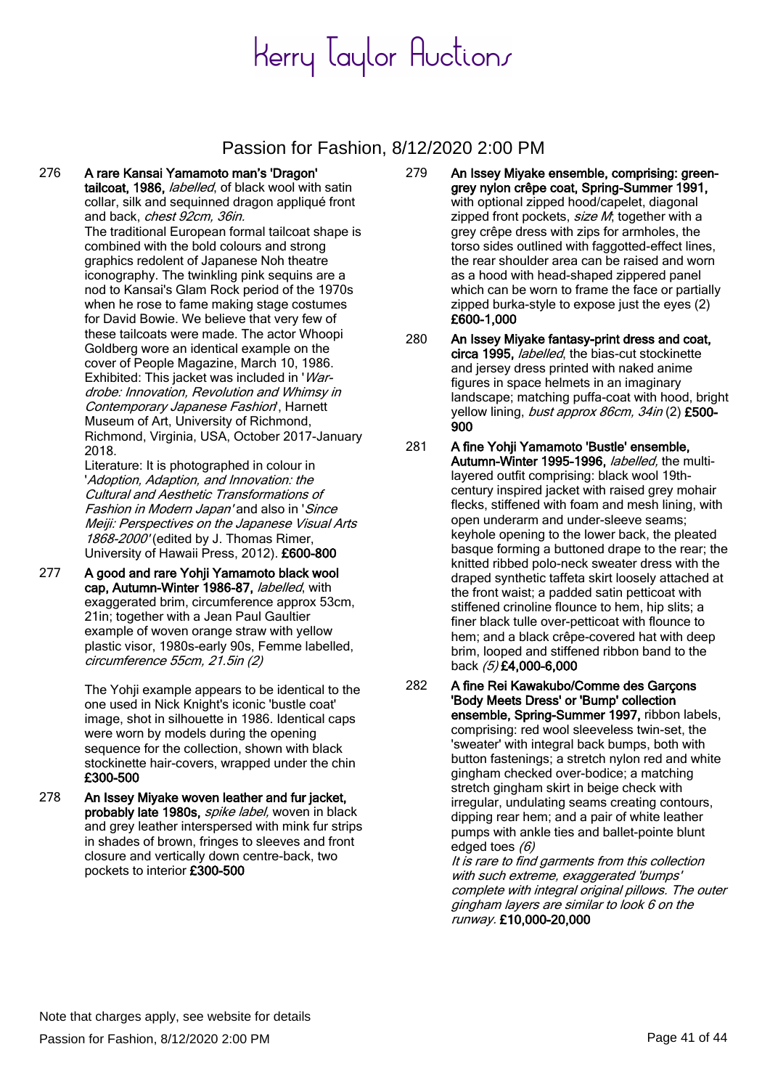### Passion for Fashion, 8/12/2020 2:00 PM

276 A rare Kansai Yamamoto man's 'Dragon' tailcoat, 1986, labelled, of black wool with satin collar, silk and sequinned dragon appliqué front and back, chest 92cm, 36in. The traditional European formal tailcoat shape is combined with the bold colours and strong graphics redolent of Japanese Noh theatre iconography. The twinkling pink sequins are a nod to Kansai's Glam Rock period of the 1970s when he rose to fame making stage costumes for David Bowie. We believe that very few of these tailcoats were made. The actor Whoopi Goldberg wore an identical example on the cover of People Magazine, March 10, 1986.

> Exhibited: This jacket was included in 'Wardrobe: Innovation, Revolution and Whimsy in Contemporary Japanese Fashion', Harnett Museum of Art, University of Richmond, Richmond, Virginia, USA, October 2017-January 2018.

Literature: It is photographed in colour in 'Adoption, Adaption, and Innovation: the Cultural and Aesthetic Transformations of Fashion in Modern Japan' and also in 'Since Meiji: Perspectives on the Japanese Visual Arts 1868-2000' (edited by J. Thomas Rimer, University of Hawaii Press, 2012). £600-800

277 A good and rare Yohji Yamamoto black wool cap, Autumn-Winter 1986-87, labelled, with exaggerated brim, circumference approx 53cm, 21in; together with a Jean Paul Gaultier example of woven orange straw with yellow plastic visor, 1980s-early 90s, Femme labelled, circumference 55cm, 21.5in (2)

> The Yohii example appears to be identical to the one used in Nick Knight's iconic 'bustle coat' image, shot in silhouette in 1986. Identical caps were worn by models during the opening sequence for the collection, shown with black stockinette hair-covers, wrapped under the chin £300-500

278 An Issey Miyake woven leather and fur jacket, probably late 1980s, *spike label*, woven in black and grey leather interspersed with mink fur strips in shades of brown, fringes to sleeves and front closure and vertically down centre-back, two pockets to interior £300-500

- 279 An Issey Miyake ensemble, comprising: greengrey nylon crêpe coat, Spring-Summer 1991, with optional zipped hood/capelet, diagonal zipped front pockets, size M; together with a grey crêpe dress with zips for armholes, the torso sides outlined with faggotted-effect lines, the rear shoulder area can be raised and worn as a hood with head-shaped zippered panel which can be worn to frame the face or partially zipped burka-style to expose just the eyes (2) £600-1,000
- 280 An Issey Miyake fantasy-print dress and coat, circa 1995, *labelled*, the bias-cut stockinette and jersey dress printed with naked anime figures in space helmets in an imaginary landscape; matching puffa-coat with hood, bright yellow lining, bust approx 86cm, 34in (2) £500-900
- 281 A fine Yohii Yamamoto 'Bustle' ensemble, Autumn-Winter 1995-1996, *labelled*, the multilayered outfit comprising: black wool 19thcentury inspired jacket with raised grey mohair flecks, stiffened with foam and mesh lining, with open underarm and under-sleeve seams; keyhole opening to the lower back, the pleated basque forming a buttoned drape to the rear; the knitted ribbed polo-neck sweater dress with the draped synthetic taffeta skirt loosely attached at the front waist; a padded satin petticoat with stiffened crinoline flounce to hem, hip slits; a finer black tulle over-petticoat with flounce to hem; and a black crêpe-covered hat with deep brim, looped and stiffened ribbon band to the back (5) £4,000-6,000
- 282 A fine Rei Kawakubo/Comme des Garçons 'Body Meets Dress' or 'Bump' collection ensemble, Spring-Summer 1997, ribbon labels, comprising: red wool sleeveless twin-set, the 'sweater' with integral back bumps, both with button fastenings; a stretch nylon red and white gingham checked over-bodice; a matching stretch gingham skirt in beige check with irregular, undulating seams creating contours, dipping rear hem; and a pair of white leather pumps with ankle ties and ballet-pointe blunt edged toes (6)

It is rare to find garments from this collection with such extreme, exaggerated 'bumps' complete with integral original pillows. The outer gingham layers are similar to look 6 on the runway. £10,000-20,000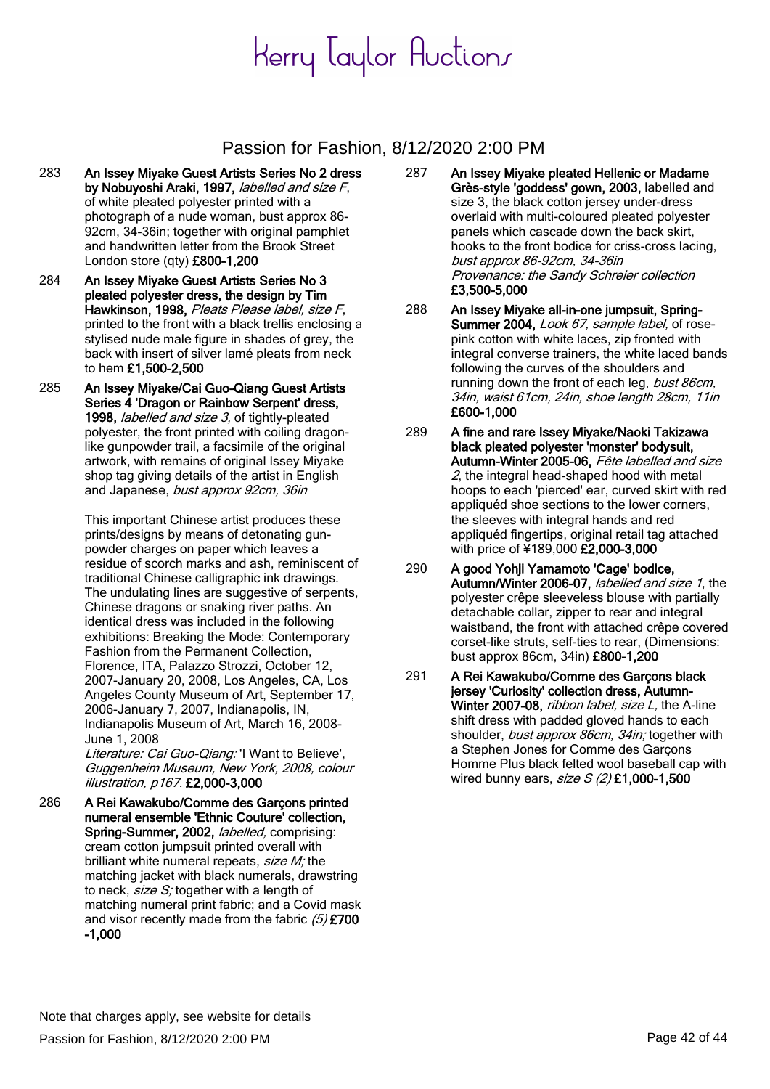### Passion for Fashion, 8/12/2020 2:00 PM

- 283 An Issey Miyake Guest Artists Series No 2 dress by Nobuyoshi Araki, 1997, labelled and size F, of white pleated polyester printed with a photograph of a nude woman, bust approx 86- 92cm, 34-36in; together with original pamphlet and handwritten letter from the Brook Street London store (qty) £800-1,200
- 284 An Issey Miyake Guest Artists Series No 3 pleated polyester dress, the design by Tim Hawkinson, 1998, Pleats Please label, size F, printed to the front with a black trellis enclosing a stylised nude male figure in shades of grey, the back with insert of silver lamé pleats from neck to hem £1,500-2,500
- 285 An Issey Miyake/Cai Guo-Qiang Guest Artists Series 4 'Dragon or Rainbow Serpent' dress, 1998, labelled and size 3, of tightly-pleated polyester, the front printed with coiling dragonlike gunpowder trail, a facsimile of the original artwork, with remains of original Issey Miyake shop tag giving details of the artist in English and Japanese, bust approx 92cm, 36in

This important Chinese artist produces these prints/designs by means of detonating gunpowder charges on paper which leaves a residue of scorch marks and ash, reminiscent of traditional Chinese calligraphic ink drawings. The undulating lines are suggestive of serpents, Chinese dragons or snaking river paths. An identical dress was included in the following exhibitions: Breaking the Mode: Contemporary Fashion from the Permanent Collection, Florence, ITA, Palazzo Strozzi, October 12, 2007-January 20, 2008, Los Angeles, CA, Los Angeles County Museum of Art, September 17, 2006-January 7, 2007, Indianapolis, IN, Indianapolis Museum of Art, March 16, 2008- June 1, 2008

Literature: Cai Guo-Qiang: 'I Want to Believe', Guggenheim Museum, New York, 2008, colour illustration, p167. £2,000-3,000

286 A Rei Kawakubo/Comme des Garçons printed numeral ensemble 'Ethnic Couture' collection, Spring-Summer, 2002, *labelled*, comprising: cream cotton jumpsuit printed overall with brilliant white numeral repeats, size M; the matching jacket with black numerals, drawstring to neck,  $size S$ ; together with a length of matching numeral print fabric; and a Covid mask and visor recently made from the fabric  $(5)$  £700 -1,000

- 287 An Issey Miyake pleated Hellenic or Madame Grès-style 'goddess' gown, 2003, labelled and size 3, the black cotton jersey under-dress overlaid with multi-coloured pleated polyester panels which cascade down the back skirt, hooks to the front bodice for criss-cross lacing, bust approx 86-92cm, 34-36in Provenance: the Sandy Schreier collection £3,500-5,000
- 288 An Issey Miyake all-in-one jumpsuit, Spring-Summer 2004, Look 67, sample label, of rosepink cotton with white laces, zip fronted with integral converse trainers, the white laced bands following the curves of the shoulders and running down the front of each leg, bust 86cm, 34in, waist 61cm, 24in, shoe length 28cm, 11in £600-1,000
- 289 A fine and rare Issey Miyake/Naoki Takizawa black pleated polyester 'monster' bodysuit, Autumn-Winter 2005-06, Fête labelled and size 2, the integral head-shaped hood with metal hoops to each 'pierced' ear, curved skirt with red appliquéd shoe sections to the lower corners, the sleeves with integral hands and red appliquéd fingertips, original retail tag attached with price of ¥189,000 £2,000-3,000
- 290 A good Yohji Yamamoto 'Cage' bodice, Autumn/Winter 2006-07, *labelled and size 1*, the polyester crêpe sleeveless blouse with partially detachable collar, zipper to rear and integral waistband, the front with attached crêpe covered corset-like struts, self-ties to rear, (Dimensions: bust approx 86cm, 34in) £800-1,200
- 291 A Rei Kawakubo/Comme des Garcons black jersey 'Curiosity' collection dress, Autumn-Winter 2007-08, ribbon label, size L, the A-line shift dress with padded gloved hands to each shoulder, bust approx 86cm, 34in; together with a Stephen Jones for Comme des Garçons Homme Plus black felted wool baseball cap with wired bunny ears,  $size S$  (2) £1,000-1,500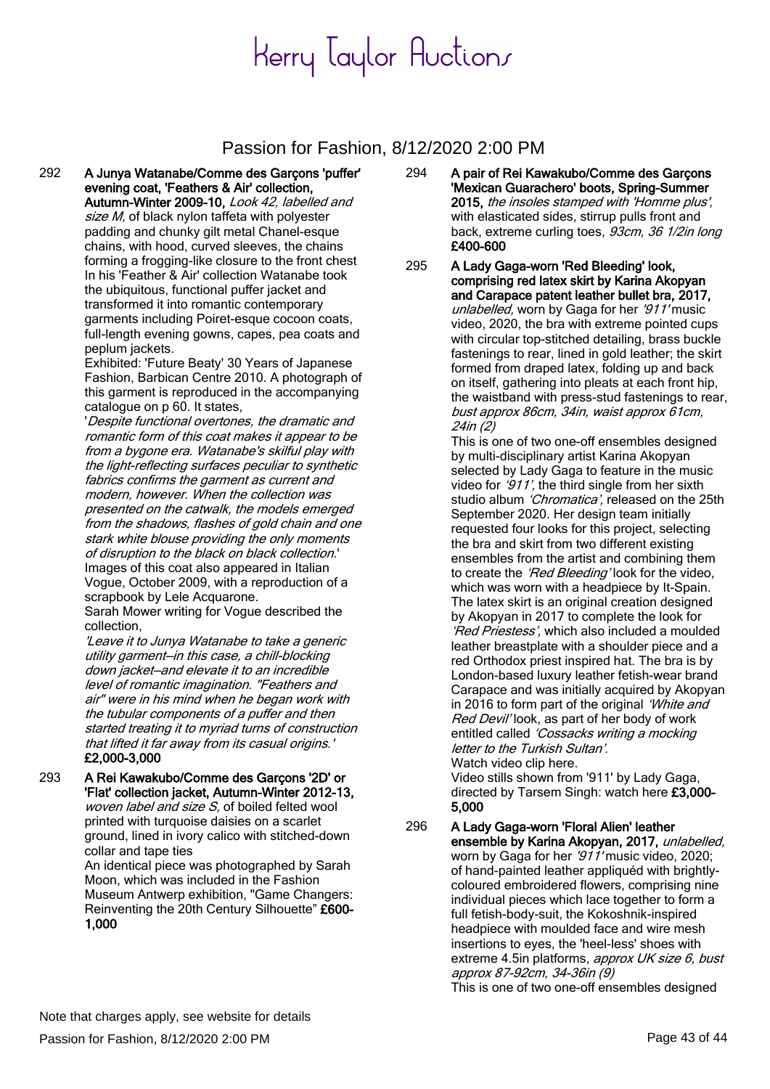#### Passion for Fashion, 8/12/2020 2:00 PM

292 A Junya Watanabe/Comme des Garçons 'puffer' evening coat, 'Feathers & Air' collection,

Autumn-Winter 2009-10, Look 42, labelled and size M, of black nylon taffeta with polyester padding and chunky gilt metal Chanel-esque chains, with hood, curved sleeves, the chains forming a frogging-like closure to the front chest In his 'Feather & Air' collection Watanabe took the ubiquitous, functional puffer jacket and transformed it into romantic contemporary garments including Poiret-esque cocoon coats, full-length evening gowns, capes, pea coats and peplum jackets.

Exhibited: 'Future Beaty' 30 Years of Japanese Fashion, Barbican Centre 2010. A photograph of this garment is reproduced in the accompanying catalogue on p 60. It states,

'Despite functional overtones, the dramatic and romantic form of this coat makes it appear to be from a bygone era. Watanabe's skilful play with the light-reflecting surfaces peculiar to synthetic fabrics confirms the garment as current and modern, however. When the collection was presented on the catwalk, the models emerged from the shadows, flashes of gold chain and one stark white blouse providing the only moments of disruption to the black on black collection.' Images of this coat also appeared in Italian Vogue, October 2009, with a reproduction of a scrapbook by Lele Acquarone.

Sarah Mower writing for Vogue described the collection,

'Leave it to Junya Watanabe to take a generic utility garment—in this case, a chill-blocking down jacket—and elevate it to an incredible level of romantic imagination. "Feathers and air" were in his mind when he began work with the tubular components of a puffer and then started treating it to myriad turns of construction that lifted it far away from its casual origins.' £2,000-3,000

293 A Rei Kawakubo/Comme des Garçons '2D' or 'Flat' collection jacket, Autumn-Winter 2012-13, woven label and size S, of boiled felted wool printed with turquoise daisies on a scarlet ground, lined in ivory calico with stitched-down collar and tape ties

> An identical piece was photographed by Sarah Moon, which was included in the Fashion Museum Antwerp exhibition, "Game Changers: Reinventing the 20th Century Silhouette" £600- 1,000

294 A pair of Rei Kawakubo/Comme des Garçons 'Mexican Guarachero' boots, Spring-Summer 2015, the insoles stamped with 'Homme plus', with elasticated sides, stirrup pulls front and back, extreme curling toes, 93cm, 36 1/2in long £400-600

295 A Lady Gaga-worn 'Red Bleeding' look, comprising red latex skirt by Karina Akopyan and Carapace patent leather bullet bra, 2017, unlabelled, worn by Gaga for her '911' music video, 2020, the bra with extreme pointed cups with circular top-stitched detailing, brass buckle fastenings to rear, lined in gold leather; the skirt formed from draped latex, folding up and back on itself, gathering into pleats at each front hip, the waistband with press-stud fastenings to rear, bust approx 86cm, 34in, waist approx 61cm, 24in (2)

This is one of two one-off ensembles designed by multi-disciplinary artist Karina Akopyan selected by Lady Gaga to feature in the music video for '911', the third single from her sixth studio album 'Chromatica', released on the 25th September 2020. Her design team initially requested four looks for this project, selecting the bra and skirt from two different existing ensembles from the artist and combining them to create the 'Red Bleeding' look for the video, which was worn with a headpiece by It-Spain. The latex skirt is an original creation designed by Akopyan in 2017 to complete the look for 'Red Priestess', which also included a moulded leather breastplate with a shoulder piece and a red Orthodox priest inspired hat. The bra is by London-based luxury leather fetish-wear brand Carapace and was initially acquired by Akopyan in 2016 to form part of the original 'White and Red Devil' look, as part of her body of work entitled called 'Cossacks writing a mocking letter to the Turkish Sultan'. Watch video clip here.

Video stills shown from '911' by Lady Gaga, directed by Tarsem Singh: watch here £3,000-5,000

296 A Lady Gaga-worn 'Floral Alien' leather ensemble by Karina Akopyan, 2017, unlabelled, worn by Gaga for her '911' music video, 2020; of hand-painted leather appliquéd with brightlycoloured embroidered flowers, comprising nine individual pieces which lace together to form a full fetish-body-suit, the Kokoshnik-inspired headpiece with moulded face and wire mesh insertions to eyes, the 'heel-less' shoes with extreme 4.5in platforms, approx UK size 6, bust approx 87-92cm, 34-36in (9) This is one of two one-off ensembles designed